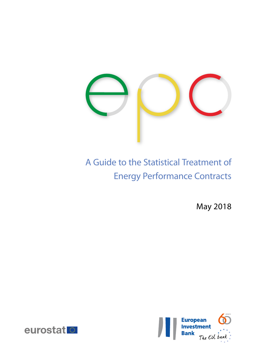

# A Guide to the Statistical Treatment of Energy Performance Contracts

May 2018



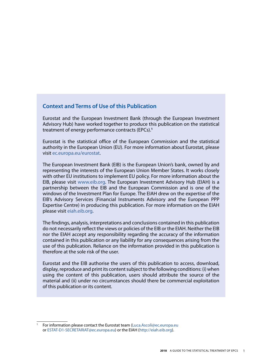### **Context and Terms of Use of this Publication**

Eurostat and the European Investment Bank (through the European Investment Advisory Hub) have worked together to produce this publication on the statistical treatment of energy performance contracts (EPCs).**<sup>1</sup>**

Eurostat is the statistical office of the European Commission and the statistical authority in the European Union (EU). For more information about Eurostat, please visit [ec.europa.eu/eurostat.](http://ec.europa.eu/eurostat)

The European Investment Bank (EIB) is the European Union's bank, owned by and representing the interests of the European Union Member States. It works closely with other EU institutions to implement EU policy. For more information about the EIB, please visit [www.eib.org.](http://www.eib.org) The European Investment Advisory Hub (EIAH) is a partnership between the EIB and the European Commission and is one of the windows of the Investment Plan for Europe. The EIAH drew on the expertise of the EIB's Advisory Services (Financial Instruments Advisory and the European PPP Expertise Centre) in producing this publication. For more information on the EIAH please visit [eiah.eib.org](http://eiah.eib.org).

The findings, analysis, interpretations and conclusions contained in this publication do not necessarily reflect the views or policies of the EIB or the EIAH. Neither the EIB nor the EIAH accept any responsibility regarding the accuracy of the information contained in this publication or any liability for any consequences arising from the use of this publication. Reliance on the information provided in this publication is therefore at the sole risk of the user.

Eurostat and the EIB authorise the users of this publication to access, download, display, reproduce and print its content subject to the following conditions: (i) when using the content of this publication, users should attribute the source of the material and (ii) under no circumstances should there be commercial exploitation of this publication or its content.

<sup>1</sup> For information please contact the Eurostat team [\(Luca.Ascoli@ec.europa.eu](mailto:Luca.Ascoli@ec.europa.eu) or [ESTAT-D1-SECRETARIAT@ec.europa.eu\)](mailto:ESTAT-D1-SECRETARIAT@ec.europa.eu) or the EIAH [\(http://eiah.eib.org\)](http://eiah.eib.org).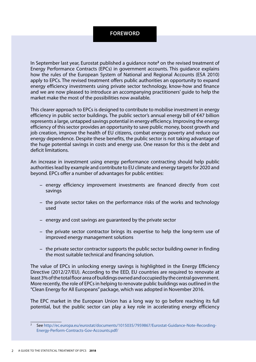#### **FOREWORD**

In September last year, Eurostat published a guidance note<sup>2</sup> on the revised treatment of Energy Performance Contracts (EPCs) in government accounts. This guidance explains how the rules of the European System of National and Regional Accounts (ESA 2010) apply to EPCs. The revised treatment offers public authorities an opportunity to expand energy efficiency investments using private sector technology, know-how and finance and we are now pleased to introduce an accompanying practitioners' guide to help the market make the most of the possibilities now available.

This clearer approach to EPCs is designed to contribute to mobilise investment in energy efficiency in public sector buildings. The public sector's annual energy bill of €47 billion represents a large, untapped savings potential in energy efficiency. Improving the energy efficiency of this sector provides an opportunity to save public money, boost growth and job creation, improve the health of EU citizens, combat energy poverty and reduce our energy dependence. Despite these benefits, the public sector is not taking advantage of the huge potential savings in costs and energy use. One reason for this is the debt and deficit limitations.

An increase in investment using energy performance contracting should help public authorities lead by example and contribute to EU climate and energy targets for 2020 and beyond. EPCs offer a number of advantages for public entities:

- energy efficiency improvement investments are financed directly from cost savings
- the private sector takes on the performance risks of the works and technology used
- energy and cost savings are guaranteed by the private sector
- $-$  the private sector contractor brings its expertise to help the long-term use of improved energy management solutions
- $-$  the private sector contractor supports the public sector building owner in finding the most suitable technical and financing solution.

The value of EPCs in unlocking energy savings is highlighted in the Energy Efficiency Directive (2012/27/EU). According to the EED, EU countries are required to renovate at least 3% of the total floor area of buildings owned and occupied by the central government. More recently, the role of EPCs in helping to renovate public buildings was outlined in the "Clean Energy for All Europeans" package, which was adopted in November 2016.

The EPC market in the European Union has a long way to go before reaching its full potential, but the public sector can play a key role in accelerating energy efficiency

<sup>2</sup> See [http://ec.europa.eu/eurostat/documents/1015035/7959867/Eurostat-Guidance-Note-Recording-](http://ec.europa.eu/eurostat/documents/1015035/7959867/Eurostat-Guidance-Note-Recording-Energy-Perform-Contracts-Gov-Accounts.pdf/)[Energy-Perform-Contracts-Gov-Accounts.pdf/](http://ec.europa.eu/eurostat/documents/1015035/7959867/Eurostat-Guidance-Note-Recording-Energy-Perform-Contracts-Gov-Accounts.pdf/)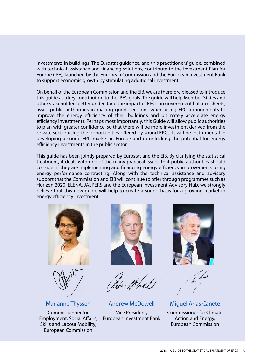investments in buildings. The Eurostat guidance, and this practitioners' guide, combined with technical assistance and financing solutions, contribute to the Investment Plan for with technical assistance and financing solutions, contribute to the Investment Plan for<br>Europe (IPE), launched by the European Commission and the European Investment Bank to support economic growth by stimulating additional investment. using EPC arrangements to improve the energy efficiency of their buildings and

On behalf of the European Commission and the EIB, we are therefore pleased to introduce this guide as a key contribution to the IPE's goals. The guide will help Member States and other stakeholders better understand the impact of EPCs on government balance sheets, assist public authorities in making good decisions when using EPC arrangements to improve the energy efficiency of their buildings and ultimately accelerate energy efficiency investments. Perhaps most importantly, this Guide will allow public authorities to plan with greater confidence, so that there will be more investment derived from the to plan with greater confidence, so that there will be more investment derived from the<br>private sector using the opportunities offered by sound EPCs. It will be instrumental in private sector using the opportunities offered by sound EPCs. It will be instrumental in<br>developing a sound EPC market in Europe and in unlocking the potential for energy **Example 18 Except Except Section 2008** The public sector.

This guide has been jointly prepared by Eurostat and the EIB. By clarifying the statistical treatment, it deals with one of the many practical issues that public authorities should consider if they are implementing and financing energy efficiency improvements using<br>energy performance contracting. Along with the technical assistance and advisory energy performance contracting. Along with the technical assistance and advisory support that the Commission and EIB will continue to offer through programmes such as Horizon 2020, ELENA, JASPERS and the European Investment Advisory Hub, we strongly believe that this new guide will help to create a sound basis for a growing market in energy efficiency investment. The contract of the contract of the contract of the contract of the contract of





*Employment, Social Employment, Social Commissionner for Marianne Thyssen*

Commissionner for **Employment, Social Affairs, European Commission Commission Commission** European Commission *Mobility, Affairs, Skills and Labour Mobility, Affairs, Skills and Labour Mobility, Employment, Social Affairs, Skills and Labour Commissionner for* 



Marianne Thyssen Andrew McDowell Miguel Arias Cañete *Action and Energy, Action and Energy, Commissioner for Climate Miguel Arias Cañete EIB Vice-President EIB Vice-President Andrew McDowell* **EIGE-Press Andrew McDowe** 

Vice President, *EIB Vice-President* European Investment Bank



*Miguel Arias Cañete Miguel Arias Cañete*

Commissioner for Climate Action and Energy, *Action and Energy,* European Commission *European CommissionEuropean Commission European Commission Action and Energy, European Commission Commissioner for Climate*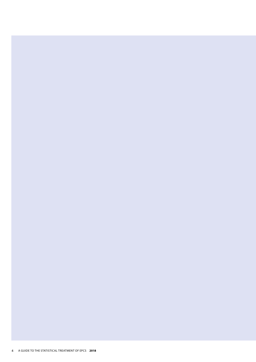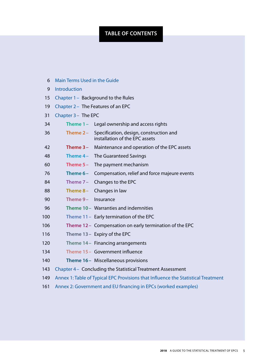#### **TABLE OF CONTENTS**

- 6 Main Terms Used in the Guide
- 9 Introduction
- 15 Chapter 1– Background to the Rules
- 19 Chapter 2– The Features of an EPC
- 31 Chapter 3– The EPC
- **Theme 1–** Legal ownership and access rights
- **Theme 2–** Specification, design, construction and installation of the EPC assets
- **Theme 3–** Maintenance and operation of the EPC assets
- **Theme 4–** The Guaranteed Savings
- **Theme 5–** The payment mechanism
- **Theme 6–** Compensation, relief and force majeure events
- **Theme 7–** Changes to the EPC
- **Theme 8–** Changes in law
- **Theme 9–** Insurance
- **Theme 10–** Warranties and indemnities
- **Theme 11–** Early termination of the EPC
- **Theme 12–** Compensation on early termination of the EPC
- **Theme 13–** Expiry of the EPC
- **Theme 14–** Financing arrangements
- **Theme 15–** Government influence
- **Theme 16–** Miscellaneous provisions
- Chapter 4– Concluding the Statistical Treatment Assessment
- 149 Annex 1: Table of Typical EPC Provisions that Influence the Statistical Treatment
- 161 Annex 2: Government and EU financing in EPCs (worked examples)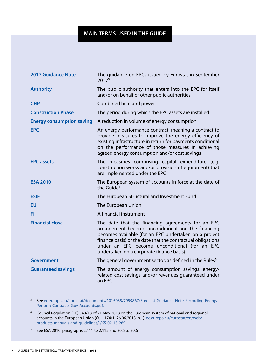### **MAIN TERMS USED IN THE GUIDE**

| The guidance on EPCs issued by Eurostat in September<br>2017 <sup>3</sup>                                                                                                                                                                                                                                                    |
|------------------------------------------------------------------------------------------------------------------------------------------------------------------------------------------------------------------------------------------------------------------------------------------------------------------------------|
| The public authority that enters into the EPC for itself<br>and/or on behalf of other public authorities                                                                                                                                                                                                                     |
| Combined heat and power                                                                                                                                                                                                                                                                                                      |
| The period during which the EPC assets are installed                                                                                                                                                                                                                                                                         |
| A reduction in volume of energy consumption                                                                                                                                                                                                                                                                                  |
| An energy performance contract, meaning a contract to<br>provide measures to improve the energy efficiency of<br>existing infrastructure in return for payments conditional<br>on the performance of those measures in achieving<br>agreed energy consumption and/or cost savings                                            |
| The measures comprising capital expenditure (e.g.<br>construction works and/or provision of equipment) that<br>are implemented under the EPC                                                                                                                                                                                 |
| The European system of accounts in force at the date of<br>the Guide <sup>4</sup>                                                                                                                                                                                                                                            |
| The European Structural and Investment Fund                                                                                                                                                                                                                                                                                  |
| The European Union                                                                                                                                                                                                                                                                                                           |
| A financial instrument                                                                                                                                                                                                                                                                                                       |
| The date that the financing agreements for an EPC<br>arrangement become unconditional and the financing<br>becomes available (for an EPC undertaken on a project<br>finance basis) or the date that the contractual obligations<br>under an EPC become unconditional (for an EPC<br>undertaken on a corporate finance basis) |
| The general government sector, as defined in the Rules <sup>5</sup>                                                                                                                                                                                                                                                          |
| The amount of energy consumption savings, energy-<br>related cost savings and/or revenues quaranteed under<br>an EPC                                                                                                                                                                                                         |
|                                                                                                                                                                                                                                                                                                                              |

<sup>&</sup>lt;sup>3</sup> See [ec.europa.eu/eurostat/documents/1015035/7959867/Eurostat-Guidance-Note-Recording-Energy-](http://ec.europa.eu/eurostat/documents/1015035/7959867/Eurostat-Guidance-Note-Recording-Energy-Perform-Contracts-Gov-Accounts.pdf/)[Perform-Contracts-Gov-Accounts.pdf/](http://ec.europa.eu/eurostat/documents/1015035/7959867/Eurostat-Guidance-Note-Recording-Energy-Perform-Contracts-Gov-Accounts.pdf/)

<sup>4</sup> Council Regulation (EC) 549/13 of 21 May 2013 on the European system of national and regional accounts in the European Union (OJ L 174/1, 26.06.2013, p.1). [ec.europa.eu/eurostat/en/web/](http://ec.europa.eu/eurostat/en/web/products-manuals-and-guidelines/-/KS-02-13-269) [products-manuals-and-guidelines/-/KS-02-13-269](http://ec.europa.eu/eurostat/en/web/products-manuals-and-guidelines/-/KS-02-13-269)

<sup>5</sup> See ESA 2010, paragraphs 2.111 to 2.112 and 20.5 to 20.6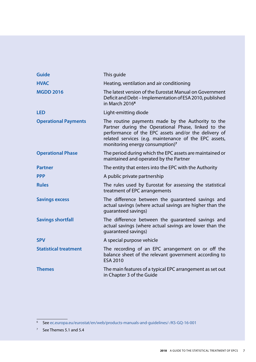| <b>Guide</b>                 | This guide                                                                                                                                                                                                                                                   |
|------------------------------|--------------------------------------------------------------------------------------------------------------------------------------------------------------------------------------------------------------------------------------------------------------|
| <b>HVAC</b>                  | Heating, ventilation and air conditioning                                                                                                                                                                                                                    |
| <b>MGDD 2016</b>             | The latest version of the Eurostat Manual on Government<br>Deficit and Debt - Implementation of ESA 2010, published<br>in March 2016 <sup>6</sup>                                                                                                            |
| <b>LED</b>                   | Light-emitting diode                                                                                                                                                                                                                                         |
| <b>Operational Payments</b>  | The routine payments made by the Authority to the<br>Partner during the Operational Phase, linked to the<br>performance of the EPC assets and/or the delivery of<br>related services (e.g. maintenance of the EPC assets,<br>monitoring energy consumption)7 |
| <b>Operational Phase</b>     | The period during which the EPC assets are maintained or<br>maintained and operated by the Partner                                                                                                                                                           |
| <b>Partner</b>               | The entity that enters into the EPC with the Authority                                                                                                                                                                                                       |
| <b>PPP</b>                   | A public private partnership                                                                                                                                                                                                                                 |
| <b>Rules</b>                 | The rules used by Eurostat for assessing the statistical<br>treatment of EPC arrangements                                                                                                                                                                    |
| <b>Savings excess</b>        | The difference between the guaranteed savings and<br>actual savings (where actual savings are higher than the<br>quaranteed savings)                                                                                                                         |
| <b>Savings shortfall</b>     | The difference between the guaranteed savings and<br>actual savings (where actual savings are lower than the<br>quaranteed savings)                                                                                                                          |
| <b>SPV</b>                   | A special purpose vehicle                                                                                                                                                                                                                                    |
| <b>Statistical treatment</b> | The recording of an EPC arrangement on or off the<br>balance sheet of the relevant government according to<br><b>ESA 2010</b>                                                                                                                                |
| <b>Themes</b>                | The main features of a typical EPC arrangement as set out<br>in Chapter 3 of the Guide                                                                                                                                                                       |

<sup>6</sup> See [ec.europa.eu/eurostat/en/web/products-manuals-and-guidelines/-/KS-GQ-16-001](http://ec.europa.eu/eurostat/en/web/products-manuals-and-guidelines/-/KS-GQ-16-001)

<sup>7</sup> See Themes 5.1 and 5.4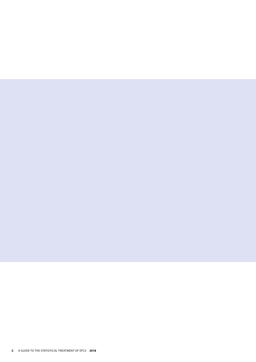A GUIDE TO THE STATISTICAL TREATMENT OF EPCS **2018**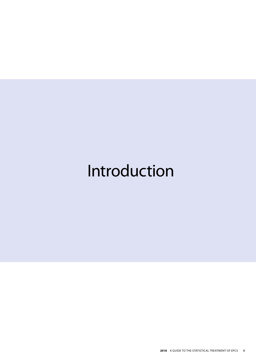# Introduction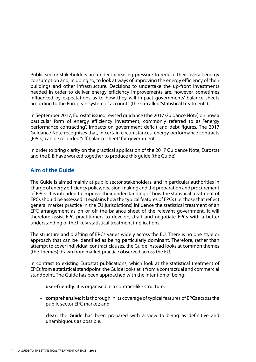Public sector stakeholders are under increasing pressure to reduce their overall energy consumption and, in doing so, to look at ways of improving the energy efficiency of their buildings and other infrastructure. Decisions to undertake the up-front investments needed in order to deliver energy efficiency improvements are, however, sometimes influenced by expectations as to how they will impact governments' balance sheets according to the European system of accounts (the so-called "statistical treatment").

In September 2017, Eurostat issued revised guidance (the 2017 Guidance Note) on how a particular form of energy efficiency investment, commonly referred to as "energy performance contracting", impacts on government deficit and debt figures. The 2017 Guidance Note recognises that, in certain circumstances, energy performance contracts (EPCs) can be recorded "off balance sheet" for government.

In order to bring clarity on the practical application of the 2017 Guidance Note, Eurostat and the EIB have worked together to produce this guide (the Guide).

#### **Aim of the Guide**

The Guide is aimed mainly at public sector stakeholders, and in particular authorities in charge of energy efficiency policy, decision-making and the preparation and procurement of EPCs. It is intended to improve their understanding of how the statistical treatment of EPCs should be assessed. It explains how the typical features of EPCs (i.e. those that reflect general market practice in the EU jurisdictions) influence the statistical treatment of an EPC arrangement as on or off the balance sheet of the relevant government. It will therefore assist EPC practitioners to develop, draft and negotiate EPCs with a better understanding of the likely statistical treatment implications.

The structure and drafting of EPCs varies widely across the EU. There is no one style or approach that can be identified as being particularly dominant. Therefore, rather than attempt to cover individual contract clauses, the Guide instead looks at common themes (the Themes) drawn from market practice observed across the EU.

In contrast to existing Eurostat publications, which look at the statistical treatment of EPCs from a statistical standpoint, the Guide looks at it from a contractual and commercial standpoint. The Guide has been approached with the intention of being:

- **user-friendly:** it is organised in a contract-like structure;
- **comprehensive:** it is thorough in its coverage of typical features of EPCs across the public sector EPC market; and
- **clear:** the Guide has been prepared with a view to being as definitive and unambiguous as possible.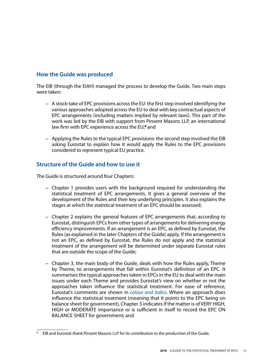### **How the Guide was produced**

The EIB (through the EIAH) managed the process to develop the Guide. Two main steps were taken:

- $-$  A stock-take of EPC provisions across the EU: the first step involved identifying the various approaches adopted across the EU to deal with key contractual aspects of EPC arrangements (including matters implied by relevant laws). This part of the work was led by the EIB with support from Pinsent Masons LLP, an international law firm with EPC experience across the EU;<sup>8</sup> and
- Applying the Rules to the typical EPC provisions: the second step involved the EIB asking Eurostat to explain how it would apply the Rules to the EPC provisions considered to represent typical EU practice.

### **Structure of the Guide and how to use it**

The Guide is structured around four Chapters:

- Chapter 1 provides users with the background required for understanding the statistical treatment of EPC arrangements. It gives a general overview of the development of the Rules and their key underlying principles. It also explains the stages at which the statistical treatment of an EPC should be assessed;
- Chapter 2 explains the general features of EPC arrangements that, according to Eurostat, distinguish EPCs from other types of arrangements for delivering energy efficiency improvements. If an arrangement is an EPC, as defined by Eurostat, the Rules (as explained in the later Chapters of the Guide) apply. If the arrangement is not an EPC, as defined by Eurostat, the Rules do not apply and the statistical treatment of the arrangement will be determined under separate Eurostat rules that are outside the scope of the Guide;
- Chapter 3, the main body of the Guide, deals with how the Rules apply, Theme by Theme, to arrangements that fall within Eurostat's definition of an EPC. It summarises the typical approaches taken in EPCs in the EU to deal with the main issues under each Theme and provides Eurostat's view on whether or not the approaches taken influence the statistical treatment. For ease of reference, Eurostat's comments are shown in *colour and italics*. Where an approach does influence the statistical treatment (meaning that it points to the EPC being on balance sheet for government), Chapter 3 indicates if the matter is of VERY HIGH, HIGH or MODERATE importance or is sufficient in itself to record the EPC ON BALANCE SHEET for government; and

<sup>8</sup> EIB and Eurostat thank Pinsent Masons LLP for its contribution to the production of the Guide.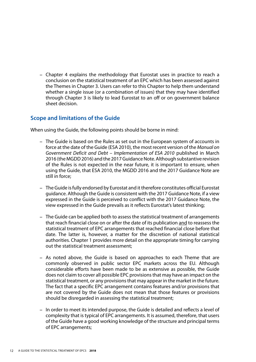$-$  Chapter 4 explains the methodology that Eurostat uses in practice to reach a conclusion on the statistical treatment of an EPC which has been assessed against the Themes in Chapter 3. Users can refer to this Chapter to help them understand whether a single issue (or a combination of issues) that they may have identified through Chapter 3 is likely to lead Eurostat to an off or on government balance sheet decision.

#### **Scope and limitations of the Guide**

When using the Guide, the following points should be borne in mind:

- The Guide is based on the Rules as set out in the European system of accounts in force at the date of the Guide (ESA 2010), the most recent version of the *Manual on Government Deficit and Debt – Implementation of ESA 2010* published in March 2016 (the MGDD 2016) and the 2017 Guidance Note. Although substantive revision of the Rules is not expected in the near future, it is important to ensure, when using the Guide, that ESA 2010, the MGDD 2016 and the 2017 Guidance Note are still in force;
- The Guide is fully endorsed by Eurostat and it therefore constitutes official Eurostat guidance. Although the Guide is consistent with the 2017 Guidance Note, if a view expressed in the Guide is perceived to conflict with the 2017 Guidance Note, the view expressed in the Guide prevails as it reflects Eurostat's latest thinking;
- The Guide can be applied both to assess the statistical treatment of arrangements that reach financial close on or after the date of its publication and to reassess the statistical treatment of EPC arrangements that reached financial close before that date. The latter is, however, a matter for the discretion of national statistical authorities. Chapter 1 provides more detail on the appropriate timing for carrying out the statistical treatment assessment;
- As noted above, the Guide is based on approaches to each Theme that are commonly observed in public sector EPC markets across the EU. Although considerable efforts have been made to be as extensive as possible, the Guide does not claim to cover all possible EPC provisions that may have an impact on the statistical treatment, or any provisions that may appear in the market in the future. The fact that a specific EPC arrangement contains features and/or provisions that are not covered by the Guide does not mean that those features or provisions should be disregarded in assessing the statistical treatment;
- In order to meet its intended purpose, the Guide is detailed and reflects a level of complexity that is typical of EPC arrangements. It is assumed, therefore, that users of the Guide have a good working knowledge of the structure and principal terms of EPC arrangements;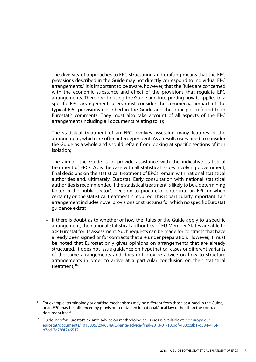- The diversity of approaches to EPC structuring and drafting means that the EPC provisions described in the Guide may not directly correspond to individual EPC arrangements.**<sup>9</sup>** It is important to be aware, however, that the Rules are concerned with the economic substance and effect of the provisions that regulate EPC arrangements. Therefore, in using the Guide and interpreting how it applies to a specific EPC arrangement, users must consider the commercial impact of the typical EPC provisions described in the Guide and the principles referred to in Eurostat's comments. They must also take account of all aspects of the EPC arrangement (including all documents relating to it);
- The statistical treatment of an EPC involves assessing many features of the arrangement, which are often interdependent. As a result, users need to consider the Guide as a whole and should refrain from looking at specific sections of it in isolation;
- The aim of the Guide is to provide assistance with the indicative statistical treatment of EPCs. As is the case with all statistical issues involving government, final decisions on the statistical treatment of EPCs remain with national statistical authorities and, ultimately, Eurostat. Early consultation with national statistical authorities is recommended if the statistical treatment is likely to be a determining factor in the public sector's decision to procure or enter into an EPC or when certainty on the statistical treatment is required. This is particularly important if an arrangement includes novel provisions or structures for which no specific Eurostat guidance exists;
- $-$  If there is doubt as to whether or how the Rules or the Guide apply to a specific arrangement, the national statistical authorities of EU Member States are able to ask Eurostat for its assessment. Such requests can be made for contracts that have already been signed or for contracts that are under preparation. However, it must be noted that Eurostat only gives opinions on arrangements that are already structured. It does not issue guidance on hypothetical cases or different variants of the same arrangements and does not provide advice on how to structure arrangements in order to arrive at a particular conclusion on their statistical treatment;**<sup>10</sup>**

<sup>9</sup> For example: terminology or drafting mechanisms may be different from those assumed in the Guide, or an EPC may be influenced by provisions contained in national/local law rather than the contract document itself.

 $10$  Guidelines for Eurostat's ex-ante advice on methodological issues is available at: [ec.europa.eu/](http://ec.europa.eu/eurostat/documents/1015035/2046549/Ex-ante-advice-final-2013-01-18.pdf/483cc8b1-d384-416f-b7ed-7a788f246517) [eurostat/documents/1015035/2046549/Ex-ante-advice-final-2013-01-18.pdf/483cc8b1-d384-416f](http://ec.europa.eu/eurostat/documents/1015035/2046549/Ex-ante-advice-final-2013-01-18.pdf/483cc8b1-d384-416f-b7ed-7a788f246517)[b7ed-7a788f246517](http://ec.europa.eu/eurostat/documents/1015035/2046549/Ex-ante-advice-final-2013-01-18.pdf/483cc8b1-d384-416f-b7ed-7a788f246517)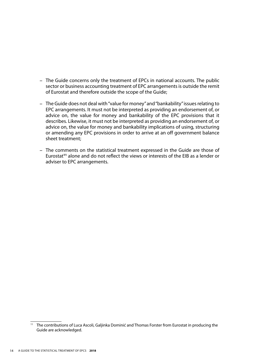- The Guide concerns only the treatment of EPCs in national accounts. The public sector or business accounting treatment of EPC arrangements is outside the remit of Eurostat and therefore outside the scope of the Guide;
- The Guide does not deal with "value for money" and "bankability" issues relating to EPC arrangements. It must not be interpreted as providing an endorsement of, or advice on, the value for money and bankability of the EPC provisions that it describes. Likewise, it must not be interpreted as providing an endorsement of, or advice on, the value for money and bankability implications of using, structuring or amending any EPC provisions in order to arrive at an off government balance sheet treatment;
- The comments on the statistical treatment expressed in the Guide are those of Eurostat**<sup>11</sup>** alone and do not reflect the views or interests of the EIB as a lender or adviser to EPC arrangements.

<sup>&</sup>lt;sup>11</sup> The contributions of Luca Ascoli, Galjinka Dominić and Thomas Forster from Eurostat in producing the Guide are acknowledged.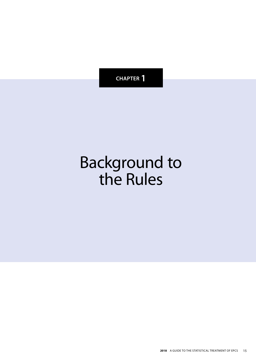**CHAPTER 1**

# Background to the Rules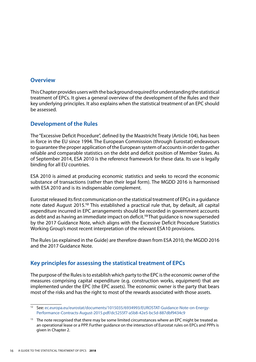#### **Overview**

This Chapter provides users with the background required for understanding the statistical treatment of EPCs. It gives a general overview of the development of the Rules and their key underlying principles. It also explains when the statistical treatment of an EPC should be assessed.

### **Development of the Rules**

The "Excessive Deficit Procedure", defined by the Maastricht Treaty (Article 104), has been in force in the EU since 1994. The European Commission (through Eurostat) endeavours to guarantee the proper application of the European system of accounts in order to gather reliable and comparable statistics on the debt and deficit position of Member States. As of September 2014, ESA 2010 is the reference framework for these data. Its use is legally binding for all EU countries.

ESA 2010 is aimed at producing economic statistics and seeks to record the economic substance of transactions (rather than their legal form). The MGDD 2016 is harmonised with ESA 2010 and is its indispensable complement.

Eurostat released its first communication on the statistical treatment of EPCs in a guidance note dated August 2015.**<sup>12</sup>** This established a practical rule that, by default, all capital expenditure incurred in EPC arrangements should be recorded in government accounts as debt and as having an immediate impact on deficit.**<sup>13</sup>** That guidance is now superseded by the 2017 Guidance Note, which aligns with the Excessive Deficit Procedure Statistics Working Group's most recent interpretation of the relevant ESA10 provisions.

The Rules (as explained in the Guide) are therefore drawn from ESA 2010, the MGDD 2016 and the 2017 Guidance Note.

### **Key principles for assessing the statistical treatment of EPCs**

The purpose of the Rules is to establish which party to the EPC is the economic owner of the measures comprising capital expenditure (e.g. construction works, equipment) that are implemented under the EPC (the EPC assets). The economic owner is the party that bears most of the risks and has the right to most of the rewards associated with those assets.

<sup>12</sup> See: [ec.europa.eu/eurostat/documents/1015035/6934993/EUROSTAT-Guidance-Note-on-Energy-](http://ec.europa.eu/eurostat/documents/1015035/6934993/EUROSTAT-Guidance-Note-on-Energy-Performance-Contracts-August-2015.pdf/dc5255f7-a5b8-42e5-bc5d-887dbf9434c9)[Performance-Contracts-August-2015.pdf/dc5255f7-a5b8-42e5-bc5d-887dbf9434c9](http://ec.europa.eu/eurostat/documents/1015035/6934993/EUROSTAT-Guidance-Note-on-Energy-Performance-Contracts-August-2015.pdf/dc5255f7-a5b8-42e5-bc5d-887dbf9434c9)

<sup>&</sup>lt;sup>13</sup> The note recognised that there may be some limited circumstances where an EPC might be treated as an operational lease or a PPP. Further guidance on the interaction of Eurostat rules on EPCs and PPPs is given in Chapter 2.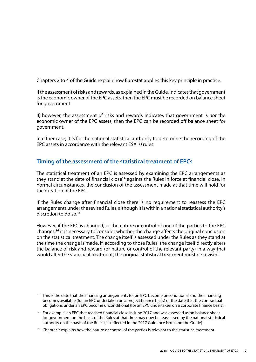Chapters 2 to 4 of the Guide explain how Eurostat applies this key principle in practice.

If the assessment of risks and rewards, as explained in the Guide, indicates that government is the economic owner of the EPC assets, then the EPC must be recorded on balance sheet for government.

If, however, the assessment of risks and rewards indicates that government is *not* the economic owner of the EPC assets, then the EPC can be recorded off balance sheet for government.

In either case, it is for the national statistical authority to determine the recording of the EPC assets in accordance with the relevant ESA10 rules.

### **Timing of the assessment of the statistical treatment of EPCs**

The statistical treatment of an EPC is assessed by examining the EPC arrangements as they stand at the date of financial close**<sup>14</sup>** against the Rules in force at financial close. In normal circumstances, the conclusion of the assessment made at that time will hold for the duration of the EPC.

If the Rules change after financial close there is no requirement to reassess the EPC arrangements under the revised Rules, although it is within a national statistical authority's discretion to do so.**<sup>15</sup>**

However, if the EPC is changed, or the nature or control of one of the parties to the EPC changes,**<sup>16</sup>** it is necessary to consider whether the change affects the original conclusion on the statistical treatment. The change itself is assessed under the Rules as they stand at the time the change is made. If, according to those Rules, the change itself directly alters the balance of risk and reward (or nature or control of the relevant party) in a way that would alter the statistical treatment, the original statistical treatment must be revised.

<sup>&</sup>lt;sup>14</sup> This is the date that the financing arrangements for an EPC become unconditional and the financing becomes available (for an EPC undertaken on a project finance basis) or the date that the contractual obligations under an EPC become unconditional (for an EPC undertaken on a corporate finance basis).

<sup>&</sup>lt;sup>15</sup> For example, an EPC that reached financial close in June 2017 and was assessed as on balance sheet for government on the basis of the Rules at that time may now be reassessed by the national statistical authority on the basis of the Rules (as reflected in the 2017 Guidance Note and the Guide).

<sup>&</sup>lt;sup>16</sup> Chapter 2 explains how the nature or control of the parties is relevant to the statistical treatment.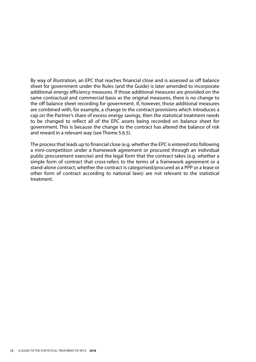By way of illustration, an EPC that reaches financial close and is assessed as off balance sheet for government under the Rules (and the Guide) is later amended to incorporate additional energy efficiency measures. If those additional measures are provided on the same contractual and commercial basis as the original measures, there is no change to the off balance sheet recording for government. If, however, those additional measures are combined with, for example, a change to the contract provisions which introduces a cap on the Partner's share of excess energy savings, then the statistical treatment needs to be changed to reflect all of the EPC assets being recorded on balance sheet for government. This is because the change to the contract has altered the balance of risk and reward in a relevant way (see Theme 5.6.5).

The process that leads up to financial close (e.g. whether the EPC is entered into following a mini-competition under a framework agreement or procured through an individual public procurement exercise) and the legal form that the contract takes (e.g. whether a simple form of contract that cross-refers to the terms of a framework agreement or a stand-alone contract; whether the contract is categorised/procured as a PPP or a lease or other form of contract according to national laws) are not relevant to the statistical treatment.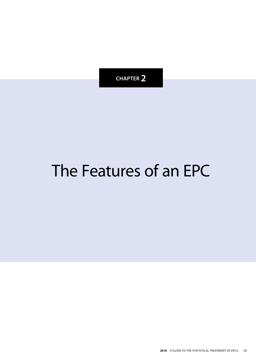**CHAPTER 2**

# The Features of an EPC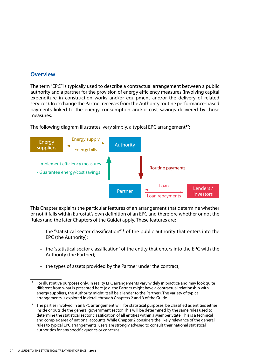#### **Overview**

The term "EPC" is typically used to describe a contractual arrangement between a public authority and a partner for the provision of energy efficiency measures (involving capital expenditure in construction works and/or equipment and/or the delivery of related services). In exchange the Partner receives from the Authority routine performance-based payments linked to the energy consumption and/or cost savings delivered by those measures.

The following diagram illustrates, very simply, a typical EPC arrangement**<sup>17</sup>**:



This Chapter explains the particular features of an arrangement that determine whether or not it falls within Eurostat's own definition of an EPC and therefore whether or not the Rules (and the later Chapters of the Guide) apply. These features are:

- the "statistical sector classification"<sup>18</sup> of the public authority that enters into the EPC (the Authority);
- the "statistical sector classification" of the entity that enters into the EPC with the Authority (the Partner);
- the types of assets provided by the Partner under the contract:

<sup>&</sup>lt;sup>17</sup> For illustrative purposes only. In reality EPC arrangements vary widely in practice and may look quite different from what is presented here (e.g. the Partner might have a contractual relationship with energy suppliers, the Authority might itself be a lender to the Partner). The variety of typical arrangements is explored in detail through Chapters 2 and 3 of the Guide.

<sup>&</sup>lt;sup>18</sup> The parties involved in an EPC arrangement will, for statistical purposes, be classified as entities either inside or outside the general government sector. This will be determined by the same rules used to determine the statistical sector classification of all entities within a Member State. This is a technical and complex area of national accounts. While Chapter 2 considers the likely relevance of the general rules to typical EPC arrangements, users are strongly advised to consult their national statistical authorities for any specific queries or concerns.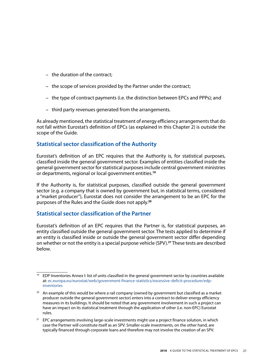- the duration of the contract;
- the scope of services provided by the Partner under the contract;
- the type of contract payments (i.e. the distinction between EPCs and PPPs); and
- third party revenues generated from the arrangements.

As already mentioned, the statistical treatment of energy efficiency arrangements that do not fall within Eurostat's definition of EPCs (as explained in this Chapter 2) is outside the scope of the Guide.

#### **Statistical sector classification of the Authority**

Eurostat's definition of an EPC requires that the Authority is, for statistical purposes, classified inside the general government sector. Examples of entities classified inside the general government sector for statistical purposes include central government ministries or departments, regional or local government entities.**<sup>19</sup>**

If the Authority is, for statistical purposes, classified outside the general government sector (e.g. a company that is owned by government but, in statistical terms, considered a "market producer"), Eurostat does not consider the arrangement to be an EPC for the purposes of the Rules and the Guide does not apply.**<sup>20</sup>**

#### **Statistical sector classification of the Partner**

Eurostat's definition of an EPC requires that the Partner is, for statistical purposes, an entity classified outside the general government sector. The tests applied to determine if an entity is classified inside or outside the general government sector differ depending on whether or not the entity is a special purpose vehicle (SPV).**<sup>21</sup>** These tests are described below.

<sup>19</sup> EDP Inventories Annex I: list of units classified in the general government sector by countries available at: [ec.europa.eu/eurostat/web/government-finance-statistics/excessive-deficit-procedure/edp](http://ec.europa.eu/eurostat/web/government-finance-statistics/excessive-deficit-procedure/edp-inventories)[inventories](http://ec.europa.eu/eurostat/web/government-finance-statistics/excessive-deficit-procedure/edp-inventories)

<sup>&</sup>lt;sup>20</sup> An example of this would be where a rail company (owned by government but classified as a market producer outside the general government sector) enters into a contract to deliver energy efficiency measures in its buildings. It should be noted that any government involvement in such a project can have an impact on its statistical treatment through the application of other (i.e. non-EPC) Eurostat rules.

<sup>&</sup>lt;sup>21</sup> EPC arrangements involving large-scale investments might use a project finance solution, in which case the Partner will constitute itself as an SPV. Smaller-scale investments, on the other hand, are typically financed through corporate loans and therefore may not involve the creation of an SPV.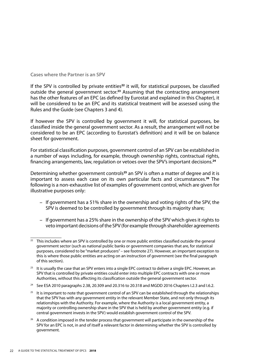#### **Cases where the Partner is an SPV**

If the SPV is controlled by private entities**<sup>22</sup>** it will, for statistical purposes, be classified outside the general government sector.**<sup>23</sup>** Assuming that the contracting arrangement has the other features of an EPC (as defined by Eurostat and explained in this Chapter), it will be considered to be an EPC and its statistical treatment will be assessed using the Rules and the Guide (see Chapters 3 and 4).

If however the SPV is controlled by government it will, for statistical purposes, be classified inside the general government sector. As a result, the arrangement will not be considered to be an EPC (according to Eurostat's definition) and it will be on balance sheet for government.

For statistical classification purposes, government control of an SPV can be established in a number of ways including, for example, through ownership rights, contractual rights, financing arrangements, law, regulation or vetoes over the SPV's important decisions.**<sup>24</sup>**

Determining whether government controls**<sup>25</sup>** an SPV is often a matter of degree and it is important to assess each case on its own particular facts and circumstances.**<sup>26</sup>** The following is a non-exhaustive list of examples of government control, which are given for illustrative purposes only:

- $-$  If government has a 51% share in the ownership and voting rights of the SPV, the SPV is deemed to be controlled by government through its majority share;
- $-$  If government has a 25% share in the ownership of the SPV which gives it rights to veto important decisions of the SPV (for example through shareholder agreements

<sup>22</sup> This includes where an SPV is controlled by one or more public entities classified outside the general government sector (such as national public banks or government companies that are, for statistical purposes, considered to be "market producers" – see footnote 27). However, an important exception to this is where those public entities are acting on an instruction of government (see the final paragraph of this section).

<sup>&</sup>lt;sup>23</sup> It is usually the case that an SPV enters into a single EPC contract to deliver a single EPC. However, an SPV that is controlled by private entities could enter into multiple EPC contracts with one or more Authorities, without this affecting its classification outside the general government sector.

<sup>&</sup>lt;sup>24</sup> See ESA 2010 paragraphs 2.38, 20.309 and 20.316 to 20.318 and MGDD 2016 Chapters I.2.3 and I.6.2.

 $25$  It is important to note that government control of an SPV can be established through the relationships that the SPV has with any government entity in the relevant Member State, and not only through its relationships with the Authority. For example, where the Authority is a local government entity, a majority or controlling ownership share in the SPV that is held by another government entity (e.g. if central government invests in the SPV) would establish government control of the SPV.

<sup>&</sup>lt;sup>26</sup> A condition imposed in the tender process that government will participate in the ownership of the SPV for an EPC is not, in and of itself a relevant factor in determining whether the SPV is controlled by government.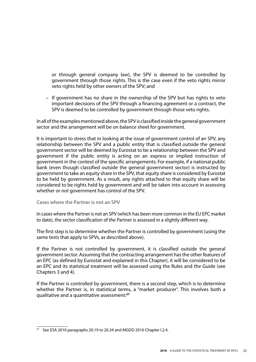or through general company law), the SPV is deemed to be controlled by government through those rights. This is the case even if the veto rights mirror veto rights held by other owners of the SPV; and

- If government has no share in the ownership of the SPV but has rights to veto important decisions of the SPV through a financing agreement or a contract, the SPV is deemed to be controlled by government through those veto rights.

In all of the examples mentioned above, the SPV is classified inside the general government sector and the arrangement will be on balance sheet for government.

It is important to stress that in looking at the issue of government control of an SPV, any relationship between the SPV and a public entity that is classified outside the general government sector will be deemed by Eurostat to be a relationship between the SPV and government if the public entity is acting on an express or implied instruction of government in the context of the specific arrangements. For example, if a national public bank (even though classified outside the general government sector) is instructed by government to take an equity share in the SPV, that equity share is considered by Eurostat to be held by government. As a result, any rights attached to that equity share will be considered to be rights held by government and will be taken into account in assessing whether or not government has control of the SPV.

**Cases where the Partner is not an SPV**

In cases where the Partner is not an SPV (which has been more common in the EU EPC market to date), the sector classification of the Partner is assessed in a slightly different way.

The first step is to determine whether the Partner is controlled by government (using the same tests that apply to SPVs, as described above).

If the Partner is not controlled by government, it is classified outside the general government sector. Assuming that the contracting arrangement has the other features of an EPC (as defined by Eurostat and explained in this Chapter), it will be considered to be an EPC and its statistical treatment will be assessed using the Rules and the Guide (see Chapters 3 and 4).

If the Partner is controlled by government, there is a second step, which is to determine whether the Partner is, in statistical terms, a "market producer". This involves both a qualitative and a quantitative assessment:**<sup>27</sup>**

<sup>&</sup>lt;sup>27</sup> See ESA 2010 paragraphs 20.19 to 20.34 and MGDD 2016 Chapter I.2.4.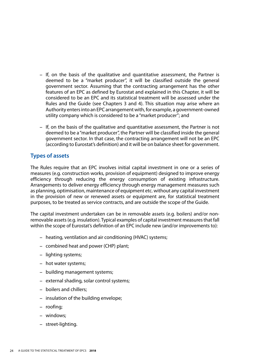- $-$  If, on the basis of the qualitative and quantitative assessment, the Partner is deemed to be a "market producer", it will be classified outside the general government sector. Assuming that the contracting arrangement has the other features of an EPC as defined by Eurostat and explained in this Chapter, it will be considered to be an EPC and its statistical treatment will be assessed under the Rules and the Guide (see Chapters 3 and 4). This situation may arise where an Authority enters into an EPC arrangement with, for example, a government-owned utility company which is considered to be a "market producer"; and
- $-$  If, on the basis of the qualitative and quantitative assessment, the Partner is not deemed to be a "market producer", the Partner will be classified inside the general government sector. In that case, the contracting arrangement will not be an EPC (according to Eurostat's definition) and it will be on balance sheet for government.

### **Types of assets**

The Rules require that an EPC involves initial capital investment in one or a series of measures (e.g. construction works, provision of equipment) designed to improve energy efficiency through reducing the energy consumption of existing infrastructure. Arrangements to deliver energy efficiency through energy management measures such as planning, optimisation, maintenance of equipment etc. without any capital investment in the provision of new or renewed assets or equipment are, for statistical treatment purposes, to be treated as service contracts, and are outside the scope of the Guide.

The capital investment undertaken can be in removable assets (e.g. boilers) and/or nonremovable assets (e.g. insulation). Typical examples of capital investment measures that fall within the scope of Eurostat's definition of an EPC include new (and/or improvements to):

- heating, ventilation and air conditioning (HVAC) systems;
- combined heat and power (CHP) plant;
- lighting systems;
- hot water systems;
- building management systems;
- external shading, solar control systems;
- boilers and chillers:
- insulation of the building envelope;
- roofing;
- windows:
- street-lighting.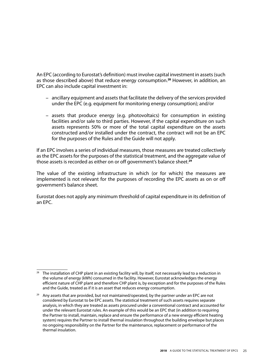An EPC (according to Eurostat's definition) must involve capital investment in assets (such as those described above) that reduce energy consumption.**<sup>28</sup>** However, in addition, an EPC can also include capital investment in:

- ancillary equipment and assets that facilitate the delivery of the services provided under the EPC (e.g. equipment for monitoring energy consumption); and/or
- assets that produce energy (e.g. photovoltaics) for consumption in existing facilities and/or sale to third parties. However, if the capital expenditure on such assets represents 50% or more of the total capital expenditure on the assets constructed and/or installed under the contract, the contract will not be an EPC for the purposes of the Rules and the Guide will not apply.

If an EPC involves a series of individual measures, those measures are treated collectively as the EPC assets for the purposes of the statistical treatment, and the aggregate value of those assets is recorded as either on or off government's balance sheet.**<sup>29</sup>**

The value of the existing infrastructure in which (or for which) the measures are implemented is not relevant for the purposes of recording the EPC assets as on or off government's balance sheet.

Eurostat does not apply any minimum threshold of capital expenditure in its definition of an EPC.

<sup>&</sup>lt;sup>28</sup> The installation of CHP plant in an existing facility will, by itself, not necessarily lead to a reduction in the volume of energy (kWh) consumed in the facility. However, Eurostat acknowledges the energy efficient nature of CHP plant and therefore CHP plant is, by exception and for the purposes of the Rules and the Guide, treated as if it is an asset that reduces energy consumption.

 $29$  Any assets that are provided, but not maintained/operated, by the partner under an EPC are not considered by Eurostat to be EPC assets. The statistical treatment of such assets requires separate analysis, in which they are treated as assets procured under a conventional contract and accounted for under the relevant Eurostat rules. An example of this would be an EPC that (in addition to requiring the Partner to install, maintain, replace and ensure the performance of a new energy efficient heating system) requires the Partner to install thermal insulation throughout the building envelope but places no ongoing responsibility on the Partner for the maintenance, replacement or performance of the thermal insulation.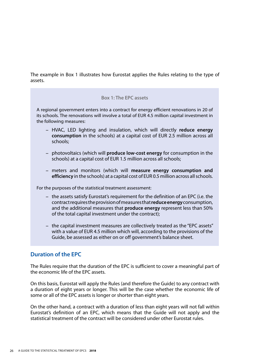The example in Box 1 illustrates how Eurostat applies the Rules relating to the type of assets.

#### **Box 1: The EPC assets**

A regional government enters into a contract for energy efficient renovations in 20 of its schools. The renovations will involve a total of EUR 4.5 million capital investment in the following measures:

- HVAC, LED lighting and insulation, which will directly **reduce energy consumption** in the schools) at a capital cost of EUR 2.5 million across all schools;
- photovoltaics (which will **produce low-cost energy** for consumption in the schools) at a capital cost of EUR 1.5 million across all schools;
- meters and monitors (which will measure energy consumption and **efficiency** in the schools) at a capital cost of EUR 0.5 million across all schools.

For the purposes of the statistical treatment assessment:

- $-$  the assets satisfy Eurostat's requirement for the definition of an EPC (i.e. the contract requires the provision of measures that **reduce energy** consumption, and the additional measures that **produce energy** represent less than 50% of the total capital investment under the contract);
- the capital investment measures are collectively treated as the "EPC assets" with a value of EUR 4.5 million which will, according to the provisions of the Guide, be assessed as either on or off government's balance sheet.

#### **Duration of the EPC**

The Rules require that the duration of the EPC is sufficient to cover a meaningful part of the economic life of the EPC assets.

On this basis, Eurostat will apply the Rules (and therefore the Guide) to any contract with a duration of eight years or longer. This will be the case whether the economic life of some or all of the EPC assets is longer or shorter than eight years.

On the other hand, a contract with a duration of less than eight years will not fall within Eurostat's definition of an EPC, which means that the Guide will not apply and the statistical treatment of the contract will be considered under other Eurostat rules.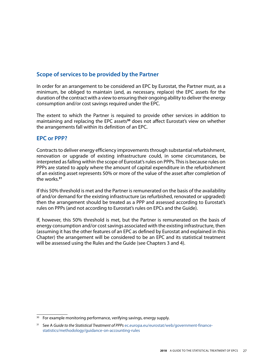## **Scope of services to be provided by the Partner**

In order for an arrangement to be considered an EPC by Eurostat, the Partner must, as a minimum, be obliged to maintain (and, as necessary, replace) the EPC assets for the duration of the contract with a view to ensuring their ongoing ability to deliver the energy consumption and/or cost savings required under the EPC.

The extent to which the Partner is required to provide other services in addition to maintaining and replacing the EPC assets**<sup>30</sup>** does not affect Eurostat's view on whether the arrangements fall within its definition of an EPC.

#### **EPC or PPP?**

Contracts to deliver energy efficiency improvements through substantial refurbishment, renovation or upgrade of existing infrastructure could, in some circumstances, be interpreted as falling within the scope of Eurostat's rules on PPPs. This is because rules on PPPs are stated to apply where the amount of capital expenditure in the refurbishment of an existing asset represents 50% or more of the value of the asset after completion of the works.**<sup>31</sup>**

If this 50% threshold is met and the Partner is remunerated on the basis of the availability of and/or demand for the existing infrastructure (as refurbished, renovated or upgraded) then the arrangement should be treated as a PPP and assessed according to Eurostat's rules on PPPs (and not according to Eurostat's rules on EPCs and the Guide).

If, however, this 50% threshold is met, but the Partner is remunerated on the basis of energy consumption and/or cost savings associated with the existing infrastructure, then (assuming it has the other features of an EPC as defined by Eurostat and explained in this Chapter) the arrangement will be considered to be an EPC and its statistical treatment will be assessed using the Rules and the Guide (see Chapters 3 and 4).

<sup>&</sup>lt;sup>30</sup> For example monitoring performance, verifying savings, energy supply.

<sup>&</sup>lt;sup>31</sup> See A *Guide to the Statistical Treatment of PPPs* [ec.europa.eu/eurostat/web/government-finance](http://ec.europa.eu/eurostat/web/government-finance-statistics/methodology/guidance-on-accounting-rules)[statistics/methodology/guidance-on-accounting-rules](http://ec.europa.eu/eurostat/web/government-finance-statistics/methodology/guidance-on-accounting-rules)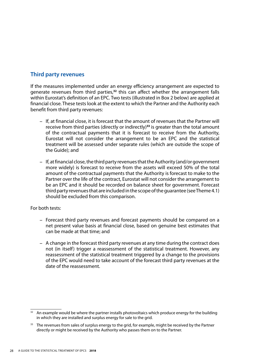#### **Third party revenues**

If the measures implemented under an energy efficiency arrangement are expected to generate revenues from third parties,**<sup>32</sup>** this can affect whether the arrangement falls within Eurostat's definition of an EPC. Two tests (illustrated in Box 2 below) are applied at financial close. These tests look at the extent to which the Partner and the Authority each benefit from third party revenues:

- If, at financial close, it is forecast that the amount of revenues that the Partner will receive from third parties (directly or indirectly)**<sup>33</sup>** is greater than the total amount of the contractual payments that it is forecast to receive from the Authority, Eurostat will not consider the arrangement to be an EPC and the statistical treatment will be assessed under separate rules (which are outside the scope of the Guide); and
- If, at financial close, the third party revenues that the Authority (and/or government more widely) is forecast to receive from the assets will exceed 50% of the total amount of the contractual payments that the Authority is forecast to make to the Partner over the life of the contract, Eurostat will not consider the arrangement to be an EPC and it should be recorded on balance sheet for government. Forecast third party revenues that are included in the scope of the guarantee (see Theme 4.1) should be excluded from this comparison.

#### For both tests:

- Forecast third party revenues and forecast payments should be compared on a net present value basis at financial close, based on genuine best estimates that can be made at that time; and
- $-$  A change in the forecast third party revenues at any time during the contract does not (in itself) trigger a reassessment of the statistical treatment. However, any reassessment of the statistical treatment triggered by a change to the provisions of the EPC would need to take account of the forecast third party revenues at the date of the reassessment.

An example would be where the partner installs photovoltaics which produce energy for the building in which they are installed and surplus energy for sale to the grid.

<sup>&</sup>lt;sup>33</sup> The revenues from sales of surplus energy to the grid, for example, might be received by the Partner directly or might be received by the Authority who passes them on to the Partner.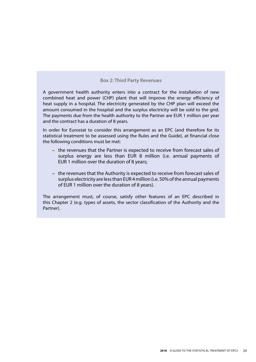#### **Box 2: Third Party Revenues**

A government health authority enters into a contract for the installation of new combined heat and power (CHP) plant that will improve the energy efficiency of heat supply in a hospital. The electricity generated by the CHP plan will exceed the amount consumed in the hospital and the surplus electricity will be sold to the grid. The payments due from the health authority to the Partner are EUR 1 million per year and the contract has a duration of 8 years.

In order for Eurostat to consider this arrangement as an EPC (and therefore for its statistical treatment to be assessed using the Rules and the Guide), at financial close the following conditions must be met:

- the revenues that the Partner is expected to receive from forecast sales of surplus energy are less than EUR 8 million (i.e. annual payments of EUR 1 million over the duration of 8 years;
- the revenues that the Authority is expected to receive from forecast sales of surplus electricity are less than EUR 4 million (i.e. 50% of the annual payments of EUR 1 million over the duration of 8 years).

The arrangement must, of course, satisfy other features of an EPC described in this Chapter 2 (e.g. types of assets, the sector classification of the Authority and the Partner).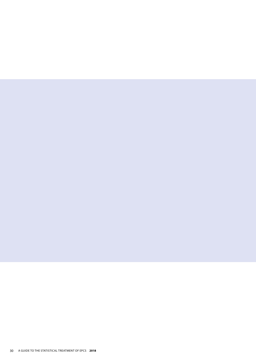A GUIDE TO THE STATISTICAL TREATMENT OF EPCS **2018**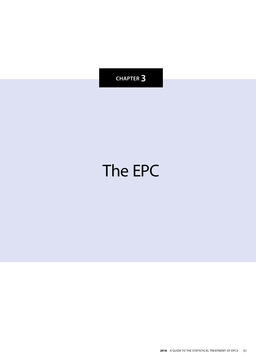**CHAPTER 3**

# The EPC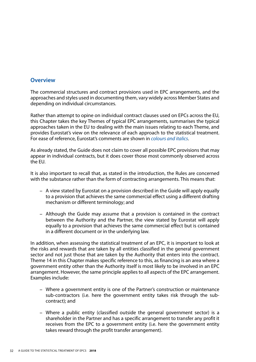#### **Overview**

The commercial structures and contract provisions used in EPC arrangements, and the approaches and styles used in documenting them, vary widely across Member States and depending on individual circumstances.

Rather than attempt to opine on individual contract clauses used on EPCs across the EU, this Chapter takes the key Themes of typical EPC arrangements, summarises the typical approaches taken in the EU to dealing with the main issues relating to each Theme, and provides Eurostat's view on the relevance of each approach to the statistical treatment. For ease of reference, Eurostat's comments are shown in *colours and italics*.

As already stated, the Guide does not claim to cover all possible EPC provisions that may appear in individual contracts, but it does cover those most commonly observed across the EU.

It is also important to recall that, as stated in the introduction, the Rules are concerned with the substance rather than the form of contracting arrangements. This means that:

- $-$  A view stated by Eurostat on a provision described in the Guide will apply equally to a provision that achieves the same commercial effect using a different drafting mechanism or different terminology; and
- Although the Guide may assume that a provision is contained in the contract between the Authority and the Partner, the view stated by Eurostat will apply equally to a provision that achieves the same commercial effect but is contained in a different document or in the underlying law.

In addition, when assessing the statistical treatment of an EPC, it is important to look at the risks and rewards that are taken by all entities classified in the general government sector and not just those that are taken by the Authority that enters into the contract. Theme 14 in this Chapter makes specific reference to this, as financing is an area where a government entity other than the Authority itself is most likely to be involved in an EPC arrangement. However, the same principle applies to all aspects of the EPC arrangement. Examples include:

- Where a government entity is one of the Partner's construction or maintenance sub-contractors (i.e. here the government entity takes risk through the subcontract); and
- Where a public entity (classified outside the general government sector) is a shareholder in the Partner and has a specific arrangement to transfer any profit it receives from the EPC to a government entity (i.e. here the government entity takes reward through the profit transfer arrangement).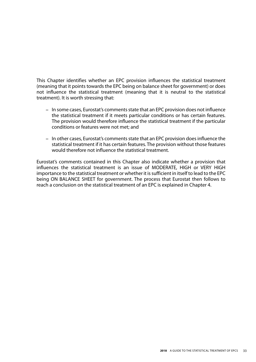This Chapter identifies whether an EPC provision influences the statistical treatment (meaning that it points towards the EPC being on balance sheet for government) or does not influence the statistical treatment (meaning that it is neutral to the statistical treatment). It is worth stressing that:

- In some cases, Eurostat's comments state that an EPC provision does not influence the statistical treatment if it meets particular conditions or has certain features. The provision would therefore influence the statistical treatment if the particular conditions or features were not met; and
- In other cases, Eurostat's comments state that an EPC provision does influence the statistical treatment if it has certain features. The provision without those features would therefore not influence the statistical treatment.

Eurostat's comments contained in this Chapter also indicate whether a provision that influences the statistical treatment is an issue of MODERATE, HIGH or VERY HIGH importance to the statistical treatment or whether it is sufficient in itself to lead to the EPC being ON BALANCE SHEET for government. The process that Eurostat then follows to reach a conclusion on the statistical treatment of an EPC is explained in Chapter 4.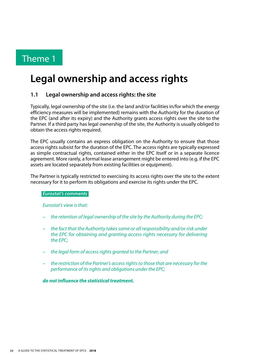# **Legal ownership and access rights**

## **1.1 Legal ownership and access rights: the site**

Typically, legal ownership of the site (i.e. the land and/or facilities in/for which the energy efficiency measures will be implemented) remains with the Authority for the duration of the EPC (and after its expiry) and the Authority grants access rights over the site to the Partner. If a third party has legal ownership of the site, the Authority is usually obliged to obtain the access rights required.

The EPC usually contains an express obligation on the Authority to ensure that those access rights subsist for the duration of the EPC. The access rights are typically expressed as simple contractual rights, contained either in the EPC itself or in a separate licence agreement. More rarely, a formal lease arrangement might be entered into (e.g. if the EPC assets are located separately from existing facilities or equipment).

The Partner is typically restricted to exercising its access rights over the site to the extent necessary for it to perform its obligations and exercise its rights under the EPC.

#### *Eurostat's comments*

*Eurostat's view is that:*

- the retention of legal ownership of the site by the Authority during the EPC;
- the fact that the Authority takes some or all responsibility and/or risk under *the EPC for obtaining and granting access rights necessary for delivering the EPC;*
- *the legal form of access rights granted to the Partner: and*
- the restriction of the Partner's access rights to those that are necessary for the *performance of its rights and obligations under the EPC;*

#### *do not influence the statistical treatment.*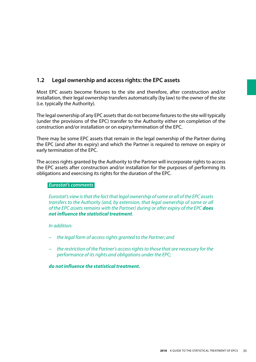## **1.2 Legal ownership and access rights: the EPC assets**

Most EPC assets become fixtures to the site and therefore, after construction and/or installation, their legal ownership transfers automatically (by law) to the owner of the site (i.e. typically the Authority).

The legal ownership of any EPC assets that do not become fixtures to the site will typically (under the provisions of the EPC) transfer to the Authority either on completion of the construction and/or installation or on expiry/termination of the EPC.

There may be some EPC assets that remain in the legal ownership of the Partner during the EPC (and after its expiry) and which the Partner is required to remove on expiry or early termination of the EPC.

The access rights granted by the Authority to the Partner will incorporate rights to access the EPC assets after construction and/or installation for the purposes of performing its obligations and exercising its rights for the duration of the EPC.

## *Eurostat's comments*

*Eurostat's view is that the fact that legal ownership of some or all of the EPC assets transfers to the Authority (and, by extension, that legal ownership of some or all of the EPC assets remains with the Partner) during or after expiry of the EPC does not influence the statistical treatment.*

*In addition:*

- the legal form of access rights granted to the Partner; and
- the restriction of the Partner's access rights to those that are necessary for the *performance of its rights and obligations under the EPC;*

*do not influence the statistical treatment.*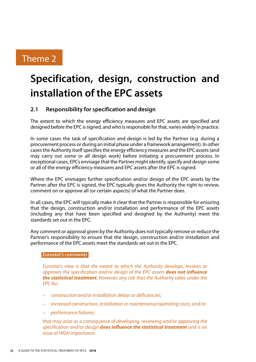

# **Specification, design, construction and installation of the EPC assets**

## **2.1 Responsibility for specification and design**

The extent to which the energy efficiency measures and EPC assets are specified and designed before the EPC is signed, and who is responsible for that, varies widely in practice.

In some cases the task of specification and design is led by the Partner (e.g. during a procurement process or during an initial phase under a framework arrangement). In other cases the Authority itself specifies the energy efficiency measures and the EPC assets (and may carry out some or all design work) before initiating a procurement process. In exceptional cases, EPCs envisage that the Partner might identify, specify and design some or all of the energy efficiency measures and EPC assets after the EPC is signed.

Where the EPC envisages further specification and/or design of the EPC assets by the Partner after the EPC is signed, the EPC typically gives the Authority the right to review, comment on or approve all (or certain aspects) of what the Partner does.

In all cases, the EPC will typically make it clear that the Partner is responsible for ensuring that the design, construction and/or installation and performance of the EPC assets (including any that have been specified and designed by the Authority) meet the standards set out in the EPC.

Any comment or approval given by the Authority does not typically remove or reduce the Partner's responsibility to ensure that the design, construction and/or installation and performance of the EPC assets meet the standards set out in the EPC.

*Eurostat's comments*

*Eurostat's view is that the extent to which the Authority develops, reviews or approves the specification and/or design of the EPC assets does not influence the statistical treatment. However, any risk that the Authority takes under the EPC for:*

- construction and/or installation delays or deficiencies;
- increased construction, installation or maintenance/operating costs; and/or
- - *performance failures;*

*that may arise as a consequence of developing, reviewing and/or approving the specification and/or design does influence the statistical treatment and is an issue of HIGH importance.*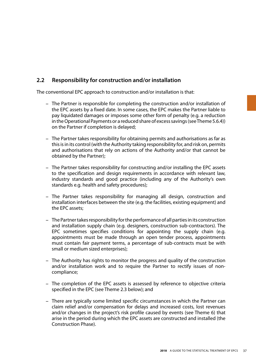## **2.2 Responsibility for construction and/or installation**

The conventional EPC approach to construction and/or installation is that:

- The Partner is responsible for completing the construction and/or installation of the EPC assets by a fixed date. In some cases, the EPC makes the Partner liable to pay liquidated damages or imposes some other form of penalty (e.g. a reduction in the Operational Payments or a reduced share of excess savings (see Theme 5.6.4)) on the Partner if completion is delayed;
- The Partner takes responsibility for obtaining permits and authorisations as far as this is in its control (with the Authority taking responsibility for, and risk on, permits and authorisations that rely on actions of the Authority and/or that cannot be obtained by the Partner);
- The Partner takes responsibility for constructing and/or installing the EPC assets to the specification and design requirements in accordance with relevant law, industry standards and good practice (including any of the Authority's own standards e.g. health and safety procedures);
- The Partner takes responsibility for managing all design, construction and installation interfaces between the site (e.g. the facilities, existing equipment) and the EPC assets;
- The Partner takes responsibility for the performance of all parties in its construction and installation supply chain (e.g. designers, construction sub-contractors). The EPC sometimes specifies conditions for appointing the supply chain (e.g. appointments must be made through an open tender process, appointments must contain fair payment terms, a percentage of sub-contracts must be with small or medium sized enterprises);
- The Authority has rights to monitor the progress and quality of the construction and/or installation work and to require the Partner to rectify issues of noncompliance;
- The completion of the EPC assets is assessed by reference to objective criteria specified in the EPC (see Theme 2.3 below); and
- There are typically some limited specific circumstances in which the Partner can claim relief and/or compensation for delays and increased costs, lost revenues and/or changes in the project's risk profile caused by events (see Theme 6) that arise in the period during which the EPC assets are constructed and installed (the Construction Phase).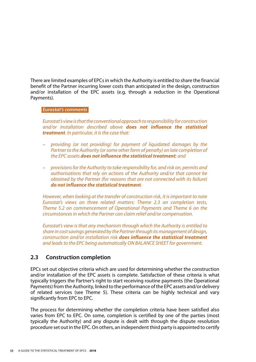There are limited examples of EPCs in which the Authority is entitled to share the financial benefit of the Partner incurring lower costs than anticipated in the design, construction and/or installation of the EPC assets (e.g. through a reduction in the Operational Payments).

#### *Eurostat's comments*

*Eurostat's view is that the conventional approach to responsibility for construction and/or installation described above does not influence the statistical treatment. In particular, it is the case that:*

- providing (or not providing) for payment of liquidated damages by the *Partner to the Authority (or some other form of penalty) on late completion of the EPC assets does not influence the statistical treatment; and*
- -  *provisions for the Authority to take responsibility for, and risk on, permits and authorisations that rely on actions of the Authority and/or that cannot be obtained by the Partner (for reasons that are not connected with its failure) do not influence the statistical treatment.*

*However, when looking at the transfer of construction risk, it is important to note Eurostat's views on three related matters: Theme 2.3 on completion tests, Theme 5.2 on commencement of Operational Payments and Theme 6 on the circumstances in which the Partner can claim relief and/or compensation.*

*Eurostat's view is that any mechanism through which the Authority is entitled to share in cost savings generated by the Partner through its management of design, construction and/or installation risk does influence the statistical treatment and leads to the EPC being automatically ON BALANCE SHEET for government.*

## **2.3 Construction completion**

EPCs set out objective criteria which are used for determining whether the construction and/or installation of the EPC assets is complete. Satisfaction of these criteria is what typically triggers the Partner's right to start receiving routine payments (the Operational Payments) from the Authority, linked to the performance of the EPC assets and/or delivery of related services (see Theme 5). These criteria can be highly technical and vary significantly from EPC to EPC.

The process for determining whether the completion criteria have been satisfied also varies from EPC to EPC. On some, completion is certified by one of the parties (most typically the Authority) and any dispute is dealt with through the dispute resolution procedure set out in the EPC. On others, an independent third party is appointed to certify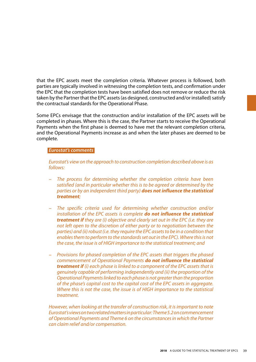that the EPC assets meet the completion criteria. Whatever process is followed, both parties are typically involved in witnessing the completion tests, and confirmation under the EPC that the completion tests have been satisfied does not remove or reduce the risk taken by the Partner that the EPC assets (as designed, constructed and/or installed) satisfy the contractual standards for the Operational Phase.

Some EPCs envisage that the construction and/or installation of the EPC assets will be completed in phases. Where this is the case, the Partner starts to receive the Operational Payments when the first phase is deemed to have met the relevant completion criteria, and the Operational Payments increase as and when the later phases are deemed to be complete.

#### *Eurostat's comments*

*Eurostat's view on the approach to construction completion described above is as follows:*

- The process for determining whether the completion criteria have been *satisfied (and in particular whether this is to be agreed or determined by the parties or by an independent third party) does not influence the statistical treatment;*
- The specific criteria used for determining whether construction and/or *installation of the EPC assets is complete do not influence the statistical treatment if they are (i) objective and clearly set out in the EPC (i.e. they are not left open to the discretion of either party or to negotiation between the parties) and (ii) robust (i.e. they require the EPC assets to be in a condition that enables them to perform to the standards set out in the EPC). Where this is not the case, the issue is of HIGH importance to the statistical treatment; and*
- -  *Provisions for phased completion of the EPC assets that triggers the phased commencement of Operational Payments do not influence the statistical treatment if (i) each phase is linked to a component of the EPC assets that is genuinely capable of performing independently and (ii) the proportion of the Operational Payments linked to each phase is not greater than the proportion of the phase's capital cost to the capital cost of the EPC assets in aggregate. Where this is not the case, the issue is of HIGH importance to the statistical treatment.*

*However, when looking at the transfer of construction risk, it is important to note Eurostat's views on two related matters in particular: Theme 5.2 on commencement of Operational Payments and Theme 6 on the circumstances in which the Partner can claim relief and/or compensation.*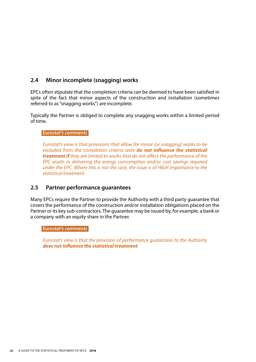## **2.4 Minor incomplete (snagging) works**

EPCs often stipulate that the completion criteria can be deemed to have been satisfied in spite of the fact that minor aspects of the construction and installation (sometimes referred to as "snagging works") are incomplete.

Typically the Partner is obliged to complete any snagging works within a limited period of time.

## *Eurostat's comments*

*Eurostat's view is that provisions that allow for minor (or snagging) works to be excluded from the completion criteria tests do not influence the statistical treatment if they are limited to works that do not affect the performance of the EPC assets in delivering the energy consumption and/or cost savings required under the EPC. Where this is not the case, the issue is of HIGH importance to the statistical treatment.*

## **2.5 Partner performance guarantees**

Many EPCs require the Partner to provide the Authority with a third party guarantee that covers the performance of the construction and/or installation obligations placed on the Partner or its key sub-contractors. The guarantee may be issued by, for example, a bank or a company with an equity share in the Partner.

*Eurostat's comments*

*Eurostat's view is that the provision of performance guarantees to the Authority does not influence the statistical treatment.*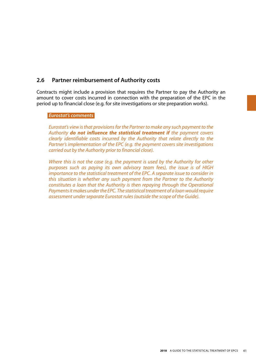## **2.6 Partner reimbursement of Authority costs**

Contracts might include a provision that requires the Partner to pay the Authority an amount to cover costs incurred in connection with the preparation of the EPC in the period up to financial close (e.g. for site investigations or site preparation works).

## *Eurostat's comments*

*Eurostat's view is that provisions for the Partner to make any such payment to the Authority do not influence the statistical treatment if the payment covers clearly identifiable costs incurred by the Authority that relate directly to the Partner's implementation of the EPC (e.g. the payment covers site investigations carried out by the Authority prior to financial close).*

*Where this is not the case (e.g. the payment is used by the Authority for other purposes such as paying its own advisory team fees), the issue is of HIGH importance to the statistical treatment of the EPC. A separate issue to consider in this situation is whether any such payment from the Partner to the Authority constitutes a loan that the Authority is then repaying through the Operational Payments it makes under the EPC. The statistical treatment of a loan would require assessment under separate Eurostat rules (outside the scope of the Guide).*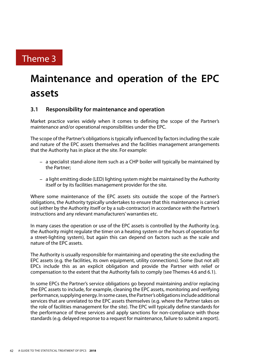Theme 3

# **Maintenance and operation of the EPC assets**

## **3.1 Responsibility for maintenance and operation**

Market practice varies widely when it comes to defining the scope of the Partner's maintenance and/or operational responsibilities under the EPC.

The scope of the Partner's obligations is typically influenced by factors including the scale and nature of the EPC assets themselves and the facilities management arrangements that the Authority has in place at the site. For example:

- a specialist stand-alone item such as a CHP boiler will typically be maintained by the Partner;
- a light emitting diode (LED) lighting system might be maintained by the Authority itself or by its facilities management provider for the site.

Where some maintenance of the EPC assets sits outside the scope of the Partner's obligations, the Authority typically undertakes to ensure that this maintenance is carried out (either by the Authority itself or by a sub-contractor) in accordance with the Partner's instructions and any relevant manufacturers' warranties etc.

In many cases the operation or use of the EPC assets is controlled by the Authority (e.g. the Authority might regulate the timer on a heating system or the hours of operation for a street-lighting system), but again this can depend on factors such as the scale and nature of the EPC assets.

The Authority is usually responsible for maintaining and operating the site excluding the EPC assets (e.g. the facilities, its own equipment, utility connections). Some (but not all) EPCs include this as an explicit obligation and provide the Partner with relief or compensation to the extent that the Authority fails to comply (see Themes 4.6 and 6.1).

In some EPCs the Partner's service obligations go beyond maintaining and/or replacing the EPC assets to include, for example, cleaning the EPC assets, monitoring and verifying performance, supplying energy. In some cases, the Partner's obligations include additional services that are unrelated to the EPC assets themselves (e.g. where the Partner takes on the role of facilities management for the site). The EPC will typically define standards for the performance of these services and apply sanctions for non-compliance with those standards (e.g. delayed response to a request for maintenance, failure to submit a report).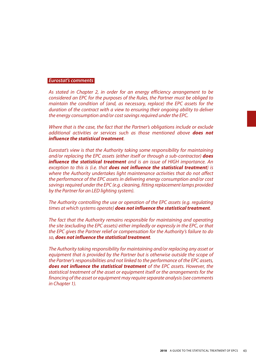#### *Eurostat's comments*

*As stated in Chapter 2, in order for an energy efficiency arrangement to be considered an EPC for the purposes of the Rules, the Partner must be obliged to maintain the condition of (and, as necessary, replace) the EPC assets for the duration of the contract with a view to ensuring their ongoing ability to deliver the energy consumption and/or cost savings required under the EPC.*

*Where that is the case, the fact that the Partner's obligations include or exclude additional activities or services such as those mentioned above does not influence the statistical treatment.*

*Eurostat's view is that the Authority taking some responsibility for maintaining and/or replacing the EPC assets (either itself or through a sub-contractor) does influence the statistical treatment and is an issue of HIGH importance. An exception to this is (i.e. that does not influence the statistical treatment) is where the Authority undertakes light maintenance activities that do not affect the performance of the EPC assets in delivering energy consumption and/or cost savings required under the EPC (e.g. cleaning, fitting replacement lamps provided by the Partner for an LED lighting system).*

*The Authority controlling the use or operation of the EPC assets (e.g. regulating times at which systems operate) does not influence the statistical treatment.*

*The fact that the Authority remains responsible for maintaining and operating the site (excluding the EPC assets) either impliedly or expressly in the EPC, or that the EPC gives the Partner relief or compensation for the Authority's failure to do so, does not influence the statistical treatment.*

*The Authority taking responsibility for maintaining and/or replacing any asset or equipment that is provided by the Partner but is otherwise outside the scope of the Partner's responsibilities and not linked to the performance of the EPC assets, does not influence the statistical treatment of the EPC assets. However, the statistical treatment of the asset or equipment itself or the arrangements for the financing of the asset or equipment may require separate analysis (see comments in Chapter 1).*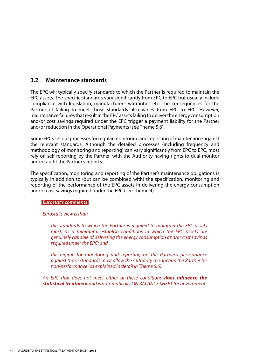## **3.2 Maintenance standards**

The EPC will typically specify standards to which the Partner is required to maintain the EPC assets. The specific standards vary significantly from EPC to EPC but usually include compliance with legislation, manufacturers' warranties etc. The consequences for the Partner of failing to meet those standards also varies from EPC to EPC. However, maintenance failures that result in the EPC assets failing to deliver the energy consumption and/or cost savings required under the EPC trigger a payment liability for the Partner and/or reduction in the Operational Payments (see Theme 5.6).

Some EPCs set out processes for regular monitoring and reporting of maintenance against the relevant standards. Although the detailed processes (including frequency and methodology of monitoring and reporting) can vary significantly from EPC to EPC, most rely on self-reporting by the Partner, with the Authority having rights to dual-monitor and/or audit the Partner's reports.

The specification, monitoring and reporting of the Partner's maintenance obligations is typically in addition to (but can be combined with) the specification, monitoring and reporting of the performance of the EPC assets in delivering the energy consumption and/or cost savings required under the EPC (see Theme 4).

## *Eurostat's comments*

*Eurostat's view is that:*

- the standards to which the Partner is required to maintain the EPC assets *must, as a minimum, establish conditions in which the EPC assets are genuinely capable of delivering the energy consumption and/or cost savings required under the EPC; and*
- the regime for monitoring and reporting on the Partner's performance *against those standards must allow the Authority to sanction the Partner for non-performance (as explained in detail in Theme 5.6).*

*An EPC that does not meet either of these conditions does influence the statistical treatment and is automatically ON BALANCE SHEET for government.*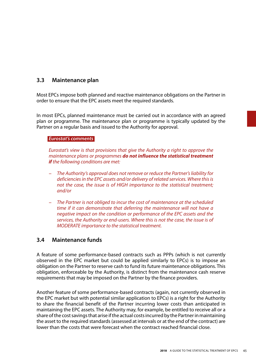## **3.3 Maintenance plan**

Most EPCs impose both planned and reactive maintenance obligations on the Partner in order to ensure that the EPC assets meet the required standards.

In most EPCs, planned maintenance must be carried out in accordance with an agreed plan or programme. The maintenance plan or programme is typically updated by the Partner on a regular basis and issued to the Authority for approval.

## *Eurostat's comments*

*Eurostat's view is that provisions that give the Authority a right to approve the maintenance plans or programmes do not influence the statistical treatment if the following conditions are met:*

- The Authority's approval does not remove or reduce the Partner's liability for deficiencies in the EPC assets and/or delivery of related services. Where this is *not the case, the issue is of HIGH importance to the statistical treatment; and/or*
- The Partner is not obliged to incur the cost of maintenance at the scheduled *time if it can demonstrate that deferring the maintenance will not have a negative impact on the condition or performance of the EPC assets and the services, the Authority or end-users. Where this is not the case, the issue is of MODERATE importance to the statistical treatment.*

## **3.4 Maintenance funds**

A feature of some performance-based contracts such as PPPs (which is not currently observed in the EPC market but could be applied similarly to EPCs) is to impose an obligation on the Partner to reserve cash to fund its future maintenance obligations. This obligation, enforceable by the Authority, is distinct from the maintenance cash reserve requirements that may be imposed on the Partner by the finance providers.

Another feature of some performance-based contracts (again, not currently observed in the EPC market but with potential similar application to EPCs) is a right for the Authority to share the financial benefit of the Partner incurring lower costs than anticipated in maintaining the EPC assets. The Authority may, for example, be entitled to receive all or a share of the cost savings that arise if the actual costs incurred by the Partner in maintaining the asset to the required standards (assessed at intervals or at the end of the contract) are lower than the costs that were forecast when the contract reached financial close.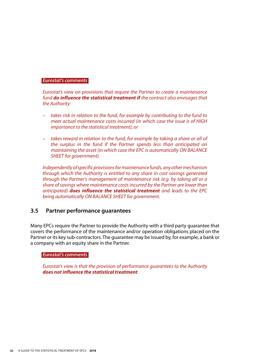#### *Eurostat's comments*

*Eurostat's view on provisions that require the Partner to create a maintenance fund do influence the statistical treatment if the contract also envisages that the Authority:*

- takes risk in relation to the fund, for example by contributing to the fund to *meet actual maintenance costs incurred (in which case the issue is of HIGH importance to the statistical treatment); or*
- *takes reward in relation to the fund, for example by taking a share or all of the surplus in the fund if the Partner spends less than anticipated on maintaining the asset (in which case the EPC is automatically ON BALANCE SHEET for government).*

*Independently of specific provisions for maintenance funds, any other mechanism through which the Authority is entitled to any share in cost savings generated through the Partner's management of maintenance risk (e.g. by taking all or a share of savings where maintenance costs incurred by the Partner are lower than anticipated) does influence the statistical treatment and leads to the EPC being automatically ON BALANCE SHEET for government.*

## **3.5 Partner performance guarantees**

Many EPCs require the Partner to provide the Authority with a third party guarantee that covers the performance of the maintenance and/or operation obligations placed on the Partner or its key sub-contractors. The guarantee may be issued by, for example, a bank or a company with an equity share in the Partner.

*Eurostat's comments*

*Eurostat's view is that the provision of performance guarantees to the Authority does not influence the statistical treatment.*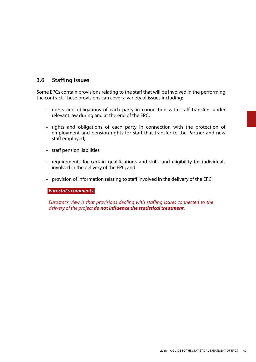## **3.6 Staffing issues**

Some EPCs contain provisions relating to the staff that will be involved in the performing the contract. These provisions can cover a variety of issues including:

- rights and obligations of each party in connection with staff transfers under relevant law during and at the end of the EPC;
- rights and obligations of each party in connection with the protection of employment and pension rights for staff that transfer to the Partner and new staff employed;
- staff pension liabilities;
- requirements for certain qualifications and skills and eligibility for individuals involved in the delivery of the EPC; and
- provision of information relating to staff involved in the delivery of the EPC.

#### *Eurostat's comments*

*Eurostat's view is that provisions dealing with staffing issues connected to the delivery of the project do not influence the statistical treatment.*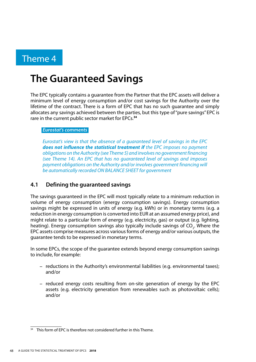

## **The Guaranteed Savings**

The EPC typically contains a guarantee from the Partner that the EPC assets will deliver a minimum level of energy consumption and/or cost savings for the Authority over the lifetime of the contract. There is a form of EPC that has no such guarantee and simply allocates any savings achieved between the parties, but this type of "pure savings" EPC is rare in the current public sector market for EPCs.**<sup>34</sup>**

## *Eurostat's comments*

*Eurostat's view is that the absence of a guaranteed level of savings in the EPC does not influence the statistical treatment if the EPC imposes no payment obligations on the Authority (see Theme 5) and involves no government financing (see Theme 14). An EPC that has no guaranteed level of savings and imposes payment obligations on the Authority and/or involves government financing will be automatically recorded ON BALANCE SHEET for government*

## **4.1 Defining the guaranteed savings**

The savings guaranteed in the EPC will most typically relate to a minimum reduction in volume of energy consumption (energy consumption savings). Energy consumption savings might be expressed in units of energy (e.g. kWh) or in monetary terms (e.g. a reduction in energy consumption is converted into EUR at an assumed energy price), and might relate to a particular form of energy (e.g. electricity, gas) or output (e.g. lighting, heating). Energy consumption savings also typically include savings of  $\mathsf{CO}_2$ . Where the EPC assets comprise measures across various forms of energy and/or various outputs, the guarantee tends to be expressed in monetary terms.

In some EPCs, the scope of the guarantee extends beyond energy consumption savings to include, for example:

- $-$  reductions in the Authority's environmental liabilities (e.g. environmental taxes); and/or
- reduced energy costs resulting from on-site generation of energy by the EPC assets (e.g. electricity generation from renewables such as photovoltaic cells); and/or

<sup>&</sup>lt;sup>34</sup> This form of FPC is therefore not considered further in this Theme.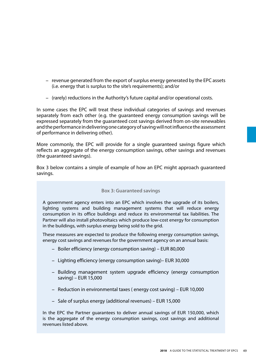- revenue generated from the export of surplus energy generated by the EPC assets (i.e. energy that is surplus to the site's requirements); and/or
- (rarely) reductions in the Authority's future capital and/or operational costs.

In some cases the EPC will treat these individual categories of savings and revenues separately from each other (e.g. the guaranteed energy consumption savings will be expressed separately from the guaranteed cost savings derived from on-site renewables and the performance in delivering one category of saving will not influence the assessment of performance in delivering other).

More commonly, the EPC will provide for a single guaranteed savings figure which reflects an aggregate of the energy consumption savings, other savings and revenues (the guaranteed savings).

Box 3 below contains a simple of example of how an EPC might approach guaranteed savings.

## **Box 3: Guaranteed savings**

A government agency enters into an EPC which involves the upgrade of its boilers, lighting systems and building management systems that will reduce energy consumption in its office buildings and reduce its environmental tax liabilities. The Partner will also install photovoltaics which produce low-cost energy for consumption in the buildings, with surplus energy being sold to the grid.

These measures are expected to produce the following energy consumption savings, energy cost savings and revenues for the government agency on an annual basis:

- Boiler efficiency (energy consumption saving) EUR 80,000
- Lighting efficiency (energy consumption saving)– EUR 30,000
- Building management system upgrade efficiency (energy consumption saving) – EUR 15,000
- Reduction in environmental taxes ( energy cost saving) EUR 10,000
- Sale of surplus energy (additional revenues) EUR 15,000

In the EPC the Partner guarantees to deliver annual savings of EUR 150,000, which is the aggregate of the energy consumption savings, cost savings and additional revenues listed above.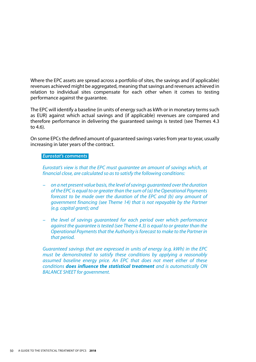Where the EPC assets are spread across a portfolio of sites, the savings and (if applicable) revenues achieved might be aggregated, meaning that savings and revenues achieved in relation to individual sites compensate for each other when it comes to testing performance against the guarantee.

The EPC will identify a baseline (in units of energy such as kWh or in monetary terms such as EUR) against which actual savings and (if applicable) revenues are compared and therefore performance in delivering the guaranteed savings is tested (see Themes 4.3 to 4.6).

On some EPCs the defined amount of guaranteed savings varies from year to year, usually increasing in later years of the contract.

#### *Eurostat's comments*

*Eurostat's view is that the EPC must guarantee an amount of savings which, at financial close, are calculated so as to satisfy the following conditions:*

- on a net present value basis, the level of savings quaranteed over the duration *of the EPC is equal to or greater than the sum of (a) the Operational Payments forecast to be made over the duration of the EPC and (b) any amount of government financing (see Theme 14) that is not repayable by the Partner (e.g. capital grant); and*
- the level of savings guaranteed for each period over which performance *against the guarantee is tested (see Theme 4.3) is equal to or greater than the Operational Payments that the Authority is forecast to make to the Partner in that period.*

*Guaranteed savings that are expressed in units of energy (e.g. kWh) in the EPC must be demonstrated to satisfy these conditions by applying a reasonably assumed baseline energy price. An EPC that does not meet either of these conditions does influence the statistical treatment and is automatically ON BALANCE SHEET for government.*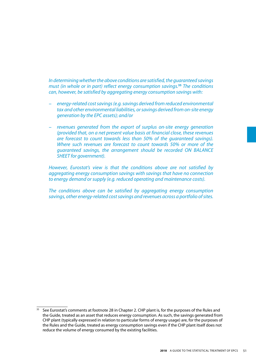*In determining whether the above conditions are satisfied, the guaranteed savings must (in whole or in part) reflect energy consumption savings.***<sup>35</sup>** *The conditions can, however, be satisfied by aggregating energy consumption savings with:*

- energy-related cost savings (e.g. savings derived from reduced environmental *tax and other environmental liabilities, or savings derived from on-site energy generation by the EPC assets); and/or*
- revenues generated from the export of surplus on-site energy generation *(provided that, on a net present value basis at financial close, these revenues are forecast to count towards less than 50% of the guaranteed savings). Where such revenues are forecast to count towards 50% or more of the guaranteed savings, the arrangement should be recorded ON BALANCE SHEET for government).*

*However, Eurostat's view is that the conditions above are not satisfied by aggregating energy consumption savings with savings that have no connection to energy demand or supply (e.g. reduced operating and maintenance costs).*

*The conditions above can be satisfied by aggregating energy consumption savings, other energy-related cost savings and revenues across a portfolio of sites.*

<sup>&</sup>lt;sup>35</sup> See Eurostat's comments at footnote 28 in Chapter 2. CHP plant is, for the purposes of the Rules and the Guide, treated as an asset that reduces energy consumption. As such, the savings generated from CHP plant (typically expressed in relation to particular forms of energy usage) are, for the purposes of the Rules and the Guide, treated as energy consumption savings even if the CHP plant itself does not reduce the volume of energy consumed by the existing facilities.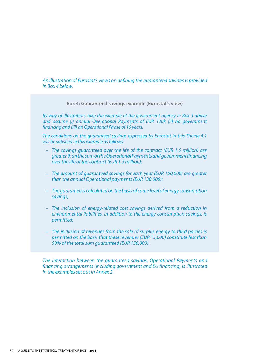*An illustration of Eurostat's views on defining the guaranteed savings is provided in Box 4 below.* 

**Box 4: Guaranteed savings example (Eurostat's view)**

*By way of illustration, take the example of the government agency in Box 3 above and assume (i) annual Operational Payments of EUR 130k (ii) no government financing and (iii) an Operational Phase of 10 years.*

*The conditions on the guaranteed savings expressed by Eurostat in this Theme 4.1 will be satisfied in this example as follows:*

- The savings guaranteed over the life of the contract (EUR 1.5 million) are *greater than the sum of the Operational Payments and government financing over the life of the contract (EUR 1.3 million);*
- The amount of quaranteed savings for each year (EUR 150,000) are greater *than the annual Operational payments (EUR 130,000);*
- - *The guarantee is calculated on the basis of some level of energy consumption savings;*
- The inclusion of energy-related cost savings derived from a reduction in *environmental liabilities, in addition to the energy consumption savings, is permitted;*
- The inclusion of revenues from the sale of surplus energy to third parties is *permitted on the basis that these revenues (EUR 15,000) constitute less than 50% of the total sum guaranteed (EUR 150,000).*

*The interaction between the guaranteed savings, Operational Payments and financing arrangements (including government and EU financing) is illustrated in the examples set out in Annex 2.*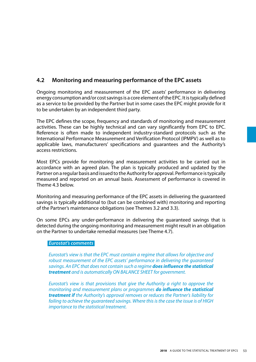## **4.2 Monitoring and measuring performance of the EPC assets**

Ongoing monitoring and measurement of the EPC assets' performance in delivering energy consumption and/or cost savings is a core element of the EPC. It is typically defined as a service to be provided by the Partner but in some cases the EPC might provide for it to be undertaken by an independent third party.

The EPC defines the scope, frequency and standards of monitoring and measurement activities. These can be highly technical and can vary significantly from EPC to EPC. Reference is often made to independent industry-standard protocols such as the International Performance Measurement and Verification Protocol (IPMPV) as well as to applicable laws, manufacturers' specifications and guarantees and the Authority's access restrictions.

Most EPCs provide for monitoring and measurement activities to be carried out in accordance with an agreed plan. The plan is typically produced and updated by the Partner on a regular basis and issued to the Authority for approval. Performance is typically measured and reported on an annual basis. Assessment of performance is covered in Theme 4.3 below.

Monitoring and measuring performance of the EPC assets in delivering the guaranteed savings is typically additional to (but can be combined with) monitoring and reporting of the Partner's maintenance obligations (see Themes 3.2 and 3.3).

On some EPCs any under-performance in delivering the guaranteed savings that is detected during the ongoing monitoring and measurement might result in an obligation on the Partner to undertake remedial measures (see Theme 4.7).

## *Eurostat's comments*

*Eurostat's view is that the EPC must contain a regime that allows for objective and robust measurement of the EPC assets' performance in delivering the guaranteed savings. An EPC that does not contain such a regime does influence the statistical treatment and is automatically ON BALANCE SHEET for government.*

*Eurostat's view is that provisions that give the Authority a right to approve the monitoring and measurement plans or programmes do influence the statistical treatment if the Authority's approval removes or reduces the Partner's liability for failing to achieve the guaranteed savings. Where this is the case the issue is of HIGH importance to the statistical treatment.*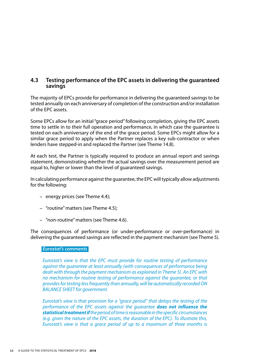## **4.3 Testing performance of the EPC assets in delivering the guaranteed savings**

The majority of EPCs provide for performance in delivering the guaranteed savings to be tested annually on each anniversary of completion of the construction and/or installation of the EPC assets.

Some EPCs allow for an initial "grace period" following completion, giving the EPC assets time to settle in to their full operation and performance, in which case the guarantee is tested on each anniversary of the end of the grace period. Some EPCs might allow for a similar grace period to apply when the Partner replaces a key sub-contractor or when lenders have stepped-in and replaced the Partner (see Theme 14.8).

At each test, the Partner is typically required to produce an annual report and savings statement, demonstrating whether the actual savings over the measurement period are equal to, higher or lower than the level of guaranteed savings.

In calculating performance against the guarantee, the EPC will typically allow adjustments for the following:

- $-$  energy prices (see Theme 4.4);
- "routine" matters (see Theme 4.5);
- "non-routine" matters (see Theme 4.6).

The consequences of performance (or under-performance or over-performance) in delivering the guaranteed savings are reflected in the payment mechanism (see Theme 5).

## *Eurostat's comments*

*Eurostat's view is that the EPC must provide for routine testing of performance against the guarantee at least annually (with consequences of performance being dealt with through the payment mechanism as explained in Theme 5). An EPC with no mechanism for routine testing of performance against the guarantee, or that provides for testing less frequently than annually, will be automatically recorded ON BALANCE SHEET for government.*

*Eurostat's view is that provision for a "grace period" that delays the testing of the performance of the EPC assets against the guarantee does not influence the statistical treatment if the period of time is reasonable in the specific circumstances (e.g. given the nature of the EPC assets, the duration of the EPC). To illustrate this, Eurostat's view is that a grace period of up to a maximum of three months is*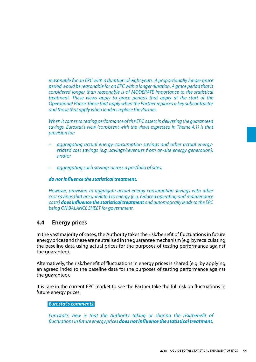*reasonable for an EPC with a duration of eight years. A proportionally longer grace period would be reasonable for an EPC with a longer duration. A grace period that is considered longer than reasonable is of MODERATE importance to the statistical treatment. These views apply to grace periods that apply at the start of the Operational Phase, those that apply when the Partner replaces a key subcontractor and those that apply when lenders replace the Partner.*

*When it comes to testing performance of the EPC assets in delivering the guaranteed savings, Eurostat's view (consistent with the views expressed in Theme 4.1) is that provision for:*

- aggregating actual energy consumption savings and other actual energy*related cost savings (e.g. savings/revenues from on-site energy generation); and/or*
- -  *aggregating such savings across a portfolio of sites;*

## *do not influence the statistical treatment.*

*However, provision to aggregate actual energy consumption savings with other cost savings that are unrelated to energy (e.g. reduced operating and maintenance costs) does influence the statistical treatment and automatically leads to the EPC being ON BALANCE SHEET for government.*

## **4.4 Energy prices**

In the vast majority of cases, the Authority takes the risk/benefit of fluctuations in future energy prices and these are neutralised in the guarantee mechanism (e.g. by recalculating the baseline data using actual prices for the purposes of testing performance against the quarantee).

Alternatively, the risk/benefit of fluctuations in energy prices is shared (e.g. by applying an agreed index to the baseline data for the purposes of testing performance against the guarantee).

It is rare in the current EPC market to see the Partner take the full risk on fluctuations in future energy prices.

## *Eurostat's comments*

*Eurostat's view is that the Authority taking or sharing the risk/benefit of fluctuations in future energy prices does not influence the statistical treatment.*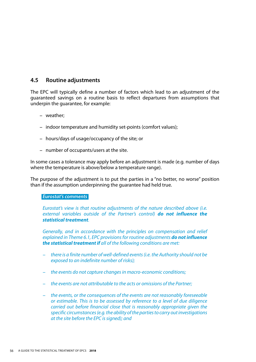## **4.5 Routine adjustments**

The EPC will typically define a number of factors which lead to an adjustment of the guaranteed savings on a routine basis to reflect departures from assumptions that underpin the guarantee, for example:

- weather;
- indoor temperature and humidity set-points (comfort values);
- hours/days of usage/occupancy of the site; or
- number of occupants/users at the site.

In some cases a tolerance may apply before an adjustment is made (e.g. number of days where the temperature is above/below a temperature range).

The purpose of the adjustment is to put the parties in a "no better, no worse" position than if the assumption underpinning the guarantee had held true.

#### *Eurostat's comments*

*Eurostat's view is that routine adjustments of the nature described above (i.e. external variables outside of the Partner's control) do not influence the statistical treatment.*

*Generally, and in accordance with the principles on compensation and relief explained in Theme 6.1, EPC provisions for routine adjustments do not influence the statistical treatment if all of the following conditions are met:*

- there is a finite number of well-defined events (*i.e. the Authority should not be exposed to an indefinite number of risks);*
- -  *the events do not capture changes in macro-economic conditions;*
- -  *the events are not attributable to the acts or omissions of the Partner;*
- -  *the events, or the consequences of the events are not reasonably foreseeable or estimable. This is to be assessed by reference to a level of due diligence carried out before financial close that is reasonably appropriate given the specific circumstances (e.g. the ability of the parties to carry out investigations at the site before the EPC is signed); and*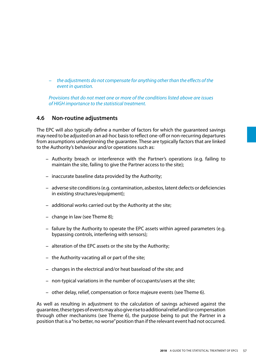the adjustments do not compensate for anything other than the effects of the *event in question.*

*Provisions that do not meet one or more of the conditions listed above are issues of HIGH importance to the statistical treatment.*

## **4.6 Non-routine adjustments**

The EPC will also typically define a number of factors for which the guaranteed savings may need to be adjusted on an ad-hoc basis to reflect one-off or non-recurring departures from assumptions underpinning the guarantee. These are typically factors that are linked to the Authority's behaviour and/or operations such as:

- Authority breach or interference with the Partner's operations (e.g. failing to maintain the site, failing to give the Partner access to the site);
- inaccurate baseline data provided by the Authority;
- adverse site conditions (e.g. contamination, asbestos, latent defects or deficiencies in existing structures/equipment);
- additional works carried out by the Authority at the site;
- $-$  change in law (see Theme 8);
- failure by the Authority to operate the EPC assets within agreed parameters (e.g. bypassing controls, interfering with sensors);
- alteration of the EPC assets or the site by the Authority;
- $-$  the Authority vacating all or part of the site;
- changes in the electrical and/or heat baseload of the site; and
- non-typical variations in the number of occupants/users at the site;
- other delay, relief, compensation or force majeure events (see Theme 6).

As well as resulting in adjustment to the calculation of savings achieved against the guarantee, these types of events may also give rise to additional relief and/or compensation through other mechanisms (see Theme 6), the purpose being to put the Partner in a position that is a "no better, no worse" position than if the relevant event had not occurred.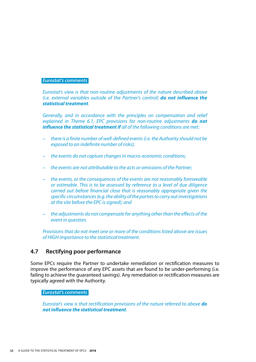#### *Eurostat's comments*

*Eurostat's view is that non-routine adjustments of the nature described above (i.e. external variables outside of the Partner's control) do not influence the statistical treatment.*

*Generally, and in accordance with the principles on compensation and relief explained in Theme 6.1, EPC provisions for non-routine adjustments do not influence the statistical treatment if all of the following conditions are met:*

- there is a finite number of well-defined events (i.e. the Authority should not be *exposed to an indefinite number of risks);*
- the events do not capture changes in macro-economic conditions;
- -  *the events are not attributable to the acts or omissions of the Partner;*
- the events, or the consequences of the events are not reasonably foreseeable *or estimable. This is to be assessed by reference to a level of due diligence carried out before financial close that is reasonably appropriate given the specific circumstances (e.g. the ability of the parties to carry out investigations at the site before the EPC is signed); and*
- the adjustments do not compensate for anything other than the effects of the *event in question.*

*Provisions that do not meet one or more of the conditions listed above are issues of HIGH importance to the statistical treatment.*

## **4.7 Rectifying poor performance**

Some EPCs require the Partner to undertake remediation or rectification measures to improve the performance of any EPC assets that are found to be under-performing (i.e. failing to achieve the guaranteed savings). Any remediation or rectification measures are typically agreed with the Authority.

*Eurostat's comments*

*Eurostat's view is that rectification provisions of the nature referred to above do not influence the statistical treatment.*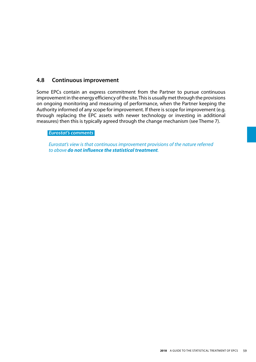## **4.8 Continuous improvement**

Some EPCs contain an express commitment from the Partner to pursue continuous improvement in the energy efficiency of the site. This is usually met through the provisions on ongoing monitoring and measuring of performance, when the Partner keeping the Authority informed of any scope for improvement. If there is scope for improvement (e.g. through replacing the EPC assets with newer technology or investing in additional measures) then this is typically agreed through the change mechanism (see Theme 7).

*Eurostat's comments*

*Eurostat's view is that continuous improvement provisions of the nature referred to above do not influence the statistical treatment.*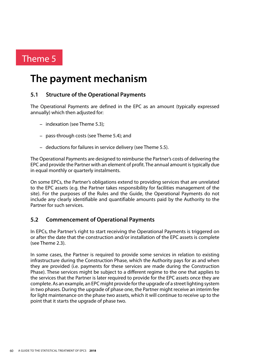Theme 5

## **The payment mechanism**

## **5.1 Structure of the Operational Payments**

The Operational Payments are defined in the EPC as an amount (typically expressed annually) which then adjusted for:

- $-$  indexation (see Theme 5.3);
- pass-through costs (see Theme 5.4); and
- deductions for failures in service delivery (see Theme 5.5).

The Operational Payments are designed to reimburse the Partner's costs of delivering the EPC and provide the Partner with an element of profit. The annual amount is typically due in equal monthly or quarterly instalments.

On some EPCs, the Partner's obligations extend to providing services that are unrelated to the EPC assets (e.g. the Partner takes responsibility for facilities management of the site). For the purposes of the Rules and the Guide, the Operational Payments do not include any clearly identifiable and quantifiable amounts paid by the Authority to the Partner for such services.

## **5.2 Commencement of Operational Payments**

In EPCs, the Partner's right to start receiving the Operational Payments is triggered on or after the date that the construction and/or installation of the EPC assets is complete  $(sep$  Theme  $2.3$ )

In some cases, the Partner is required to provide some services in relation to existing infrastructure during the Construction Phase, which the Authority pays for as and when they are provided (i.e. payments for these services are made during the Construction Phase). These services might be subject to a different regime to the one that applies to the services that the Partner is later required to provide for the EPC assets once they are complete. As an example, an EPC might provide for the upgrade of a street lighting system in two phases. During the upgrade of phase one, the Partner might receive an interim fee for light maintenance on the phase two assets, which it will continue to receive up to the point that it starts the upgrade of phase two.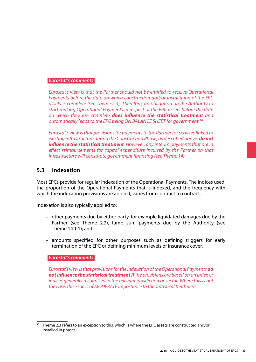#### *Eurostat's comments*

*Eurostat's view is that the Partner should not be entitled to receive Operational Payments before the date on which construction and/or installation of the EPC assets is complete (see Theme 2.3). Therefore, an obligation on the Authority to start making Operational Payments in respect of the EPC assets before the date on which they are complete does influence the statistical treatment and automatically leads to the EPC being ON BALANCE SHEET for government.***<sup>36</sup>**

*Eurostat's view is that provisions for payments to the Partner for services linked to existing infrastructure during the Construction Phase, as described above, do not influence the statistical treatment. However, any interim payments that are in effect reimbursements for capital expenditure incurred by the Partner on that infrastructure will constitute government financing (see Theme 14).*

## **5.3 Indexation**

Most EPCs provide for regular indexation of the Operational Payments. The indices used, the proportion of the Operational Payments that is indexed, and the frequency with which the indexation provisions are applied, varies from contract to contract.

Indexation is also typically applied to:

- other payments due by either party, for example liquidated damages due by the Partner (see Theme 2.2), lump sum payments due by the Authority (see Theme 14.1.1); and
- amounts specified for other purposes such as defining triggers for early termination of the EPC or defining minimum levels of insurance cover.

*Eurostat's comments*

*Eurostat's view is that provisions for the indexation of the Operational Payments do not influence the statistical treatment if the provisions are based on an index or indices generally recognised in the relevant jurisdiction or sector. Where this is not the case, the issue is of MODERATE importance to the statistical treatment.*

<sup>&</sup>lt;sup>36</sup> Theme 2.3 refers to an exception to this, which is where the EPC assets are constructed and/or installed in phases.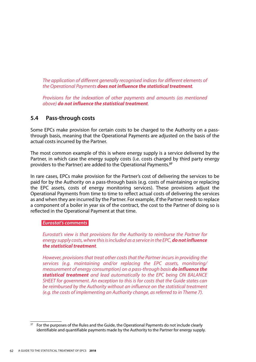*The application of different generally recognised indices for different elements of the Operational Payments does not influence the statistical treatment.*

*Provisions for the indexation of other payments and amounts (as mentioned above) do not influence the statistical treatment.*

## **5.4 Pass-through costs**

Some EPCs make provision for certain costs to be charged to the Authority on a passthrough basis, meaning that the Operational Payments are adjusted on the basis of the actual costs incurred by the Partner.

The most common example of this is where energy supply is a service delivered by the Partner, in which case the energy supply costs (i.e. costs charged by third party energy providers to the Partner) are added to the Operational Payments.**<sup>37</sup>**

In rare cases, EPCs make provision for the Partner's cost of delivering the services to be paid for by the Authority on a pass-through basis (e.g. costs of maintaining or replacing the EPC assets, costs of energy monitoring services). These provisions adjust the Operational Payments from time to time to reflect actual costs of delivering the services as and when they are incurred by the Partner. For example, if the Partner needs to replace a component of a boiler in year six of the contract, the cost to the Partner of doing so is reflected in the Operational Payment at that time.

## *Eurostat's comments*

*Eurostat's view is that provisions for the Authority to reimburse the Partner for energy supply costs, where this is included as a service in the EPC, do not influence the statistical treatment.*

*However, provisions that treat other costs that the Partner incurs in providing the services (e.g. maintaining and/or replacing the EPC assets, monitoring/ measurement of energy consumption) on a pass-through basis do influence the statistical treatment and lead automatically to the EPC being ON BALANCE SHEET for government. An exception to this is for costs that the Guide states can be reimbursed by the Authority without an influence on the statistical treatment (e.g. the costs of implementing an Authority change, as referred to in Theme 7).*

<sup>37</sup> For the purposes of the Rules and the Guide, the Operational Payments do not include clearly identifiable and quantifiable payments made by the Authority to the Partner for energy supply.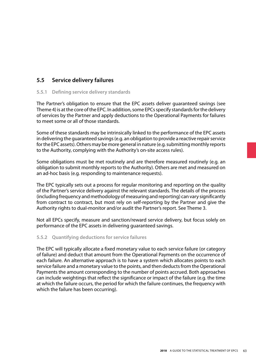## **5.5 Service delivery failures**

## **5.5.1 Defining service delivery standards**

The Partner's obligation to ensure that the EPC assets deliver guaranteed savings (see Theme 4) is at the core of the EPC. In addition, some EPCs specify standards for the delivery of services by the Partner and apply deductions to the Operational Payments for failures to meet some or all of those standards.

Some of these standards may be intrinsically linked to the performance of the EPC assets in delivering the guaranteed savings (e.g. an obligation to provide a reactive repair service for the EPC assets). Others may be more general in nature (e.g. submitting monthly reports to the Authority, complying with the Authority's on-site access rules).

Some obligations must be met routinely and are therefore measured routinely (e.g. an obligation to submit monthly reports to the Authority). Others are met and measured on an ad-hoc basis (e.g. responding to maintenance requests).

The EPC typically sets out a process for regular monitoring and reporting on the quality of the Partner's service delivery against the relevant standards. The details of the process (including frequency and methodology of measuring and reporting) can vary significantly from contract to contract, but most rely on self-reporting by the Partner and give the Authority rights to dual-monitor and/or audit the Partner's report. See Theme 3.

Not all EPCs specify, measure and sanction/reward service delivery, but focus solely on performance of the EPC assets in delivering guaranteed savings.

## **5.5.2 Quantifying deductions for service failures**

The EPC will typically allocate a fixed monetary value to each service failure (or category of failure) and deduct that amount from the Operational Payments on the occurrence of each failure. An alternative approach is to have a system which allocates points to each service failure and a monetary value to the points, and then deducts from the Operational Payments the amount corresponding to the number of points accrued. Both approaches can include weightings that reflect the significance or impact of the failure (e.g. the time at which the failure occurs, the period for which the failure continues, the frequency with which the failure has been occurring).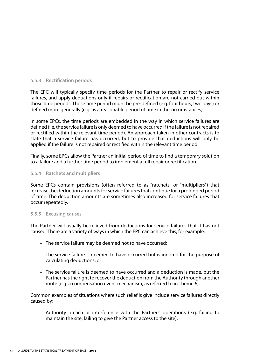## **5.5.3 Rectification periods**

The EPC will typically specify time periods for the Partner to repair or rectify service failures, and apply deductions only if repairs or rectification are not carried out within those time periods. Those time period might be pre-defined (e.g. four hours, two days) or defined more generally (e.g. as a reasonable period of time in the circumstances).

In some EPCs, the time periods are embedded in the way in which service failures are defined (i.e. the service failure is only deemed to have occurred if the failure is not repaired or rectified within the relevant time period). An approach taken in other contracts is to state that a service failure has occurred, but to provide that deductions will only be applied if the failure is not repaired or rectified within the relevant time period.

Finally, some EPCs allow the Partner an initial period of time to find a temporary solution to a failure and a further time period to implement a full repair or rectification.

#### **5.5.4 Ratchets and multipliers**

Some EPCs contain provisions (often referred to as "ratchets" or "multipliers") that increase the deduction amounts for service failures that continue for a prolonged period of time. The deduction amounts are sometimes also increased for service failures that occur repeatedly.

#### **5.5.5 Excusing causes**

The Partner will usually be relieved from deductions for service failures that it has not caused. There are a variety of ways in which the EPC can achieve this, for example:

- The service failure may be deemed not to have occurred;
- The service failure is deemed to have occurred but is ignored for the purpose of calculating deductions; or
- The service failure is deemed to have occurred and a deduction is made, but the Partner has the right to recover the deduction from the Authority through another route (e.g. a compensation event mechanism, as referred to in Theme 6).

Common examples of situations where such relief is give include service failures directly caused by:

- Authority breach or interference with the Partner's operations (e.g. failing to maintain the site, failing to give the Partner access to the site);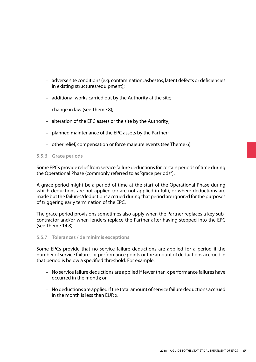- adverse site conditions (e.g. contamination, asbestos, latent defects or deficiencies in existing structures/equipment);
- additional works carried out by the Authority at the site;
- $-$  change in law (see Theme 8);
- alteration of the EPC assets or the site by the Authority;
- planned maintenance of the EPC assets by the Partner;
- other relief, compensation or force majeure events (see Theme 6).

## **5.5.6 Grace periods**

Some EPCs provide relief from service failure deductions for certain periods of time during the Operational Phase (commonly referred to as "grace periods").

A grace period might be a period of time at the start of the Operational Phase during which deductions are not applied (or are not applied in full), or where deductions are made but the failures/deductions accrued during that period are ignored for the purposes of triggering early termination of the EPC.

The grace period provisions sometimes also apply when the Partner replaces a key subcontractor and/or when lenders replace the Partner after having stepped into the EPC (see Theme 14.8).

## **5.5.7 Tolerances / de minimis exceptions**

Some EPCs provide that no service failure deductions are applied for a period if the number of service failures or performance points or the amount of deductions accrued in that period is below a specified threshold. For example:

- No service failure deductions are applied if fewer than x performance failures have occurred in the month; or
- No deductions are applied if the total amount of service failure deductions accrued in the month is less than EUR x.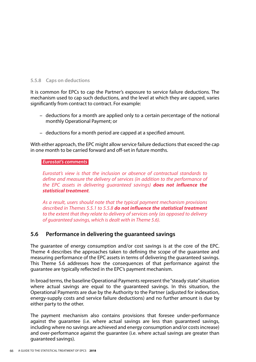#### **5.5.8 Caps on deductions**

It is common for EPCs to cap the Partner's exposure to service failure deductions. The mechanism used to cap such deductions, and the level at which they are capped, varies significantly from contract to contract. For example:

- deductions for a month are applied only to a certain percentage of the notional monthly Operational Payment; or
- deductions for a month period are capped at a specified amount.

With either approach, the EPC might allow service failure deductions that exceed the cap in one month to be carried forward and off-set in future months.

#### *Eurostat's comments*

*Eurostat's view is that the inclusion or absence of contractual standards to define and measure the delivery of services (in addition to the performance of the EPC assets in delivering guaranteed savings) does not influence the statistical treatment.*

*As a result, users should note that the typical payment mechanism provisions described in Themes 5.5.1 to 5.5.8 do not influence the statistical treatment to the extent that they relate to delivery of services only (as opposed to delivery of guaranteed savings, which is dealt with in Theme 5.6).*

## **5.6 Performance in delivering the guaranteed savings**

The guarantee of energy consumption and/or cost savings is at the core of the EPC. Theme 4 describes the approaches taken to defining the scope of the guarantee and measuring performance of the EPC assets in terms of delivering the guaranteed savings. This Theme 5.6 addresses how the consequences of that performance against the guarantee are typically reflected in the EPC's payment mechanism.

In broad terms, the baseline Operational Payments represent the "steady state" situation where actual savings are equal to the guaranteed savings. In this situation, the Operational Payments are due by the Authority to the Partner (adjusted for indexation, energy-supply costs and service failure deductions) and no further amount is due by either party to the other.

The payment mechanism also contains provisions that foresee under-performance against the guarantee (i.e. where actual savings are less than guaranteed savings, including where no savings are achieved and energy consumption and/or costs increase) and over-performance against the guarantee (i.e. where actual savings are greater than guaranteed savings).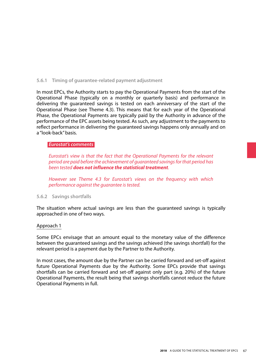## **5.6.1 Timing of guarantee-related payment adjustment**

In most EPCs, the Authority starts to pay the Operational Payments from the start of the Operational Phase (typically on a monthly or quarterly basis) and performance in delivering the guaranteed savings is tested on each anniversary of the start of the Operational Phase (see Theme 4.3). This means that for each year of the Operational Phase, the Operational Payments are typically paid by the Authority in advance of the performance of the EPC assets being tested. As such, any adjustment to the payments to reflect performance in delivering the guaranteed savings happens only annually and on a "look-back" basis.

## *Eurostat's comments*

*Eurostat's view is that the fact that the Operational Payments for the relevant period are paid before the achievement of guaranteed savings for that period has been tested does not influence the statistical treatment.*

*However see Theme 4.3 for Eurostat's views on the frequency with which performance against the guarantee is tested.*

#### **5.6.2 Savings shortfalls**

The situation where actual savings are less than the guaranteed savings is typically approached in one of two ways.

## Approach 1

Some EPCs envisage that an amount equal to the monetary value of the difference between the guaranteed savings and the savings achieved (the savings shortfall) for the relevant period is a payment due by the Partner to the Authority.

In most cases, the amount due by the Partner can be carried forward and set-off against future Operational Payments due by the Authority. Some EPCs provide that savings shortfalls can be carried forward and set-off against only part (e.g. 20%) of the future Operational Payments, the result being that savings shortfalls cannot reduce the future Operational Payments in full.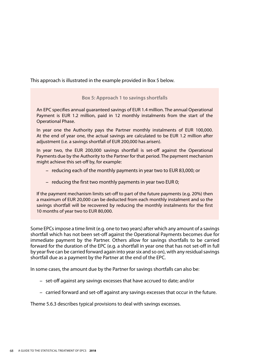This approach is illustrated in the example provided in Box 5 below.

## **Box 5: Approach 1 to savings shortfalls**

An EPC specifies annual guaranteed savings of EUR 1.4 million. The annual Operational Payment is EUR 1.2 million, paid in 12 monthly instalments from the start of the Operational Phase.

In year one the Authority pays the Partner monthly instalments of EUR 100,000. At the end of year one, the actual savings are calculated to be EUR 1.2 million after adjustment (i.e. a savings shortfall of EUR 200,000 has arisen).

In year two, the EUR 200,000 savings shortfall is set-off against the Operational Payments due by the Authority to the Partner for that period. The payment mechanism might achieve this set-off by, for example:

- reducing each of the monthly payments in year two to EUR 83,000; or
- $-$  reducing the first two monthly payments in year two EUR 0;

If the payment mechanism limits set-off to part of the future payments (e.g. 20%) then a maximum of EUR 20,000 can be deducted from each monthly instalment and so the savings shortfall will be recovered by reducing the monthly instalments for the first 10 months of year two to EUR 80,000.

Some EPCs impose a time limit (e.g. one to two years) after which any amount of a savings shortfall which has not been set-off against the Operational Payments becomes due for immediate payment by the Partner. Others allow for savings shortfalls to be carried forward for the duration of the EPC (e.g. a shortfall in year one that has not set-off in full by year five can be carried forward again into year six and so on), with any residual savings shortfall due as a payment by the Partner at the end of the EPC.

In some cases, the amount due by the Partner for savings shortfalls can also be:

- set-off against any savings excesses that have accrued to date; and/or
- carried forward and set-off against any savings excesses that occur in the future.

Theme 5.6.3 describes typical provisions to deal with savings excesses.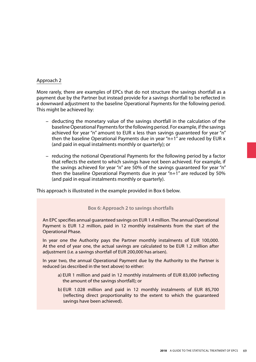## Approach 2

More rarely, there are examples of EPCs that do not structure the savings shortfall as a payment due by the Partner but instead provide for a savings shortfall to be reflected in a downward adjustment to the baseline Operational Payments for the following period. This might be achieved by:

- $-$  deducting the monetary value of the savings shortfall in the calculation of the baseline Operational Payments for the following period. For example, if the savings achieved for year "n" amount to EUR x less than savings guaranteed for year "n" then the baseline Operational Payments due in year "n+1" are reduced by EUR x (and paid in equal instalments monthly or quarterly); or
- reducing the notional Operational Payments for the following period by a factor that reflects the extent to which savings have not been achieved. For example, if the savings achieved for year "n" are 50% of the savings guaranteed for year "n" then the baseline Operational Payments due in year "n+1" are reduced by 50% (and paid in equal instalments monthly or quarterly).

This approach is illustrated in the example provided in Box 6 below.

#### **Box 6: Approach 2 to savings shortfalls**

An EPC specifies annual guaranteed savings on EUR 1.4 million. The annual Operational Payment is EUR 1.2 million, paid in 12 monthly instalments from the start of the Operational Phase.

In year one the Authority pays the Partner monthly instalments of EUR 100,000. At the end of year one, the actual savings are calculated to be EUR 1.2 million after adjustment (i.e. a savings shortfall of EUR 200,000 has arisen).

In year two, the annual Operational Payment due by the Authority to the Partner is reduced (as described in the text above) to either:

- a) EUR 1 million and paid in 12 monthly instalments of EUR 83,000 (reflecting the amount of the savings shortfall); or
- b) EUR 1.028 million and paid in 12 monthly instalments of EUR 85,700 (reflecting direct proportionality to the extent to which the guaranteed savings have been achieved).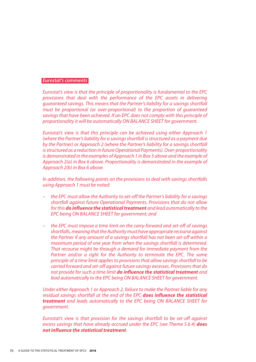#### *Eurostat's comments*

*Eurostat's view is that the principle of proportionality is fundamental to the EPC provisions that deal with the performance of the EPC assets in delivering guaranteed savings. This means that the Partner's liability for a savings shortfall must be proportional (or over-proportional) to the proportion of guaranteed savings that have been achieved. If an EPC does not comply with this principle of proportionality it will be automatically ON BALANCE SHEET for government.*

*Eurostat's view is that this principle can be achieved using either Approach 1 (where the Partner's liability for a savings shortfall is structured as a payment due by the Partner) or Approach 2 (where the Partner's liability for a savings shortfall is structured as a reduction in future Operational Payments). Over-proportionality*  is demonstrated in the examples of Approach 1 in Box 5 above and the example of *Approach 2(a) in Box 6 above. Proportionality is demonstrated in the example of Approach 2(b) in Box 6 above.*

*In addition, the following points on the provisions to deal with savings shortfalls using Approach 1 must be noted:*

- the EPC must allow the Authority to set-off the Partner's liability for a savings *shortfall against future Operational Payments. Provisions that do not allow for this do influence the statistical treatment and lead automatically to the EPC being ON BALANCE SHEET for government; and*
- the EPC must impose a time limit on the carry-forward and set-off of savings *shortfalls, meaning that the Authority must have appropriate recourse against the Partner if any amount of a savings shortfall has not been set-off within a maximum period of one year from when the savings shortfall is determined. That recourse might be through a demand for immediate payment from the Partner and/or a right for the Authority to terminate the EPC. The same principle of a time limit applies to provisions that allow savings shortfall to be carried forward and set-off against future savings excesses. Provisions that do not provide for such a time limit do influence the statistical treatment and lead automatically to the EPC being ON BALANCE SHEET for government.*

*Under either Approach 1 or Approach 2, failure to make the Partner liable for any residual savings shortfall at the end of the EPC does influence the statistical treatment and leads automatically to the EPC being ON BALANCE SHEET for government.*

*Eurostat's view is that provision for the savings shortfall to be set-off against excess savings that have already accrued under the EPC (see Theme 5.6.4) does not influence the statistical treatment.*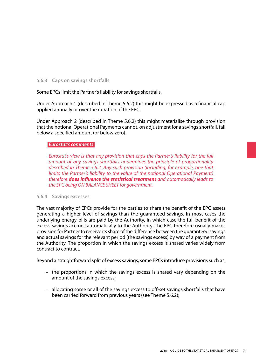## **5.6.3 Caps on savings shortfalls**

Some EPCs limit the Partner's liability for savings shortfalls.

Under Approach 1 (described in Theme 5.6.2) this might be expressed as a financial cap applied annually or over the duration of the EPC.

Under Approach 2 (described in Theme 5.6.2) this might materialise through provision that the notional Operational Payments cannot, on adjustment for a savings shortfall, fall below a specified amount (or below zero).

#### *Eurostat's comments*

*Eurostat's view is that any provision that caps the Partner's liability for the full amount of any savings shortfalls undermines the principle of proportionality described in Theme 5.6.2. Any such provision (including, for example, one that limits the Partner's liability to the value of the notional Operational Payment) therefore does influence the statistical treatment and automatically leads to the EPC being ON BALANCE SHEET for government.*

#### **5.6.4 Savings excesses**

The vast majority of EPCs provide for the parties to share the benefit of the EPC assets generating a higher level of savings than the guaranteed savings. In most cases the underlying energy bills are paid by the Authority, in which case the full benefit of the excess savings accrues automatically to the Authority. The EPC therefore usually makes provision for Partner to receive its share of the difference between the guaranteed savings and actual savings for the relevant period (the savings excess) by way of a payment from the Authority. The proportion in which the savings excess is shared varies widely from contract to contract.

Beyond a straightforward split of excess savings, some EPCs introduce provisions such as:

- the proportions in which the savings excess is shared vary depending on the amount of the savings excess;
- allocating some or all of the savings excess to off-set savings shortfalls that have been carried forward from previous years (see Theme 5.6.2);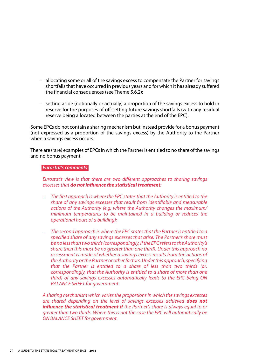- $-$  allocating some or all of the savings excess to compensate the Partner for savings shortfalls that have occurred in previous years and for which it has already suffered the financial consequences (see Theme 5.6.2);
- $-$  setting aside (notionally or actually) a proportion of the savings excess to hold in reserve for the purposes of off-setting future savings shortfalls (with any residual reserve being allocated between the parties at the end of the EPC).

Some EPCs do not contain a sharing mechanism but instead provide for a bonus payment (not expressed as a proportion of the savings excess) by the Authority to the Partner when a savings excess occurs.

There are (rare) examples of EPCs in which the Partner is entitled to no share of the savings and no bonus payment.

#### *Eurostat's comments*

*Eurostat's view is that there are two different approaches to sharing savings excesses that do not influence the statistical treatment:*

- The first approach is where the EPC states that the Authority is entitled to the *share of any savings excesses that result from identifiable and measurable actions of the Authority (e.g. where the Authority changes the maximum/ minimum temperatures to be maintained in a building or reduces the operational hours of a building);*
- The second approach is where the EPC states that the Partner is entitled to a *specified share of any savings excesses that arise. The Partner's share must be no less than two thirds (correspondingly, if the EPC refers to the Authority's share then this must be no greater than one third). Under this approach no assessment is made of whether a savings excess results from the actions of the Authority or the Partner or other factors. Under this approach, specifying that the Partner is entitled to a share of less than two thirds (or, correspondingly, that the Authority is entitled to a share of more than one third) of any savings excesses automatically leads to the EPC being ON BALANCE SHEET for government.*

*A sharing mechanism which varies the proportions in which the savings excesses are shared depending on the level of savings excesses achieved does not influence the statistical treatment if the Partner's share is always equal to or greater than two thirds. Where this is not the case the EPC will automatically be ON BALANCE SHEET for government.*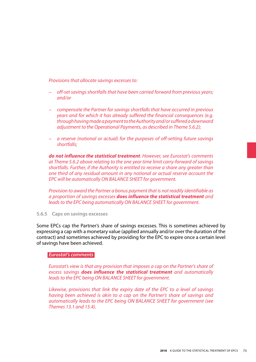*Provisions that allocate savings excesses to:*

- off-set savings shortfalls that have been carried forward from previous years; *and/or*
- -  *compensate the Partner for savings shortfalls that have occurred in previous years and for which it has already suffered the financial consequences (e.g. through having made a payment to the Authority and/or suffered a downward adjustment to the Operational Payments, as described in Theme 5.6.2);*
- -  *a reserve (notional or actual) for the purposes of off-setting future savings shortfalls;*

*do not influence the statistical treatment. However, see Eurostat's comments at Theme 5.6.2 above relating to the one year time limit carry-forward of savings shortfalls. Further, if the Authority is entitled to receive a share any greater than one third of any residual amount in any notional or actual reserve account the EPC will be automatically ON BALANCE SHEET for government.*

*Provision to award the Partner a bonus payment that is not readily identifiable as a proportion of savings excesses does influence the statistical treatment and leads to the EPC being automatically ON BALANCE SHEET for government.*

### **5.6.5 Caps on savings excesses**

Some EPCs cap the Partner's share of savings excesses. This is sometimes achieved by expressing a cap with a monetary value (applied annually and/or over the duration of the contract) and sometimes achieved by providing for the EPC to expire once a certain level of savings have been achieved.

*Eurostat's comments*

*Eurostat's view is that any provision that imposes a cap on the Partner's share of excess savings does influence the statistical treatment and automatically leads to the EPC being ON BALANCE SHEET for government.*

*Likewise, provisions that link the expiry date of the EPC to a level of savings having been achieved is akin to a cap on the Partner's share of savings and automatically leads to the EPC being ON BALANCE SHEET for government (see Themes 13.1 and 15.4).*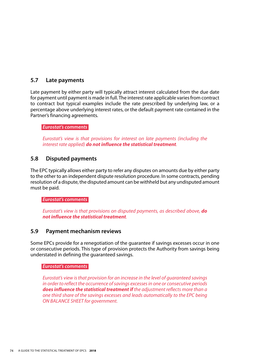## **5.7 Late payments**

Late payment by either party will typically attract interest calculated from the due date for payment until payment is made in full. The interest rate applicable varies from contract to contract but typical examples include the rate prescribed by underlying law, or a percentage above underlying interest rates, or the default payment rate contained in the Partner's financing agreements.

*Eurostat's comments*

*Eurostat's view is that provisions for interest on late payments (including the interest rate applied) do not influence the statistical treatment.*

## **5.8 Disputed payments**

The EPC typically allows either party to refer any disputes on amounts due by either party to the other to an independent dispute resolution procedure. In some contracts, pending resolution of a dispute, the disputed amount can be withheld but any undisputed amount must be paid.

*Eurostat's comments*

*Eurostat's view is that provisions on disputed payments, as described above, do not influence the statistical treatment.*

## **5.9 Payment mechanism reviews**

Some EPCs provide for a renegotiation of the guarantee if savings excesses occur in one or consecutive periods. This type of provision protects the Authority from savings being understated in defining the guaranteed savings.

## *Eurostat's comments*

*Eurostat's view is that provision for an increase in the level of guaranteed savings in order to reflect the occurrence of savings excesses in one or consecutive periods does influence the statistical treatment if the adjustment reflects more than a one third share of the savings excesses and leads automatically to the EPC being ON BALANCE SHEET for government.*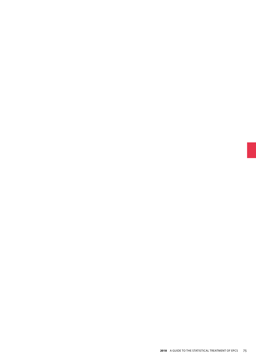A GUIDE TO THE STATISTICAL TREATMENT OF EPCS 75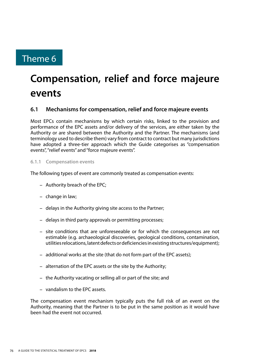Theme 6

# **Compensation, relief and force majeure events**

## **6.1 Mechanisms for compensation, relief and force majeure events**

Most EPCs contain mechanisms by which certain risks, linked to the provision and performance of the EPC assets and/or delivery of the services, are either taken by the Authority or are shared between the Authority and the Partner. The mechanisms (and terminology used to describe them) vary from contract to contract but many jurisdictions have adopted a three-tier approach which the Guide categorises as "compensation events", "relief events" and "force majeure events".

## **6.1.1 Compensation events**

The following types of event are commonly treated as compensation events:

- Authority breach of the EPC;
- $-$  change in law;
- delays in the Authority giving site access to the Partner;
- delays in third party approvals or permitting processes;
- $-$  site conditions that are unforeseeable or for which the consequences are not estimable (e.g. archaeological discoveries, geological conditions, contamination, utilities relocations, latent defects or deficiencies in existing structures/equipment);
- additional works at the site (that do not form part of the EPC assets);
- alternation of the EPC assets or the site by the Authority;
- the Authority vacating or selling all or part of the site; and
- vandalism to the EPC assets.

The compensation event mechanism typically puts the full risk of an event on the Authority, meaning that the Partner is to be put in the same position as it would have been had the event not occurred.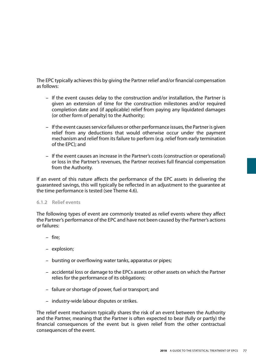The EPC typically achieves this by giving the Partner relief and/or financial compensation as follows:

- If the event causes delay to the construction and/or installation, the Partner is given an extension of time for the construction milestones and/or required completion date and (if applicable) relief from paying any liquidated damages (or other form of penalty) to the Authority;
- If the event causes service failures or other performance issues, the Partner is given relief from any deductions that would otherwise occur under the payment mechanism and relief from its failure to perform (e.g. relief from early termination of the EPC); and
- If the event causes an increase in the Partner's costs (construction or operational) or loss in the Partner's revenues, the Partner receives full financial compensation from the Authority.

If an event of this nature affects the performance of the EPC assets in delivering the guaranteed savings, this will typically be reflected in an adjustment to the guarantee at the time performance is tested (see Theme 4.6).

## **6.1.2 Relief events**

The following types of event are commonly treated as relief events where they affect the Partner's performance of the EPC and have not been caused by the Partner's actions or failures:

- fire:
- explosion:
- bursting or overflowing water tanks, apparatus or pipes;
- accidental loss or damage to the EPCs assets or other assets on which the Partner relies for the performance of its obligations;
- failure or shortage of power, fuel or transport; and
- industry-wide labour disputes or strikes.

The relief event mechanism typically shares the risk of an event between the Authority and the Partner, meaning that the Partner is often expected to bear (fully or partly) the financial consequences of the event but is given relief from the other contractual consequences of the event.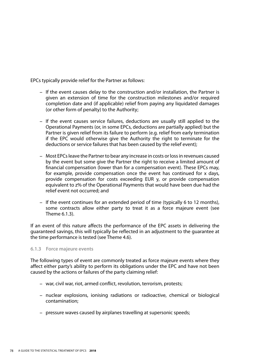EPCs typically provide relief for the Partner as follows:

- If the event causes delay to the construction and/or installation, the Partner is given an extension of time for the construction milestones and/or required completion date and (if applicable) relief from paying any liquidated damages (or other form of penalty) to the Authority;
- $-$  If the event causes service failures, deductions are usually still applied to the Operational Payments (or, in some EPCs, deductions are partially applied) but the Partner is given relief from its failure to perform (e.g. relief from early termination if the EPC would otherwise give the Authority the right to terminate for the deductions or service failures that has been caused by the relief event);
- Most EPCs leave the Partner to bear any increase in costs or loss in revenues caused by the event but some give the Partner the right to receive a limited amount of financial compensation (lower than for a compensation event). These EPCs may, for example, provide compensation once the event has continued for x days, provide compensation for costs exceeding EUR y, or provide compensation equivalent to z% of the Operational Payments that would have been due had the relief event not occurred; and
- $-$  If the event continues for an extended period of time (typically 6 to 12 months), some contracts allow either party to treat it as a force majeure event (see Theme 6.1.3).

If an event of this nature affects the performance of the EPC assets in delivering the guaranteed savings, this will typically be reflected in an adjustment to the guarantee at the time performance is tested (see Theme 4.6).

## **6.1.3 Force majeure events**

The following types of event are commonly treated as force majeure events where they affect either party's ability to perform its obligations under the EPC and have not been caused by the actions or failures of the party claiming relief:

- war, civil war, riot, armed conflict, revolution, terrorism, protests;
- nuclear explosions, ionising radiations or radioactive, chemical or biological contamination;
- pressure waves caused by airplanes travelling at supersonic speeds;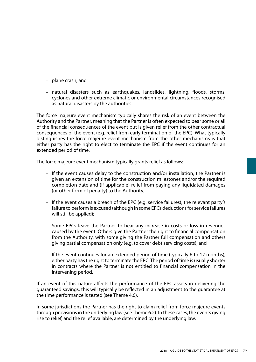- plane crash; and
- natural disasters such as earthquakes, landslides, lightning, floods, storms, cyclones and other extreme climatic or environmental circumstances recognised as natural disasters by the authorities.

The force majeure event mechanism typically shares the risk of an event between the Authority and the Partner, meaning that the Partner is often expected to bear some or all of the financial consequences of the event but is given relief from the other contractual consequences of the event (e.g. relief from early termination of the EPC). What typically distinguishes the force majeure event mechanism from the other mechanisms is that either party has the right to elect to terminate the EPC if the event continues for an extended period of time.

The force majeure event mechanism typically grants relief as follows:

- $-$  If the event causes delay to the construction and/or installation, the Partner is given an extension of time for the construction milestones and/or the required completion date and (if applicable) relief from paying any liquidated damages (or other form of penalty) to the Authority;
- If the event causes a breach of the EPC (e.g. service failures), the relevant party's failure to perform is excused (although in some EPCs deductions for service failures will still be applied);
- Some EPCs leave the Partner to bear any increase in costs or loss in revenues caused by the event. Others give the Partner the right to financial compensation from the Authority, with some giving the Partner full compensation and others giving partial compensation only (e.g. to cover debt servicing costs); and
- If the event continues for an extended period of time (typically 6 to 12 months), either party has the right to terminate the EPC. The period of time is usually shorter in contracts where the Partner is not entitled to financial compensation in the intervening period.

If an event of this nature affects the performance of the EPC assets in delivering the guaranteed savings, this will typically be reflected in an adjustment to the guarantee at the time performance is tested (see Theme 4.6).

In some jurisdictions the Partner has the right to claim relief from force majeure events through provisions in the underlying law (see Theme 6.2). In these cases, the events giving rise to relief, and the relief available, are determined by the underlying law.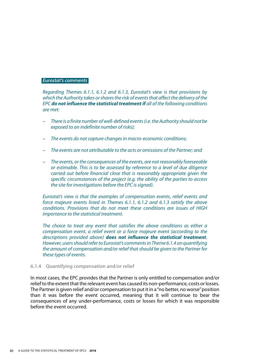*Regarding Themes 6.1.1, 6.1.2 and 6.1.3, Eurostat's view is that provisions by which the Authority takes or shares the risk of events that affect the delivery of the EPC do not influence the statistical treatment if all of the following conditions are met:*

- There is a finite number of well-defined events (*i.e. the Authority should not be exposed to an indefinite number of risks);*
- -  *The events do not capture changes in macro-economic conditions;*
- -  *The events are not attributable to the acts or omissions of the Partner; and*
- -  *The events, or the consequences of the events, are not reasonably foreseeable or estimable. This is to be assessed by reference to a level of due diligence carried out before financial close that is reasonably appropriate given the specific circumstances of the project (e.g. the ability of the parties to access the site for investigations before the EPC is signed).*

*Eurostat's view is that the examples of compensation events, relief events and force majeure events listed in Themes 6.1.1, 6.1.2 and 6.1.3 satisfy the above conditions. Provisions that do not meet these conditions are issues of HIGH importance to the statistical treatment.*

*The choice to treat any event that satisfies the above conditions as either a compensation event, a relief event or a force majeure event (according to the descriptions provided above) does not influence the statistical treatment. However, users should refer to Eurostat's comments in Theme 6.1.4 on quantifying the amount of compensation and/or relief that should be given to the Partner for these types of events.*

#### **6.1.4 Quantifying compensation and/or relief**

In most cases, the EPC provides that the Partner is only entitled to compensation and/or relief to the extent that the relevant event has caused its non-performance, costs or losses. The Partner is given relief and/or compensation to put it in a "no better, no worse" position than it was before the event occurred, meaning that it will continue to bear the consequences of any under-performance, costs or losses for which it was responsible before the event occurred.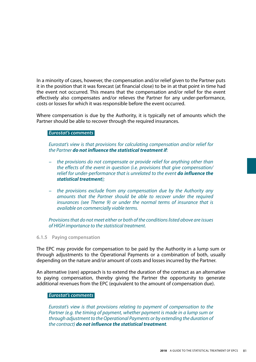In a minority of cases, however, the compensation and/or relief given to the Partner puts it in the position that it was forecast (at financial close) to be in at that point in time had the event not occurred. This means that the compensation and/or relief for the event effectively also compensates and/or relieves the Partner for any under-performance, costs or losses for which it was responsible before the event occurred.

Where compensation is due by the Authority, it is typically net of amounts which the Partner should be able to recover through the required insurances.

## *Eurostat's comments*

*Eurostat's view is that provisions for calculating compensation and/or relief for the Partner do not influence the statistical treatment if:*

- the provisions do not compensate or provide relief for anything other than *the effects of the event in question (i.e. provisions that give compensation/ relief for under-performance that is unrelated to the event do influence the statistical treatment);*
- the provisions exclude from any compensation due by the Authority any *amounts that the Partner should be able to recover under the required insurances (see Theme 9) or under the normal terms of insurance that is available on commercially viable terms.*

*Provisions that do not meet either or both of the conditions listed above are issues of HIGH importance to the statistical treatment.*

#### **6.1.5 Paying compensation**

The EPC may provide for compensation to be paid by the Authority in a lump sum or through adjustments to the Operational Payments or a combination of both, usually depending on the nature and/or amount of costs and losses incurred by the Partner.

An alternative (rare) approach is to extend the duration of the contract as an alternative to paying compensation, thereby giving the Partner the opportunity to generate additional revenues from the EPC (equivalent to the amount of compensation due).

## *Eurostat's comments*

*Eurostat's view is that provisions relating to payment of compensation to the Partner (e.g. the timing of payment, whether payment is made in a lump sum or through adjustment to the Operational Payments or by extending the duration of the contract) do not influence the statistical treatment.*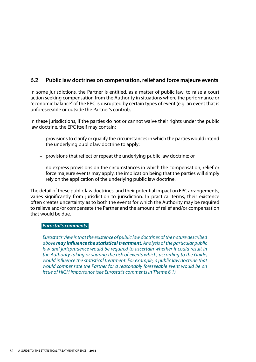## **6.2 Public law doctrines on compensation, relief and force majeure events**

In some jurisdictions, the Partner is entitled, as a matter of public law, to raise a court action seeking compensation from the Authority in situations where the performance or "economic balance" of the EPC is disrupted by certain types of event (e.g. an event that is unforeseeable or outside the Partner's control).

In these jurisdictions, if the parties do not or cannot waive their rights under the public law doctrine, the EPC itself may contain:

- provisions to clarify or qualify the circumstances in which the parties would intend the underlying public law doctrine to apply;
- provisions that reflect or repeat the underlying public law doctrine; or
- no express provisions on the circumstances in which the compensation, relief or force majeure events may apply, the implication being that the parties will simply rely on the application of the underlying public law doctrine.

The detail of these public law doctrines, and their potential impact on EPC arrangements, varies significantly from jurisdiction to jurisdiction. In practical terms, their existence often creates uncertainty as to both the events for which the Authority may be required to relieve and/or compensate the Partner and the amount of relief and/or compensation that would be due.

#### *Eurostat's comments*

*Eurostat's view is that the existence of public law doctrines of the nature described above may influence the statistical treatment. Analysis of the particular public law and jurisprudence would be required to ascertain whether it could result in the Authority taking or sharing the risk of events which, according to the Guide, would influence the statistical treatment. For example, a public law doctrine that would compensate the Partner for a reasonably foreseeable event would be an issue of HIGH importance (see Eurostat's comments in Theme 6.1).*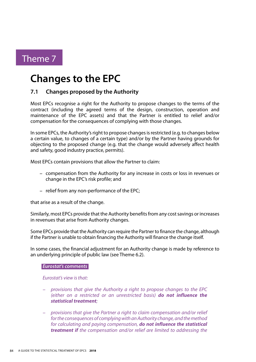

## **Changes to the EPC**

## **7.1 Changes proposed by the Authority**

Most EPCs recognise a right for the Authority to propose changes to the terms of the contract (including the agreed terms of the design, construction, operation and maintenance of the EPC assets) and that the Partner is entitled to relief and/or compensation for the consequences of complying with those changes.

In some EPCs, the Authority's right to propose changes is restricted (e.g. to changes below a certain value, to changes of a certain type) and/or by the Partner having grounds for objecting to the proposed change (e.g. that the change would adversely affect health and safety, good industry practice, permits).

Most EPCs contain provisions that allow the Partner to claim:

- compensation from the Authority for any increase in costs or loss in revenues or change in the EPC's risk profile; and
- $-$  relief from any non-performance of the EPC;

that arise as a result of the change.

Similarly, most EPCs provide that the Authority benefits from any cost savings or increases in revenues that arise from Authority changes.

Some EPCs provide that the Authority can require the Partner to finance the change, although if the Partner is unable to obtain financing the Authority will finance the change itself.

In some cases, the financial adjustment for an Authority change is made by reference to an underlying principle of public law (see Theme 6.2).

#### *Eurostat's comments*

*Eurostat's view is that:*

- *provisions that give the Authority a right to propose changes to the EPC (either on a restricted or an unrestricted basis) do not influence the statistical treatment;*
- *provisions that give the Partner a right to claim compensation and/or relief for the consequences of complying with an Authority change, and the method for calculating and paying compensation, do not influence the statistical treatment if the compensation and/or relief are limited to addressing the*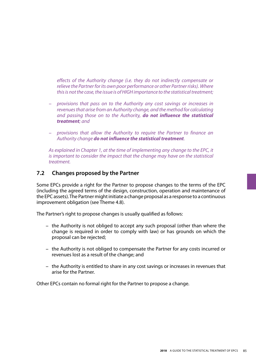*effects of the Authority change (i.e. they do not indirectly compensate or relieve the Partner for its own poor performance or other Partner risks). Where this is not the case, the issue is of HIGH importance to the statistical treatment;*

- *provisions that pass on to the Authority any cost savings or increases in revenues that arise from an Authority change, and the method for calculating and passing those on to the Authority, do not influence the statistical treatment; and*
- *provisions that allow the Authority to require the Partner to finance an Authority change do not influence the statistical treatment.*

*As explained in Chapter 1, at the time of implementing any change to the EPC, it is important to consider the impact that the change may have on the statistical treatment.*

## **7.2 Changes proposed by the Partner**

Some EPCs provide a right for the Partner to propose changes to the terms of the EPC (including the agreed terms of the design, construction, operation and maintenance of the EPC assets). The Partner might initiate a change proposal as a response to a continuous improvement obligation (see Theme 4.8).

The Partner's right to propose changes is usually qualified as follows:

- the Authority is not obliged to accept any such proposal (other than where the change is required in order to comply with law) or has grounds on which the proposal can be rejected;
- the Authority is not obliged to compensate the Partner for any costs incurred or revenues lost as a result of the change; and
- $-$  the Authority is entitled to share in any cost savings or increases in revenues that arise for the Partner.

Other EPCs contain no formal right for the Partner to propose a change.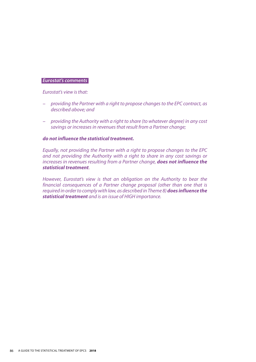*Eurostat's view is that:*

- *providing the Partner with a right to propose changes to the EPC contract, as described above; and*
- *providing the Authority with a right to share (to whatever degree) in any cost savings or increases in revenues that result from a Partner change;*

#### *do not influence the statistical treatment.*

*Equally, not providing the Partner with a right to propose changes to the EPC and not providing the Authority with a right to share in any cost savings or increases in revenues resulting from a Partner change, does not influence the statistical treatment.*

*However, Eurostat's view is that an obligation on the Authority to bear the financial consequences of a Partner change proposal (other than one that is required in order to comply with law, as described in Theme 8) does influence the statistical treatment and is an issue of HIGH importance.*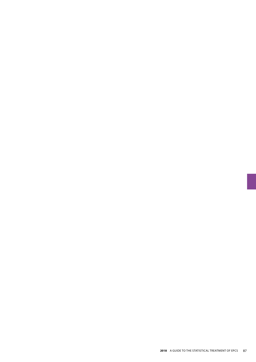A GUIDE TO THE STATISTICAL TREATMENT OF EPCS 87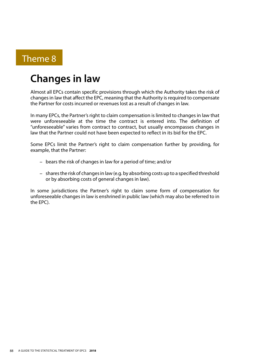

## **Changes in law**

Almost all EPCs contain specific provisions through which the Authority takes the risk of changes in law that affect the EPC, meaning that the Authority is required to compensate the Partner for costs incurred or revenues lost as a result of changes in law.

In many EPCs, the Partner's right to claim compensation is limited to changes in law that were unforeseeable at the time the contract is entered into. The definition of "unforeseeable" varies from contract to contract, but usually encompasses changes in law that the Partner could not have been expected to reflect in its bid for the EPC.

Some EPCs limit the Partner's right to claim compensation further by providing, for example, that the Partner:

- bears the risk of changes in law for a period of time; and/or
- shares the risk of changes in law (e.g. by absorbing costs up to a specified threshold or by absorbing costs of general changes in law).

In some jurisdictions the Partner's right to claim some form of compensation for unforeseeable changes in law is enshrined in public law (which may also be referred to in the EPC).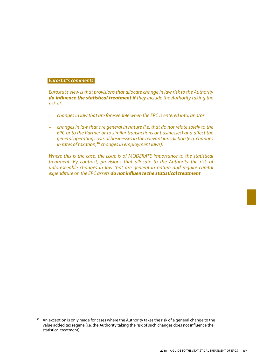*Eurostat's view is that provisions that allocate change in law risk to the Authority do influence the statistical treatment if they include the Authority taking the risk of:*

- changes in law that are foreseeable when the EPC is entered into; and/or
- changes in law that are general in nature (i.e. that do not relate solely to the *EPC or to the Partner or to similar transactions or businesses) and affect the general operating costs of businesses in the relevant jurisdiction (e.g. changes in rates of taxation,***<sup>38</sup>** *changes in employment laws).*

*Where this is the case, the issue is of MODERATE importance to the statistical treatment. By contrast, provisions that allocate to the Authority the risk of unforeseeable changes in law that are general in nature and require capital expenditure on the EPC assets do not influence the statistical treatment.*

An exception is only made for cases where the Authority takes the risk of a general change to the value added tax regime (i.e. the Authority taking the risk of such changes does not influence the statistical treatment).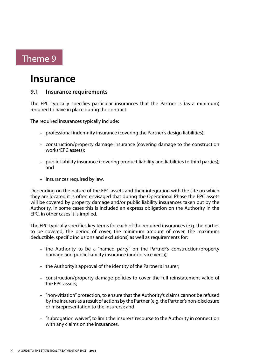Theme 9

## **Insurance**

## **9.1 Insurance requirements**

The EPC typically specifies particular insurances that the Partner is (as a minimum) required to have in place during the contract.

The required insurances typically include:

- professional indemnity insurance (covering the Partner's design liabilities);
- construction/property damage insurance (covering damage to the construction works/EPC assets);
- public liability insurance (covering product liability and liabilities to third parties); and
- insurances required by law.

Depending on the nature of the EPC assets and their integration with the site on which they are located it is often envisaged that during the Operational Phase the EPC assets will be covered by property damage and/or public liability insurances taken out by the Authority. In some cases this is included an express obligation on the Authority in the EPC, in other cases it is implied.

The EPC typically specifies key terms for each of the required insurances (e.g. the parties to be covered, the period of cover, the minimum amount of cover, the maximum deductible, specific inclusions and exclusions) as well as requirements for:

- the Authority to be a "named party" on the Partner's construction/property damage and public liability insurance (and/or vice versa);
- the Authority's approval of the identity of the Partner's insurer;
- construction/property damage policies to cover the full reinstatement value of the EPC assets;
- "non-vitiation" protection, to ensure that the Authority's claims cannot be refused by the insurers as a result of actions by the Partner (e.g. the Partner's non-disclosure or misrepresentation to the insurers); and
- "subrogation waiver", to limit the insurers' recourse to the Authority in connection with any claims on the insurances.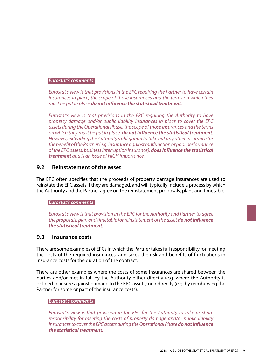*Eurostat's view is that provisions in the EPC requiring the Partner to have certain insurances in place, the scope of those insurances and the terms on which they must be put in place do not influence the statistical treatment.*

*Eurostat's view is that provisions in the EPC requiring the Authority to have property damage and/or public liability insurances in place to cover the EPC assets during the Operational Phase, the scope of those insurances and the terms on which they must be put in place, do not influence the statistical treatment. However, extending the Authority's obligation to take out any other insurance for the benefit of the Partner (e.g. insurance against malfunction or poor performance of the EPC assets, business interruption insurance), does influence the statistical treatment and is an issue of HIGH importance.*

## **9.2 Reinstatement of the asset**

The EPC often specifies that the proceeds of property damage insurances are used to reinstate the EPC assets if they are damaged, and will typically include a process by which the Authority and the Partner agree on the reinstatement proposals, plans and timetable.

## *Eurostat's comments*

*Eurostat's view is that provision in the EPC for the Authority and Partner to agree the proposals, plan and timetable for reinstatement of the asset do not influence the statistical treatment.*

## **9.3 Insurance costs**

There are some examples of EPCs in which the Partner takes full responsibility for meeting the costs of the required insurances, and takes the risk and benefits of fluctuations in insurance costs for the duration of the contract.

There are other examples where the costs of some insurances are shared between the parties and/or met in full by the Authority either directly (e.g. where the Authority is obliged to insure against damage to the EPC assets) or indirectly (e.g. by reimbursing the Partner for some or part of the insurance costs).

#### *Eurostat's comments*

*Eurostat's view is that provision in the EPC for the Authority to take or share responsibility for meeting the costs of property damage and/or public liability insurances to cover the EPC assets during the Operational Phase do not influence the statistical treatment.*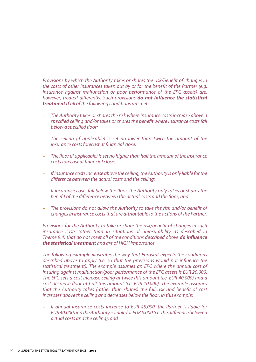*Provisions by which the Authority takes or shares the risk/benefit of changes in the costs of other insurances taken out by or for the benefit of the Partner (e.g. insurance against malfunction or poor performance of the EPC assets) are, however, treated differently. Such provisions do not influence the statistical treatment if all of the following conditions are met:*

- The Authority takes or shares the risk where insurance costs increase above a *specified ceiling and/or takes or shares the benefit where insurance costs fall below a specified floor;*
- The ceiling (if applicable) is set no lower than twice the amount of the *insurance costs forecast at financial close;*
- -  *The floor (if applicable) is set no higher than half the amount of the insurance costs forecast at financial close;*
- -  *If insurance costs increase above the ceiling, the Authority is only liable for the difference between the actual costs and the ceiling;*
- -  *If insurance costs fall below the floor, the Authority only takes or shares the benefit of the difference between the actual costs and the floor; and*
- The provisions do not allow the Authority to take the risk and/or benefit of *changes in insurance costs that are attributable to the actions of the Partner.*

*Provisions for the Authority to take or share the risk/benefit of changes in such insurance costs (other than in situations of uninsurability as described in Theme 9.4) that do not meet all of the conditions described above do influence the statistical treatment and are of HIGH importance.*

*The following example illustrates the way that Eurostat expects the conditions described above to apply (i.e. so that the provisions would not influence the statistical treatment). The example assumes an EPC where the annual cost of insuring against malfunction/poor performance of the EPC assets is EUR 20,000. The EPC sets a cost increase ceiling at twice this amount (i.e. EUR 40,000) and a cost decrease floor at half this amount (i.e. EUR 10,000). The example assumes that the Authority takes (rather than shares) the full risk and benefit of cost increases above the ceiling and decreases below the floor. In this example:*

-  *If annual insurance costs increase to EUR 45,000, the Partner is liable for EUR40,000 and the Authority is liable for EUR 5,000 (i.e. the difference between actual costs and the ceiling); and*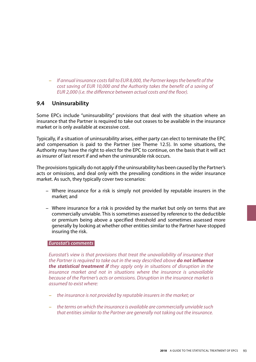-  *If annual insurance costs fall to EUR 8,000, the Partner keeps the benefit of the cost saving of EUR 10,000 and the Authority takes the benefit of a saving of EUR 2,000 (i.e. the difference between actual costs and the floor).*

## **9.4 Uninsurability**

Some EPCs include "uninsurability" provisions that deal with the situation where an insurance that the Partner is required to take out ceases to be available in the insurance market or is only available at excessive cost.

Typically, if a situation of uninsurability arises, either party can elect to terminate the EPC and compensation is paid to the Partner (see Theme 12.5). In some situations, the Authority may have the right to elect for the EPC to continue, on the basis that it will act as insurer of last resort if and when the uninsurable risk occurs.

The provisions typically do not apply if the uninsurability has been caused by the Partner's acts or omissions, and deal only with the prevailing conditions in the wider insurance market. As such, they typically cover two scenarios:

- Where insurance for a risk is simply not provided by reputable insurers in the market; and
- Where insurance for a risk is provided by the market but only on terms that are commercially unviable. This is sometimes assessed by reference to the deductible or premium being above a specified threshold and sometimes assessed more generally by looking at whether other entities similar to the Partner have stopped insuring the risk.

## *Eurostat's comments*

*Eurostat's view is that provisions that treat the unavailability of insurance that the Partner is required to take out in the way described above do not influence the statistical treatment if they apply only in situations of disruption in the insurance market and not in situations where the insurance is unavailable because of the Partner's acts or omissions. Disruption in the insurance market is assumed to exist where:*

- -  *the insurance is not provided by reputable insurers in the market; or*
- -  *the terms on which the insurance is available are commercially unviable such that entities similar to the Partner are generally not taking out the insurance.*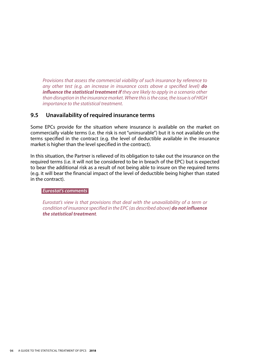*Provisions that assess the commercial viability of such insurance by reference to any other test (e.g. an increase in insurance costs above a specified level) do influence the statistical treatment if they are likely to apply in a scenario other than disruption in the insurance market. Where this is the case, the issue is of HIGH importance to the statistical treatment.* 

## **9.5 Unavailability of required insurance terms**

Some EPCs provide for the situation where insurance is available on the market on commercially viable terms (i.e. the risk is not "uninsurable") but it is not available on the terms specified in the contract (e.g. the level of deductible available in the insurance market is higher than the level specified in the contract).

In this situation, the Partner is relieved of its obligation to take out the insurance on the required terms (i.e. it will not be considered to be in breach of the EPC) but is expected to bear the additional risk as a result of not being able to insure on the required terms (e.g. it will bear the financial impact of the level of deductible being higher than stated in the contract).

## *Eurostat's comments*

*Eurostat's view is that provisions that deal with the unavailability of a term or condition of insurance specified in the EPC (as described above) do not influence the statistical treatment.*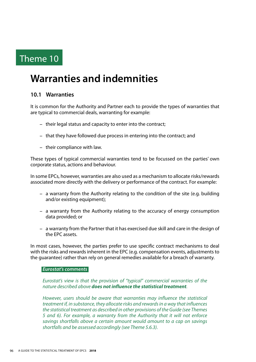Theme 10

## **Warranties and indemnities**

## **10.1 Warranties**

It is common for the Authority and Partner each to provide the types of warranties that are typical to commercial deals, warranting for example:

- their legal status and capacity to enter into the contract;
- that they have followed due process in entering into the contract; and
- $-$  their compliance with law.

These types of typical commercial warranties tend to be focussed on the parties' own corporate status, actions and behaviour.

In some EPCs, however, warranties are also used as a mechanism to allocate risks/rewards associated more directly with the delivery or performance of the contract. For example:

- $-$  a warranty from the Authority relating to the condition of the site (e.g. building and/or existing equipment);
- $-$  a warranty from the Authority relating to the accuracy of energy consumption data provided; or
- a warranty from the Partner that it has exercised due skill and care in the design of the EPC assets.

In most cases, however, the parties prefer to use specific contract mechanisms to deal with the risks and rewards inherent in the EPC (e.g. compensation events, adjustments to the guarantee) rather than rely on general remedies available for a breach of warranty.

#### *Eurostat's comments*

*Eurostat's view is that the provision of "typical" commercial warranties of the nature described above does not influence the statistical treatment.*

*However, users should be aware that warranties may influence the statistical treatment if, in substance, they allocate risks and rewards in a way that influences the statistical treatment as described in other provisions of the Guide (see Themes 5 and 6). For example, a warranty from the Authority that it will not enforce savings shortfalls above a certain amount would amount to a cap on savings shortfalls and be assessed accordingly (see Theme 5.6.3).*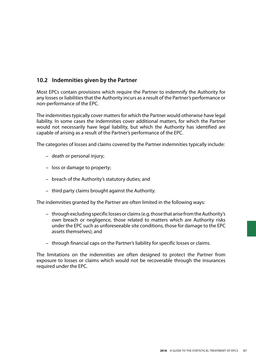## **10.2 Indemnities given by the Partner**

Most EPCs contain provisions which require the Partner to indemnify the Authority for any losses or liabilities that the Authority incurs as a result of the Partner's performance or non-performance of the EPC.

The indemnities typically cover matters for which the Partner would otherwise have legal liability. In some cases the indemnities cover additional matters, for which the Partner would not necessarily have legal liability, but which the Authority has identified are capable of arising as a result of the Partner's performance of the EPC.

The categories of losses and claims covered by the Partner indemnities typically include:

- death or personal injury;
- loss or damage to property;
- breach of the Authority's statutory duties; and
- third party claims brought against the Authority.

The indemnities granted by the Partner are often limited in the following ways:

- through excluding specific losses or claims (e.g. those that arise from the Authority's own breach or negligence, those related to matters which are Authority risks under the EPC such as unforeseeable site conditions, those for damage to the EPC assets themselves); and
- through financial caps on the Partner's liability for specific losses or claims.

The limitations on the indemnities are often designed to protect the Partner from exposure to losses or claims which would not be recoverable through the insurances required under the EPC.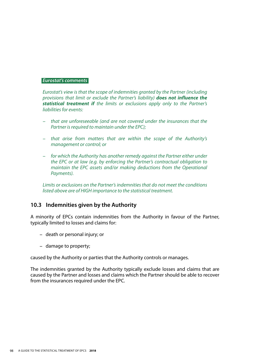*Eurostat's view is that the scope of indemnities granted by the Partner (including provisions that limit or exclude the Partner's liability) does not influence the statistical treatment if the limits or exclusions apply only to the Partner's liabilities for events:*

- that are unforeseeable (and are not covered under the insurances that the *Partner is required to maintain under the EPC);*
- that arise from matters that are within the scope of the Authority's *management or control; or*
- for which the Authority has another remedy against the Partner either under *the EPC or at law (e.g. by enforcing the Partner's contractual obligation to maintain the EPC assets and/or making deductions from the Operational Payments).*

*Limits or exclusions on the Partner's indemnities that do not meet the conditions listed above are of HIGH importance to the statistical treatment.*

## **10.3 Indemnities given by the Authority**

A minority of EPCs contain indemnities from the Authority in favour of the Partner, typically limited to losses and claims for:

- death or personal injury; or
- damage to property;

caused by the Authority or parties that the Authority controls or manages.

The indemnities granted by the Authority typically exclude losses and claims that are caused by the Partner and losses and claims which the Partner should be able to recover from the insurances required under the EPC.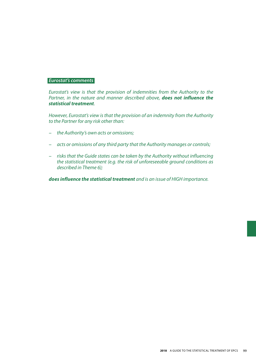*Eurostat's view is that the provision of indemnities from the Authority to the Partner, in the nature and manner described above, does not influence the statistical treatment.*

*However, Eurostat's view is that the provision of an indemnity from the Authority to the Partner for any risk other than:*

- - *the Authority's own acts or omissions;*
- - *acts or omissions of any third party that the Authority manages or controls;*
- risks that the Guide states can be taken by the Authority without influencing *the statistical treatment (e.g. the risk of unforeseeable ground conditions as described in Theme 6);*

*does influence the statistical treatment and is an issue of HIGH importance.*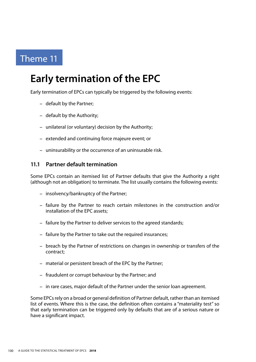Theme 11

## **Early termination of the EPC**

Early termination of EPCs can typically be triggered by the following events:

- default by the Partner;
- default by the Authority;
- unilateral (or voluntary) decision by the Authority;
- extended and continuing force majeure event; or
- uninsurability or the occurrence of an uninsurable risk.

## **11.1 Partner default termination**

Some EPCs contain an itemised list of Partner defaults that give the Authority a right (although not an obligation) to terminate. The list usually contains the following events:

- insolvency/bankruptcy of the Partner;
- failure by the Partner to reach certain milestones in the construction and/or installation of the EPC assets;
- failure by the Partner to deliver services to the agreed standards;
- failure by the Partner to take out the required insurances;
- breach by the Partner of restrictions on changes in ownership or transfers of the contract;
- material or persistent breach of the EPC by the Partner;
- fraudulent or corrupt behaviour by the Partner; and
- in rare cases, major default of the Partner under the senior loan agreement.

Some EPCs rely on a broad or general definition of Partner default, rather than an itemised list of events. Where this is the case, the definition often contains a "materiality test" so that early termination can be triggered only by defaults that are of a serious nature or have a significant impact.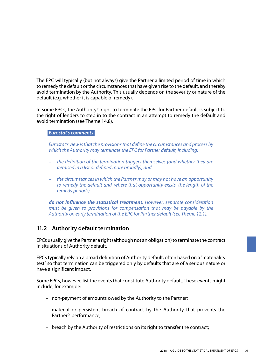The EPC will typically (but not always) give the Partner a limited period of time in which to remedy the default or the circumstances that have given rise to the default, and thereby avoid termination by the Authority. This usually depends on the severity or nature of the default (e.g. whether it is capable of remedy).

In some EPCs, the Authority's right to terminate the EPC for Partner default is subject to the right of lenders to step in to the contract in an attempt to remedy the default and avoid termination (see Theme 14.8).

## *Eurostat's comments*

*Eurostat's view is that the provisions that define the circumstances and process by which the Authority may terminate the EPC for Partner default, including:*

- the definition of the termination triggers themselves (and whether they are *itemised in a list or defined more broadly); and*
- the circumstances in which the Partner may or may not have an opportunity *to remedy the default and, where that opportunity exists, the length of the remedy periods;*

*do not influence the statistical treatment. However, separate consideration must be given to provisions for compensation that may be payable by the Authority on early termination of the EPC for Partner default (see Theme 12.1).*

## **11.2 Authority default termination**

EPCs usually give the Partner a right (although not an obligation) to terminate the contract in situations of Authority default.

EPCs typically rely on a broad definition of Authority default, often based on a "materiality test" so that termination can be triggered only by defaults that are of a serious nature or have a significant impact.

Some EPCs, however, list the events that constitute Authority default. These events might include, for example:

- non-payment of amounts owed by the Authority to the Partner;
- material or persistent breach of contract by the Authority that prevents the Partner's performance;
- $-$  breach by the Authority of restrictions on its right to transfer the contract;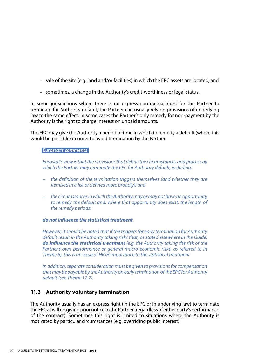- $-$  sale of the site (e.g. land and/or facilities) in which the EPC assets are located; and
- sometimes, a change in the Authority's credit-worthiness or legal status.

In some jurisdictions where there is no express contractual right for the Partner to terminate for Authority default, the Partner can usually rely on provisions of underlying law to the same effect. In some cases the Partner's only remedy for non-payment by the Authority is the right to charge interest on unpaid amounts.

The EPC may give the Authority a period of time in which to remedy a default (where this would be possible) in order to avoid termination by the Partner.

#### *Eurostat's comments*

*Eurostat's view is that the provisions that define the circumstances and process by which the Partner may terminate the EPC for Authority default, including:*

- the definition of the termination triggers themselves (and whether they are *itemised in a list or defined more broadly); and*
- - *the circumstances in which the Authority may or may not have an opportunity to remedy the default and, where that opportunity does exist, the length of the remedy periods;*

### *do not influence the statistical treatment.*

*However, it should be noted that if the triggers for early termination for Authority default result in the Authority taking risks that, as stated elsewhere in the Guide, do influence the statistical treatment (e.g. the Authority taking the risk of the Partner's own performance or general macro-economic risks, as referred to in Theme 6), this is an issue of HIGH importance to the statistical treatment.*

*In addition, separate consideration must be given to provisions for compensation that may be payable by the Authority on early termination of the EPC for Authority default (see Theme 12.2).*

## **11.3 Authority voluntary termination**

The Authority usually has an express right (in the EPC or in underlying law) to terminate the EPC at will on giving prior notice to the Partner (regardless of either party's performance of the contract). Sometimes this right is limited to situations where the Authority is motivated by particular circumstances (e.g. overriding public interest).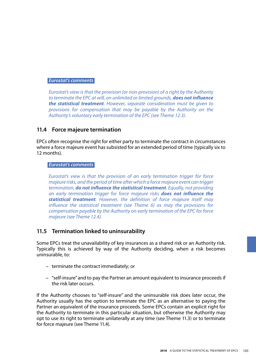*Eurostat's view is that the provision (or non-provision) of a right by the Authority to terminate the EPC at will, on unlimited or limited grounds, does not influence the statistical treatment. However, separate consideration must be given to provisions for compensation that may be payable by the Authority on the Authority's voluntary early termination of the EPC (see Theme 12.3).*

## **11.4 Force majeure termination**

EPCs often recognise the right for either party to terminate the contract in circumstances where a force majeure event has subsisted for an extended period of time (typically six to 12 months).

#### *Eurostat's comments*

*Eurostat's view is that the provision of an early termination trigger for force majeure risks, and the period of time after which a force majeure event can trigger termination, do not influence the statistical treatment. Equally, not providing an early termination trigger for force majeure risks does not influence the statistical treatment. However, the definition of force majeure itself may influence the statistical treatment (see Theme 6) as may the provisions for compensation payable by the Authority on early termination of the EPC for force majeure (see Theme 12.4).*

## **11.5 Termination linked to uninsurability**

Some EPCs treat the unavailability of key insurances as a shared risk or an Authority risk. Typically this is achieved by way of the Authority deciding, when a risk becomes uninsurable, to:

- terminate the contract immediately; or
- "self-insure" and to pay the Partner an amount equivalent to insurance proceeds if the risk later occurs.

If the Authority chooses to "self-insure" and the uninsurable risk does later occur, the Authority usually has the option to terminate the EPC as an alternative to paying the Partner an equivalent of the insurance proceeds. Some EPCs contain an explicit right for the Authority to terminate in this particular situation, but otherwise the Authority may opt to use its right to terminate unilaterally at any time (see Theme 11.3) or to terminate for force majeure (see Theme 11.4).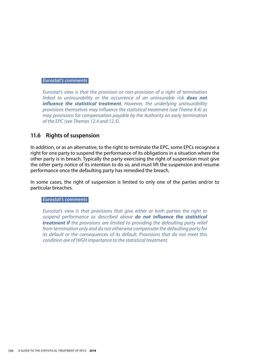*Eurostat's view is that the provision or non-provision of a right of termination linked to uninsurability or the occurrence of an uninsurable risk does not influence the statistical treatment. However, the underlying uninsurability provisions themselves may influence the statistical treatment (see Theme 9.4) as may provisions for compensation payable by the Authority on early termination of the EPC (see Themes 12.4 and 12.5).*

## **11.6 Rights of suspension**

In addition, or as an alternative, to the right to terminate the EPC, some EPCs recognise a right for one party to suspend the performance of its obligations in a situation where the other party is in breach. Typically the party exercising the right of suspension must give the other party notice of its intention to do so, and must lift the suspension and resume performance once the defaulting party has remedied the breach.

In some cases, the right of suspension is limited to only one of the parties and/or to particular breaches.

#### *Eurostat's comments*

*Eurostat's view is that provisions that give either or both parties the right to suspend performance as described above do not influence the statistical treatment if the provisions are limited to providing the defaulting party relief from termination only and do not otherwise compensate the defaulting party for its default or the consequences of its default. Provisions that do not meet this condition are of HIGH importance to the statistical treatment.*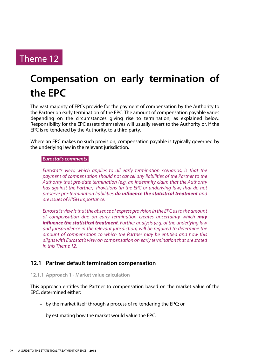## Theme 12

# **Compensation on early termination of the EPC**

The vast majority of EPCs provide for the payment of compensation by the Authority to the Partner on early termination of the EPC. The amount of compensation payable varies depending on the circumstances giving rise to termination, as explained below. Responsibility for the EPC assets themselves will usually revert to the Authority or, if the EPC is re-tendered by the Authority, to a third party.

Where an EPC makes no such provision, compensation payable is typically governed by the underlying law in the relevant jurisdiction.

#### *Eurostat's comments*

*Eurostat's view, which applies to all early termination scenarios, is that the payment of compensation should not cancel any liabilities of the Partner to the Authority that pre-date termination (e.g. an indemnity claim that the Authority has against the Partner). Provisions (in the EPC or underlying law) that do not preserve pre-termination liabilities do influence the statistical treatment and are issues of HIGH importance.*

*Eurostat's view is that the absence of express provision in the EPC as to the amount of compensation due on early termination creates uncertainty which may influence the statistical treatment. Further analysis (e.g. of the underlying law and jurisprudence in the relevant jurisdiction) will be required to determine the amount of compensation to which the Partner may be entitled and how this aligns with Eurostat's view on compensation on early termination that are stated in this Theme 12.*

## **12.1 Partner default termination compensation**

## **12.1.1 Approach 1 - Market value calculation**

This approach entitles the Partner to compensation based on the market value of the EPC, determined either:

- by the market itself through a process of re-tendering the EPC; or
- by estimating how the market would value the EPC.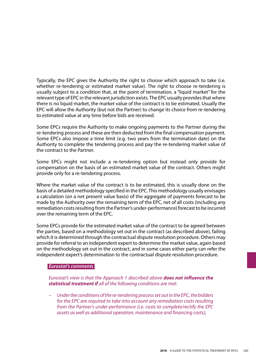Typically, the EPC gives the Authority the right to choose which approach to take (i.e. whether re-tendering or estimated market value). The right to choose re-tendering is usually subject to a condition that, at the point of termination, a "liquid market" for the relevant type of EPC in the relevant jurisdiction exists. The EPC usually provides that where there is no liquid market, the market value of the contract is to be estimated. Usually the EPC will allow the Authority (but not the Partner) to change its choice from re-tendering to estimated value at any time before bids are received.

Some EPCs require the Authority to make ongoing payments to the Partner during the re-tendering process and these are then deducted from the final compensation payment. Some EPCs also impose a time limit (e.g. two years from the termination date) on the Authority to complete the tendering process and pay the re-tendering market value of the contract to the Partner.

Some EPCs might not include a re-tendering option but instead only provide for compensation on the basis of an estimated market value of the contract. Others might provide only for a re-tendering process.

Where the market value of the contract is to be estimated, this is usually done on the basis of a detailed methodology specified in the EPC. This methodology usually envisages a calculation (on a net present value basis) of the aggregate of payments forecast to be made by the Authority over the remaining term of the EPC, net of all costs (including any remediation costs resulting from the Partner's under-performance) forecast to be incurred over the remaining term of the EPC.

Some EPCs provide for the estimated market value of the contract to be agreed between the parties, based on a methodology set out in the contract (as described above), failing which it is determined through the contractual dispute resolution procedure. Others may provide for referral to an independent expert to determine the market value, again based on the methodology set out in the contract, and in some cases either party can refer the independent expert's determination to the contractual dispute resolution procedure.

#### *Eurostat's comments*

*Eurostat's view is that the Approach 1 described above does not influence the statistical treatment if all of the following conditions are met:*

- Under the conditions of the re-tendering process set out in the EPC, the bidders *for the EPC are required to take into account any remediation costs resulting from the Partner's under-performance (i.e. costs to complete/rectify the EPC assets as well as additional operation, maintenance and financing costs);*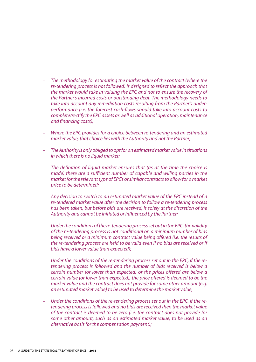- The methodology for estimating the market value of the contract (where the *re-tendering process is not followed) is designed to reflect the approach that the market would take in valuing the EPC and not to ensure the recovery of the Partner's incurred costs or outstanding debt. The methodology needs to take into account any remediation costs resulting from the Partner's underperformance (i.e. the forecast cash-flows should take into account costs to complete/rectify the EPC assets as well as additional operation, maintenance and financing costs);*
- **Where the EPC provides for a choice between re-tendering and an estimated** *market value, that choice lies with the Authority and not the Partner;*
- - *The Authority is only obliged to opt for an estimated market value in situations in which there is no liquid market;*
- The definition of liquid market ensures that (as at the time the choice is *made) there are a sufficient number of capable and willing parties in the market for the relevant type of EPCs or similar contracts to allow for a market price to be determined;*
- Any decision to switch to an estimated market value of the EPC instead of a *re-tendered market value after the decision to follow a re-tendering process has been taken, but before bids are received, is solely at the discretion of the Authority and cannot be initiated or influenced by the Partner;*
- - *Under the conditions of the re-tendering process set out in the EPC, the validity of the re-tendering process is not conditional on a minimum number of bids being received or a minimum contract value being offered (i.e. the results of the re-tendering process are held to be valid even if no bids are received or if bids have a lower value than expected);*
- Under the conditions of the re-tendering process set out in the EPC, if the re*tendering process is followed and the number of bids received is below a certain number (or lower than expected) or the prices offered are below a certain value (or lower than expected), the price offered is deemed to be the market value and the contract does not provide for some other amount (e.g. an estimated market value) to be used to determine the market value;*
- Under the conditions of the re-tendering process set out in the EPC, if the re*tendering process is followed and no bids are received then the market value of the contract is deemed to be zero (i.e. the contract does not provide for some other amount, such as an estimated market value, to be used as an alternative basis for the compensation payment);*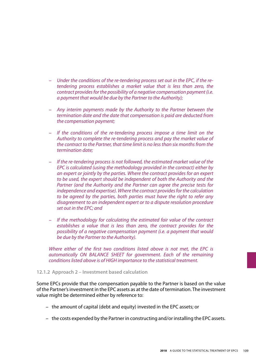- Under the conditions of the re-tendering process set out in the EPC, if the re*tendering process establishes a market value that is less than zero, the contract provides for the possibility of a negative compensation payment (i.e. a payment that would be due by the Partner to the Authority);*
- Any interim payments made by the Authority to the Partner between the *termination date and the date that compensation is paid are deducted from the compensation payment;*
- If the conditions of the re-tendering process impose a time limit on the *Authority to complete the re-tendering process and pay the market value of the contract to the Partner, that time limit is no less than six months from the termination date;*
- If the re-tendering process is not followed, the estimated market value of the *EPC is calculated (using the methodology provided in the contract) either by an expert or jointly by the parties. Where the contract provides for an expert to be used, the expert should be independent of both the Authority and the Partner (and the Authority and the Partner can agree the precise tests for independence and expertise). Where the contract provides for the calculation to be agreed by the parties, both parties must have the right to refer any disagreement to an independent expert or to a dispute resolution procedure set out in the EPC; and*
- If the methodology for calculating the estimated fair value of the contract *establishes a value that is less than zero, the contract provides for the possibility of a negative compensation payment (i.e. a payment that would be due by the Partner to the Authority).*

*Where either of the first two conditions listed above is not met, the EPC is automatically ON BALANCE SHEET for government. Each of the remaining conditions listed above is of HIGH importance to the statistical treatment.*

#### **12.1.2 Approach 2 – Investment based calculation**

Some EPCs provide that the compensation payable to the Partner is based on the value of the Partner's investment in the EPC assets as at the date of termination. The investment value might be determined either by reference to:

- the amount of capital (debt and equity) invested in the EPC assets; or
- $-$  the costs expended by the Partner in constructing and/or installing the EPC assets.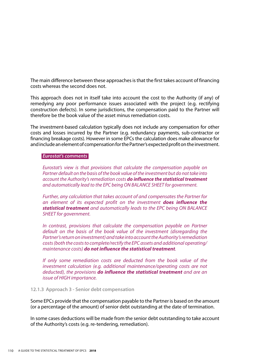The main difference between these approaches is that the first takes account of financing costs whereas the second does not.

This approach does not in itself take into account the cost to the Authority (if any) of remedying any poor performance issues associated with the project (e.g. rectifying construction defects). In some jurisdictions, the compensation paid to the Partner will therefore be the book value of the asset minus remediation costs.

The investment-based calculation typically does not include any compensation for other costs and losses incurred by the Partner (e.g. redundancy payments, sub-contractor or financing breakage costs). However in some EPCs the calculation does make allowance for and include an element of compensation for the Partner's expected profit on the investment.

#### *Eurostat's comments*

*Eurostat's view is that provisions that calculate the compensation payable on Partner default on the basis of the book value of the investment but do not take into account the Authority's remediation costs do influence the statistical treatment and automatically lead to the EPC being ON BALANCE SHEET for government.*

*Further, any calculation that takes account of and compensates the Partner for an element of its expected profit on the investment does influence the statistical treatment and automatically leads to the EPC being ON BALANCE SHEET for government.*

*In contrast, provisions that calculate the compensation payable on Partner default on the basis of the book value of the investment (disregarding the Partner's return on investment) and take into account the Authority's remediation costs (both the costs to complete/rectify the EPC assets and additional operating/ maintenance costs) do not influence the statistical treatment.*

*If only some remediation costs are deducted from the book value of the investment calculation (e.g. additional maintenance/operating costs are not deducted), the provisions do influence the statistical treatment and are an issue of HIGH importance.*

#### **12.1.3 Approach 3 - Senior debt compensation**

Some EPCs provide that the compensation payable to the Partner is based on the amount (or a percentage of the amount) of senior debt outstanding at the date of termination.

In some cases deductions will be made from the senior debt outstanding to take account of the Authority's costs (e.g. re-tendering, remediation).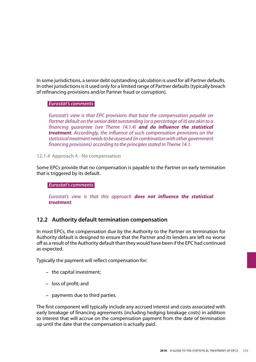In some jurisdictions, a senior debt outstanding calculation is used for all Partner defaults. In other jurisdictions is it used only for a limited range of Partner defaults (typically breach of refinancing provisions and/or Partner fraud or corruption).

## *Eurostat's comments*

*Eurostat's view is that EPC provisions that base the compensation payable on Partner default on the senior debt outstanding (or a percentage of it) are akin to a financing guarantee (see Theme 14.1.4) and do influence the statistical treatment. Accordingly, the influence of such compensation provisions on the statistical treatment needs to be assessed (in combination with other government financing provisions) according to the principles stated in Theme 14.1.*

**12.1.4 Approach 4 - No compensation**

Some EPCs provide that no compensation is payable to the Partner on early termination that is triggered by its default.

#### *Eurostat's comments*

*Eurostat's view is that this approach does not influence the statistical treatment.*

## **12.2 Authority default termination compensation**

In most EPCs, the compensation due by the Authority to the Partner on termination for Authority default is designed to ensure that the Partner and its lenders are left no worse off as a result of the Authority default than they would have been if the EPC had continued as expected.

Typically the payment will reflect compensation for:

- the capital investment;
- loss of profit; and
- payments due to third parties.

The first component will typically include any accrued interest and costs associated with early breakage of financing agreements (including hedging breakage costs) in addition to interest that will accrue on the compensation payment from the date of termination up until the date that the compensation is actually paid.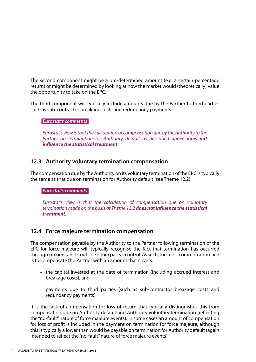The second component might be a pre-determined amount (e.g. a certain percentage return) or might be determined by looking at how the market would (theoretically) value the opportunity to take on the EPC.

The third component will typically include amounts due by the Partner to third parties such as sub-contractor breakage costs and redundancy payments.

*Eurostat's comments*

*Eurostat's view is that the calculation of compensation due by the Authority to the Partner on termination for Authority default as described above does not influence the statistical treatment.*

## **12.3 Authority voluntary termination compensation**

The compensation due by the Authority on its voluntary termination of the EPC is typically the same as that due on termination for Authority default (see Theme 12.2).

## *Eurostat's comments*

*Eurostat's view is that the calculation of compensation due on voluntary termination made on the basis of Theme 12.2 does not influence the statistical treatment.*

## **12.4 Force majeure termination compensation**

The compensation payable by the Authority to the Partner following termination of the EPC for force majeure will typically recognise the fact that termination has occurred through circumstances outside either party's control. As such, the most common approach is to compensate the Partner with an amount that covers:

- the capital invested at the date of termination (including accrued interest and breakage costs); and
- payments due to third parties (such as sub-contractor breakage costs and redundancy payments).

It is the lack of compensation for loss of return that typically distinguishes this from compensation due on Authority default and Authority voluntary termination (reflecting the "no-fault" nature of force majeure events). In some cases an amount of compensation for loss of profit is included in the payment on termination for force majeure, although this is typically a lower than would be payable on termination for Authority default (again intended to reflect the "no-fault" nature of force majeure events).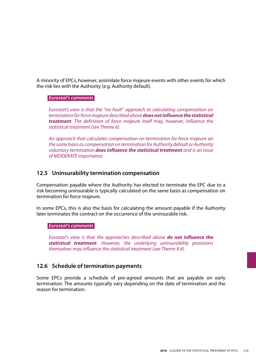A minority of EPCs, however, assimilate force majeure events with other events for which the risk lies with the Authority (e.g. Authority default).

#### *Eurostat's comments*

*Eurostat's view is that the "no-fault" approach to calculating compensation on termination for force majeure described above does not influence the statistical treatment. The definition of force majeure itself may, however, influence the statistical treatment (see Theme 6).*

*An approach that calculates compensation on termination for force majeure on the same basis as compensation on termination for Authority default or Authority voluntary termination does influence the statistical treatment and is an issue of MODERATE importance.*

## **12.5 Uninsurability termination compensation**

Compensation payable where the Authority has elected to terminate the EPC due to a risk becoming uninsurable is typically calculated on the same basis as compensation on termination for force majeure.

In some EPCs, this is also the basis for calculating the amount payable if the Authority later terminates the contract on the occurrence of the uninsurable risk.

#### *Eurostat's comments*

*Eurostat's view is that the approaches described above do not influence the statistical treatment. However, the underlying uninsurability provisions themselves may influence the statistical treatment (see Theme 9.4).*

## **12.6 Schedule of termination payments**

Some EPCs provide a schedule of pre-agreed amounts that are payable on early termination. The amounts typically vary depending on the date of termination and the reason for termination.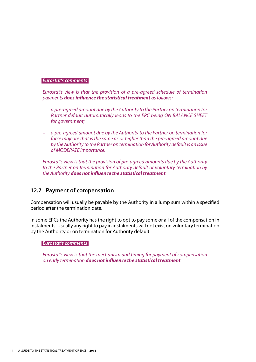*Eurostat's view is that the provision of a pre-agreed schedule of termination payments does influence the statistical treatment as follows:*

- - *a pre-agreed amount due by the Authority to the Partner on termination for Partner default automatically leads to the EPC being ON BALANCE SHEET for government;*
- - *a pre-agreed amount due by the Authority to the Partner on termination for force majeure that is the same as or higher than the pre-agreed amount due by the Authority to the Partner on termination for Authority default is an issue of MODERATE importance.*

*Eurostat's view is that the provision of pre-agreed amounts due by the Authority to the Partner on termination for Authority default or voluntary termination by the Authority does not influence the statistical treatment.*

## **12.7 Payment of compensation**

Compensation will usually be payable by the Authority in a lump sum within a specified period after the termination date.

In some EPCs the Authority has the right to opt to pay some or all of the compensation in instalments. Usually any right to pay in instalments will not exist on voluntary termination by the Authority or on termination for Authority default.

#### *Eurostat's comments*

*Eurostat's view is that the mechanism and timing for payment of compensation on early termination does not influence the statistical treatment.*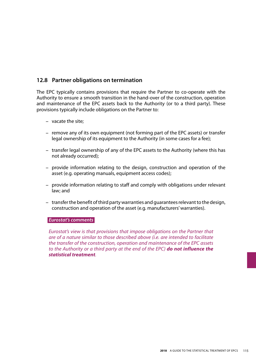## **12.8 Partner obligations on termination**

The EPC typically contains provisions that require the Partner to co-operate with the Authority to ensure a smooth transition in the hand-over of the construction, operation and maintenance of the EPC assets back to the Authority (or to a third party). These provisions typically include obligations on the Partner to:

- $-$  vacate the site:
- remove any of its own equipment (not forming part of the EPC assets) or transfer legal ownership of its equipment to the Authority (in some cases for a fee);
- transfer legal ownership of any of the EPC assets to the Authority (where this has not already occurred);
- provide information relating to the design, construction and operation of the asset (e.g. operating manuals, equipment access codes);
- provide information relating to staff and comply with obligations under relevant law; and
- $-$  transfer the benefit of third party warranties and quarantees relevant to the design, construction and operation of the asset (e.g. manufacturers' warranties).

#### *Eurostat's comments*

*Eurostat's view is that provisions that impose obligations on the Partner that are of a nature similar to those described above (i.e. are intended to facilitate the transfer of the construction, operation and maintenance of the EPC assets to the Authority or a third party at the end of the EPC) do not influence the statistical treatment.*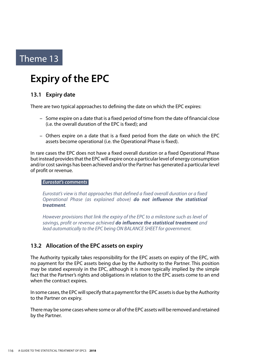Theme 13

# **Expiry of the EPC**

## **13.1 Expiry date**

There are two typical approaches to defining the date on which the EPC expires:

- Some expire on a date that is a fixed period of time from the date of financial close (i.e. the overall duration of the EPC is fixed); and
- Others expire on a date that is a fixed period from the date on which the EPC assets become operational (i.e. the Operational Phase is fixed).

In rare cases the EPC does not have a fixed overall duration or a fixed Operational Phase but instead provides that the EPC will expire once a particular level of energy consumption and/or cost savings has been achieved and/or the Partner has generated a particular level of profit or revenue.

*Eurostat's comments*

*Eurostat's view is that approaches that defined a fixed overall duration or a fixed Operational Phase (as explained above) do not influence the statistical treatment.* 

*However provisions that link the expiry of the EPC to a milestone such as level of savings, profit or revenue achieved do influence the statistical treatment and lead automatically to the EPC being ON BALANCE SHEET for government.*

## **13.2 Allocation of the EPC assets on expiry**

The Authority typically takes responsibility for the EPC assets on expiry of the EPC, with no payment for the EPC assets being due by the Authority to the Partner. This position may be stated expressly in the EPC, although it is more typically implied by the simple fact that the Partner's rights and obligations in relation to the EPC assets come to an end when the contract expires.

In some cases, the EPC will specify that a payment for the EPC assets is due by the Authority to the Partner on expiry.

There may be some cases where some or all of the EPC assets will be removed and retained by the Partner.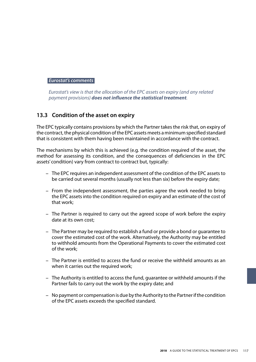*Eurostat's view is that the allocation of the EPC assets on expiry (and any related payment provisions) does not influence the statistical treatment.*

## **13.3 Condition of the asset on expiry**

The EPC typically contains provisions by which the Partner takes the risk that, on expiry of the contract, the physical condition of the EPC assets meets a minimum specified standard that is consistent with them having been maintained in accordance with the contract.

The mechanisms by which this is achieved (e.g. the condition required of the asset, the method for assessing its condition, and the consequences of deficiencies in the EPC assets' condition) vary from contract to contract but, typically:

- The EPC requires an independent assessment of the condition of the EPC assets to be carried out several months (usually not less than six) before the expiry date;
- From the independent assessment, the parties agree the work needed to bring the EPC assets into the condition required on expiry and an estimate of the cost of that work;
- The Partner is required to carry out the agreed scope of work before the expiry date at its own cost;
- $-$  The Partner may be required to establish a fund or provide a bond or quarantee to cover the estimated cost of the work. Alternatively, the Authority may be entitled to withhold amounts from the Operational Payments to cover the estimated cost of the work;
- $-$  The Partner is entitled to access the fund or receive the withheld amounts as an when it carries out the required work:
- The Authority is entitled to access the fund, quarantee or withheld amounts if the Partner fails to carry out the work by the expiry date; and
- No payment or compensation is due by the Authority to the Partner if the condition of the EPC assets exceeds the specified standard.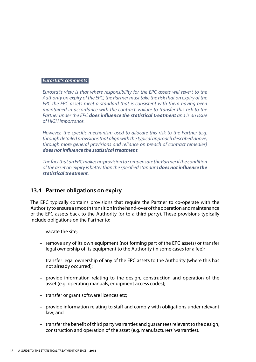*Eurostat's view is that where responsibility for the EPC assets will revert to the Authority on expiry of the EPC, the Partner must take the risk that on expiry of the EPC the EPC assets meet a standard that is consistent with them having been maintained in accordance with the contract. Failure to transfer this risk to the Partner under the EPC does influence the statistical treatment and is an issue of HIGH importance.*

*However, the specific mechanism used to allocate this risk to the Partner (e.g. through detailed provisions that align with the typical approach described above, through more general provisions and reliance on breach of contract remedies) does not influence the statistical treatment.*

*The fact that an EPC makes no provision to compensate the Partner if the condition of the asset on expiry is better than the specified standard does not influence the statistical treatment.*

## **13.4 Partner obligations on expiry**

The EPC typically contains provisions that require the Partner to co-operate with the Authority to ensure a smooth transition in the hand-over of the operation and maintenance of the EPC assets back to the Authority (or to a third party). These provisions typically include obligations on the Partner to:

- $-$  vacate the site;
- remove any of its own equipment (not forming part of the EPC assets) or transfer legal ownership of its equipment to the Authority (in some cases for a fee);
- transfer legal ownership of any of the EPC assets to the Authority (where this has not already occurred);
- provide information relating to the design, construction and operation of the asset (e.g. operating manuals, equipment access codes);
- transfer or grant software licences etc;
- provide information relating to staff and comply with obligations under relevant law; and
- $-$  transfer the benefit of third party warranties and quarantees relevant to the design, construction and operation of the asset (e.g. manufacturers' warranties).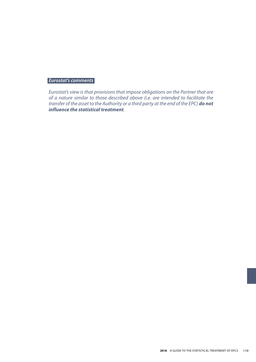*Eurostat's view is that provisions that impose obligations on the Partner that are of a nature similar to those described above (i.e. are intended to facilitate the transfer of the asset to the Authority or a third party at the end of the EPC) do not influence the statistical treatment.*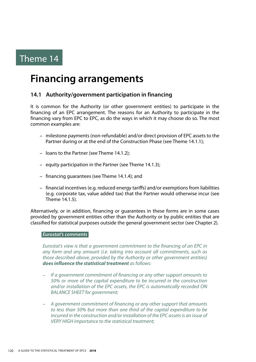

## **Financing arrangements**

## **14.1 Authority/government participation in financing**

It is common for the Authority (or other government entities) to participate in the financing of an EPC arrangement. The reasons for an Authority to participate in the financing vary from EPC to EPC, as do the ways in which it may choose do so. The most common examples are:

- milestone payments (non-refundable) and/or direct provision of EPC assets to the Partner during or at the end of the Construction Phase (see Theme 14.1.1);
- Ioans to the Partner (see Theme 14.1.2);
- equity participation in the Partner (see Theme 14.1.3);
- financing guarantees (see Theme 14.1.4); and
- financial incentives (e.g. reduced energy tariffs) and/or exemptions from liabilities (e.g. corporate tax, value added tax) that the Partner would otherwise incur (see Theme 14.1.5).

Alternatively, or in addition, financing or guarantees in these forms are in some cases provided by government entities other than the Authority or by public entities that are classified for statistical purposes outside the general government sector (see Chapter 2).

#### *Eurostat's comments*

*Eurostat's view is that a government commitment to the financing of an EPC in any form and any amount (i.e. taking into account all commitments, such as those described above, provided by the Authority or other government entities) does influence the statistical treatment as follows:*

- If a government commitment of financing or any other support amounts to *50% or more of the capital expenditure to be incurred in the construction and/or installation of the EPC assets, the EPC is automatically recorded ON BALANCE SHEET for government;*
- - *A government commitment of financing or any other support that amounts to less than 50% but more than one third of the capital expenditure to be incurred in the construction and/or installation of the EPC assets is an issue of VERY HIGH importance to the statistical treatment;*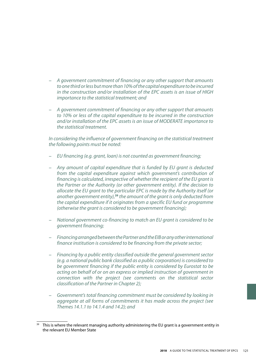- -  *A government commitment of financing or any other support that amounts to one third or less but more than 10% of the capital expenditure to be incurred in the construction and/or installation of the EPC assets is an issue of HIGH importance to the statistical treatment; and*
- - *A government commitment of financing or any other support that amounts to 10% or less of the capital expenditure to be incurred in the construction and/or installation of the EPC assets is an issue of MODERATE importance to the statistical treatment.*

*In considering the influence of government financing on the statistical treatment the following points must be noted:*

- - *EU financing (e.g. grant, loan) is not counted as government financing;*
- Any amount of capital expenditure that is funded by EU grant is deducted *from the capital expenditure against which government's contribution of financing is calculated, irrespective of whether the recipient of the EU grant is the Partner or the Authority (or other government entity). If the decision to allocate the EU grant to the particular EPC is made by the Authority itself (or another government entity),***<sup>39</sup>** *the amount of the grant is only deducted from the capital expenditure if it originates from a specific EU fund or programme (otherwise the grant is considered to be government financing);*
- National government co-financing to match an EU grant is considered to be *government financing;*
- - *Financing arranged between the Partner and the EIB or any other international finance institution is considered to be financing from the private sector;*
- - *Financing by a public entity classified outside the general government sector (e.g. a national public bank classified as a public corporation) is considered to be government financing if the public entity is considered by Eurostat to be acting on behalf of or on an express or implied instruction of government in connection with the project (see comments on the statistical sector classification of the Partner in Chapter 2);*
- - *Government's total financing commitment must be considered by looking in aggregate at all forms of commitments it has made across the project (see Themes 14.1.1 to 14.1.4 and 14.2); and*

 $39$  This is where the relevant managing authority administering the EU grant is a government entity in the relevant EU Member State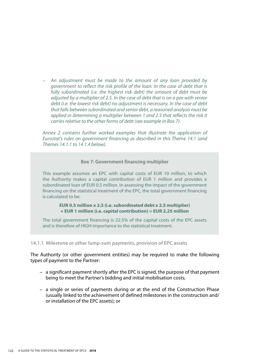An adjustment must be made to the amount of any loan provided by *government to reflect the risk profile of the loan. In the case of debt that is fully subordinated (i.e. the highest risk debt) the amount of debt must be adjusted by a multiplier of 2.5. In the case of debt that is on a par with senior debt (i.e. the lowest risk debt) no adjustment is necessary. In the case of debt that falls between subordinated and senior debt, a reasoned analysis must be*  applied in determining a multiplier between 1 and 2.5 that reflects the risk it *carries relative to the other forms of debt (see example in Box 7).*

*Annex 2 contains further worked examples that illustrate the application of Eurostat's rules on government financing as described in this Theme 14.1 (and Themes 14.1.1 to 14.1.4 below).*

#### **Box 7: Government financing multiplier**

This example assumes an EPC with capital costs of EUR 10 million, to which the Authority makes a capital contribution of EUR 1 million and provides a subordinated loan of EUR 0.5 million. In assessing the impact of the government financing on the statistical treatment of the EPC, the total government financing is calculated to be:

#### **EUR 0.5 million x 2.5 (i.e. subordinated debt x 2.5 multiplier) + EUR 1 million (i.e. capital contribution) = EUR 2.25 million**

The total government financing is 22.5% of the capital costs of the EPC assets and is therefore of HIGH importance to the statistical treatment.

#### **14.1.1 Milestone or other lump-sum payments, provision of EPC assets**

The Authority (or other government entities) may be required to make the following types of payment to the Partner:

- a significant payment shortly after the EPC is signed, the purpose of that payment being to meet the Partner's bidding and initial mobilisation costs;
- $-$  a single or series of payments during or at the end of the Construction Phase (usually linked to the achievement of defined milestones in the construction and/ or installation of the EPC assets); or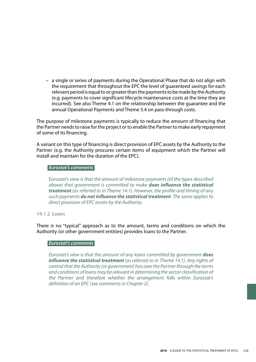$-$  a single or series of payments during the Operational Phase that do not align with the requirement that throughout the EPC the level of guaranteed savings for each relevant period is equal to or greater than the payments to be made by the Authority (e.g. payments to cover significant lifecycle maintenance costs at the time they are incurred). See also Theme 4.1 on the relationship between the guarantee and the annual Operational Payments and Theme 5.4 on pass-through costs.

The purpose of milestone payments is typically to reduce the amount of financing that the Partner needs to raise for the project or to enable the Partner to make early repayment of some of its financing.

A variant on this type of financing is direct provision of EPC assets by the Authority to the Partner (e.g. the Authority procures certain items of equipment which the Partner will install and maintain for the duration of the EPC).

#### *Eurostat's comments*

*Eurostat's view is that the amount of milestone payments (of the types described above) that government is committed to make does influence the statistical treatment (as referred to in Theme 14.1). However, the profile and timing of any such payments do not influence the statistical treatment. The same applies to direct provision of EPC assets by the Authority.*

#### **14.1.2 Loans**

There is no "typical" approach as to the amount, terms and conditions on which the Authority (or other government entities) provides loans to the Partner.

#### *Eurostat's comments*

*Eurostat's view is that the amount of any loans committed by government does influence the statistical treatment (as referred to in Theme 14.1). Any rights of control that the Authority (or government) has over the Partner through the terms and conditions of loans may be relevant in determining the sector classification of the Partner and therefore whether the arrangement falls within Eurostat's definition of an EPC (see comments in Chapter 2).*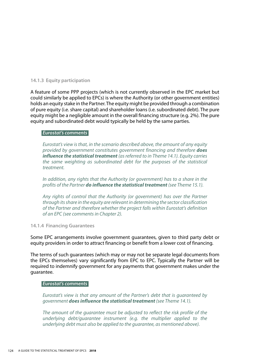#### **14.1.3 Equity participation**

A feature of some PPP projects (which is not currently observed in the EPC market but could similarly be applied to EPCs) is where the Authority (or other government entities) holds an equity stake in the Partner. The equity might be provided through a combination of pure equity (i.e. share capital) and shareholder loans (i.e. subordinated debt). The pure equity might be a negligible amount in the overall financing structure (e.g. 2%). The pure equity and subordinated debt would typically be held by the same parties.

#### *Eurostat's comments*

*Eurostat's view is that, in the scenario described above, the amount of any equity provided by government constitutes government financing and therefore does influence the statistical treatment (as referred to in Theme 14.1). Equity carries the same weighting as subordinated debt for the purposes of the statistical treatment.*

*In addition, any rights that the Authority (or government) has to a share in the profits of the Partner do influence the statistical treatment (see Theme 15.1).*

*Any rights of control that the Authority (or government) has over the Partner through its share in the equity are relevant in determining the sector classification of the Partner and therefore whether the project falls within Eurostat's definition of an EPC (see comments in Chapter 2).*

#### **14.1.4 Financing Guarantees**

Some EPC arrangements involve government guarantees, given to third party debt or equity providers in order to attract financing or benefit from a lower cost of financing.

The terms of such guarantees (which may or may not be separate legal documents from the EPCs themselves) vary significantly from EPC to EPC. Typically the Partner will be required to indemnify government for any payments that government makes under the guarantee.

#### *Eurostat's comments*

*Eurostat's view is that any amount of the Partner's debt that is guaranteed by government does influence the statistical treatment (see Theme 14.1).*

*The amount of the guarantee must be adjusted to reflect the risk profile of the underlying debt/guarantee instrument (e.g. the multiplier applied to the underlying debt must also be applied to the guarantee, as mentioned above).*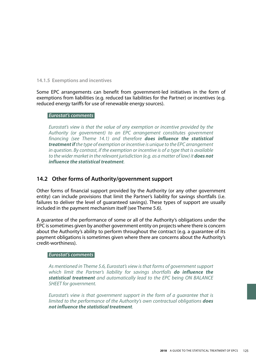#### **14.1.5 Exemptions and incentives**

Some EPC arrangements can benefit from government-led initiatives in the form of exemptions from liabilities (e.g. reduced tax liabilities for the Partner) or incentives (e.g. reduced energy tariffs for use of renewable energy sources).

#### *Eurostat's comments*

*Eurostat's view is that the value of any exemption or incentive provided by the Authority (or government) to an EPC arrangement constitutes government financing (see Theme 14.1) and therefore does influence the statistical treatment if the type of exemption or incentive is unique to the EPC arrangement in question. By contrast, if the exemption or incentive is of a type that is available*  to the wider market in the relevant jurisdiction (e.g. as a matter of law) it **does not** *influence the statistical treatment.*

#### **14.2 Other forms of Authority/government support**

Other forms of financial support provided by the Authority (or any other government entity) can include provisions that limit the Partner's liability for savings shortfalls (i.e. failures to deliver the level of guaranteed savings). These types of support are usually included in the payment mechanism itself (see Theme 5.6).

A guarantee of the performance of some or all of the Authority's obligations under the EPC is sometimes given by another government entity on projects where there is concern about the Authority's ability to perform throughout the contract (e.g. a guarantee of its payment obligations is sometimes given where there are concerns about the Authority's credit-worthiness).

#### *Eurostat's comments*

*As mentioned in Theme 5.6, Eurostat's view is that forms of government support which limit the Partner's liability for savings shortfalls do influence the statistical treatment and automatically lead to the EPC being ON BALANCE SHEET for government.*

*Eurostat's view is that government support in the form of a guarantee that is limited to the performance of the Authority's own contractual obligations does not influence the statistical treatment.*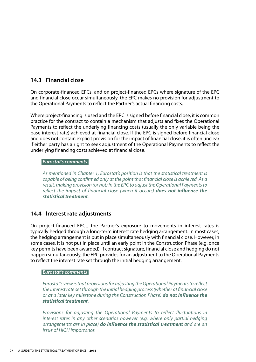## **14.3 Financial close**

On corporate-financed EPCs, and on project-financed EPCs where signature of the EPC and financial close occur simultaneously, the EPC makes no provision for adjustment to the Operational Payments to reflect the Partner's actual financing costs.

Where project-financing is used and the EPC is signed before financial close, it is common practice for the contract to contain a mechanism that adjusts and fixes the Operational Payments to reflect the underlying financing costs (usually the only variable being the base interest rate) achieved at financial close. If the EPC is signed before financial close and does not contain explicit provision for the impact of financial close, it is often unclear if either party has a right to seek adjustment of the Operational Payments to reflect the underlying financing costs achieved at financial close.

#### *Eurostat's comments*

*As mentioned in Chapter 1, Eurostat's position is that the statistical treatment is capable of being confirmed only at the point that financial close is achieved. As a result, making provision (or not) in the EPC to adjust the Operational Payments to reflect the impact of financial close (when it occurs) does not influence the statistical treatment.*

## **14.4 Interest rate adjustments**

On project-financed EPCs, the Partner's exposure to movements in interest rates is typically hedged through a long-term interest rate hedging arrangement. In most cases, the hedging arrangement is put in place simultaneously with financial close. However, in some cases, it is not put in place until an early point in the Construction Phase (e.g. once key permits have been awarded). If contract signature, financial close and hedging do not happen simultaneously, the EPC provides for an adjustment to the Operational Payments to reflect the interest rate set through the initial hedging arrangement.

#### *Eurostat's comments*

*Eurostat's view is that provisions for adjusting the Operational Payments to reflect the interest rate set through the initial hedging process (whether at financial close or at a later key milestone during the Construction Phase) do not influence the statistical treatment.*

*Provisions for adjusting the Operational Payments to reflect fluctuations in interest rates in any other scenarios however (e.g. where only partial hedging arrangements are in place) do influence the statistical treatment and are an issue of HIGH importance.*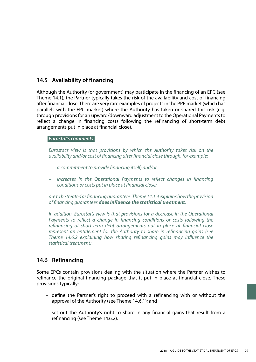## **14.5 Availability of financing**

Although the Authority (or government) may participate in the financing of an EPC (see Theme 14.1), the Partner typically takes the risk of the availability and cost of financing after financial close. There are very rare examples of projects in the PPP market (which has parallels with the EPC market) where the Authority has taken or shared this risk (e.g. through provisions for an upward/downward adjustment to the Operational Payments to reflect a change in financing costs following the refinancing of short-term debt arrangements put in place at financial close).

#### *Eurostat's comments*

*Eurostat's view is that provisions by which the Authority takes risk on the availability and/or cost of financing after financial close through, for example:*

- a commitment to provide financing itself; and/or
- *increases in the Operational Payments to reflect changes in financing conditions or costs put in place at financial close;*

*are to be treated as financing guarantees. Theme 14.1.4 explains how the provision of financing guarantees does influence the statistical treatment.*

*In addition, Eurostat's view is that provisions for a decrease in the Operational*  Payments to reflect a change in financing conditions or costs following the *refinancing of short-term debt arrangements put in place at financial close represent an entitlement for the Authority to share in refinancing gains (see Theme 14.6.2 explaining how sharing refinancing gains may influence the statistical treatment).*

## **14.6 Refinancing**

Some EPCs contain provisions dealing with the situation where the Partner wishes to refinance the original financing package that it put in place at financial close. These provisions typically:

- define the Partner's right to proceed with a refinancing with or without the approval of the Authority (see Theme 14.6.1); and
- set out the Authority's right to share in any financial gains that result from a refinancing (see Theme 14.6.2).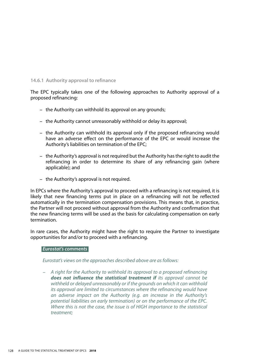#### **14.6.1 Authority approval to refinance**

The EPC typically takes one of the following approaches to Authority approval of a proposed refinancing:

- $-$  the Authority can withhold its approval on any grounds;
- the Authority cannot unreasonably withhold or delay its approval;
- the Authority can withhold its approval only if the proposed refinancing would have an adverse effect on the performance of the EPC or would increase the Authority's liabilities on termination of the EPC;
- $-$  the Authority's approval is not required but the Authority has the right to audit the refinancing in order to determine its share of any refinancing gain (where applicable); and
- the Authority's approval is not required.

In EPCs where the Authority's approval to proceed with a refinancing is not required, it is likely that new financing terms put in place on a refinancing will not be reflected automatically in the termination compensation provisions. This means that, in practice, the Partner will not proceed without approval from the Authority and confirmation that the new financing terms will be used as the basis for calculating compensation on early termination.

In rare cases, the Authority might have the right to require the Partner to investigate opportunities for and/or to proceed with a refinancing.

#### *Eurostat's comments*

*Eurostat's views on the approaches described above are as follows:*

- *A right for the Authority to withhold its approval to a proposed refinancing does not influence the statistical treatment if its approval cannot be withheld or delayed unreasonably or if the grounds on which it can withhold its approval are limited to circumstances where the refinancing would have an adverse impact on the Authority (e.g. an increase in the Authority's potential liabilities on early termination) or on the performance of the EPC. Where this is not the case, the issue is of HIGH importance to the statistical treatment;*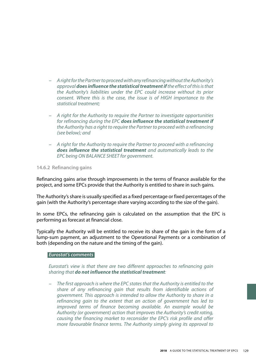- - *A right for the Partner to proceed with any refinancing without the Authority's approval does influence the statistical treatment if the effect of this is that the Authority's liabilities under the EPC could increase without its prior consent. Where this is the case, the issue is of HIGH importance to the statistical treatment;*
- - *A right for the Authority to require the Partner to investigate opportunities for refinancing during the EPC does influence the statistical treatment if the Authority has a right to require the Partner to proceed with a refinancing (see below); and*
- A right for the Authority to require the Partner to proceed with a refinancing *does influence the statistical treatment and automatically leads to the EPC being ON BALANCE SHEET for government.*

#### **14.6.2 Refinancing gains**

Refinancing gains arise through improvements in the terms of finance available for the project, and some EPCs provide that the Authority is entitled to share in such gains.

The Authority's share is usually specified as a fixed percentage or fixed percentages of the gain (with the Authority's percentage share varying according to the size of the gain).

In some EPCs, the refinancing gain is calculated on the assumption that the EPC is performing as forecast at financial close.

Typically the Authority will be entitled to receive its share of the gain in the form of a lump-sum payment, an adjustment to the Operational Payments or a combination of both (depending on the nature and the timing of the gain).

#### *Eurostat's comments*

*Eurostat's view is that there are two different approaches to refinancing gain sharing that do not influence the statistical treatment:*

The first approach is where the EPC states that the Authority is entitled to the *share of any refinancing gain that results from identifiable actions of government. This approach is intended to allow the Authority to share in a refinancing gain to the extent that an action of government has led to improved terms of finance becoming available. An example would be Authority (or government) action that improves the Authority's credit rating, causing the financing market to reconsider the EPC's risk profile and offer more favourable finance terms. The Authority simply giving its approval to*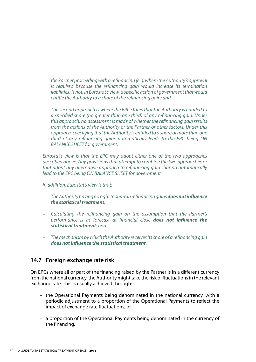*the Partner proceeding with a refinancing (e.g. where the Authority's approval is required because the refinancing gain would increase its termination liabilities) is not, in Eurostat's view, a specific action of government that would entitle the Authority to a share of the refinancing gain; and*

- The second approach is where the EPC states that the Authority is entitled to *a specified share (no greater than one third) of any refinancing gain. Under this approach, no assessment is made of whether the refinancing gain results from the actions of the Authority or the Partner or other factors. Under this approach, specifying that the Authority is entitled to a share of more than one third of any refinancing gains automatically leads to the EPC being ON BALANCE SHEET for government.*

*Eurostat's view is that the EPC may adopt either one of the two approaches described above. Any provisions that attempt to combine the two approaches or that adopt any alternative approach to refinancing gain sharing automatically lead to the EPC being ON BALANCE SHEET for government.*

*In addition, Eurostat's view is that:*

- *The Authority having no right to share in refinancing gains does not influence the statistical treatment;*
- - *Calculating the refinancing gain on the assumption that the Partner's performance is as forecast at financial close does not influence the statistical treatment; and*
- - *The mechanism by which the Authority receives its share of a refinancing gain does not influence the statistical treatment.*

## **14.7 Foreign exchange rate risk**

On EPCs where all or part of the financing raised by the Partner is in a different currency from the national currency, the Authority might take the risk of fluctuations in the relevant exchange rate. This is usually achieved through:

- the Operational Payments being denominated in the national currency, with a periodic adjustment to a proportion of the Operational Payments to reflect the impact of exchange rate fluctuations; or
- a proportion of the Operational Payments being denominated in the currency of the financing.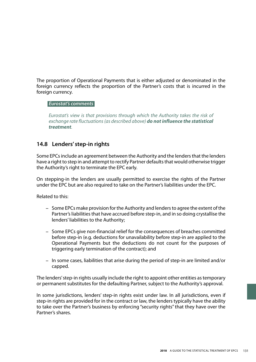The proportion of Operational Payments that is either adjusted or denominated in the foreign currency reflects the proportion of the Partner's costs that is incurred in the foreign currency.

#### *Eurostat's comments*

*Eurostat's view is that provisions through which the Authority takes the risk of exchange rate fluctuations (as described above) do not influence the statistical treatment.*

## **14.8 Lenders' step-in rights**

Some EPCs include an agreement between the Authority and the lenders that the lenders have a right to step in and attempt to rectify Partner defaults that would otherwise trigger the Authority's right to terminate the EPC early.

On stepping-in the lenders are usually permitted to exercise the rights of the Partner under the EPC but are also required to take on the Partner's liabilities under the EPC.

Related to this:

- Some EPCs make provision for the Authority and lenders to agree the extent of the Partner's liabilities that have accrued before step-in, and in so doing crystallise the lenders' liabilities to the Authority;
- Some EPCs give non-financial relief for the consequences of breaches committed before step-in (e.g. deductions for unavailability before step-in are applied to the Operational Payments but the deductions do not count for the purposes of triggering early termination of the contract); and
- In some cases, liabilities that arise during the period of step-in are limited and/or capped.

The lenders' step-in rights usually include the right to appoint other entities as temporary or permanent substitutes for the defaulting Partner, subject to the Authority's approval.

In some jurisdictions, lenders' step-in rights exist under law. In all jurisdictions, even if step-in rights are provided for in the contract or law, the lenders typically have the ability to take over the Partner's business by enforcing "security rights" that they have over the Partner's shares.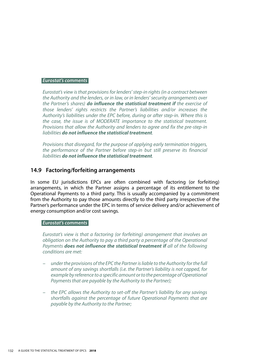*Eurostat's view is that provisions for lenders' step-in rights (in a contract between the Authority and the lenders, or in law, or in lenders' security arrangements over the Partner's shares) do influence the statistical treatment if the exercise of those lenders' rights restricts the Partner's liabilities and/or increases the Authority's liabilities under the EPC before, during or after step-in. Where this is the case, the issue is of MODERATE importance to the statistical treatment. Provisions that allow the Authority and lenders to agree and fix the pre-step-in liabilities do not influence the statistical treatment.*

*Provisions that disregard, for the purpose of applying early termination triggers, the performance of the Partner before step-in but still preserve its financial liabilities do not influence the statistical treatment.*

## **14.9 Factoring/forfeiting arrangements**

In some EU jurisdictions EPCs are often combined with factoring (or forfeiting) arrangements, in which the Partner assigns a percentage of its entitlement to the Operational Payments to a third party. This is usually accompanied by a commitment from the Authority to pay those amounts directly to the third party irrespective of the Partner's performance under the EPC in terms of service delivery and/or achievement of energy consumption and/or cost savings.

#### *Eurostat's comments*

*Eurostat's view is that a factoring (or forfeiting) arrangement that involves an obligation on the Authority to pay a third party a percentage of the Operational Payments does not influence the statistical treatment if all of the following conditions are met:*

- - *under the provisions of the EPC the Partner is liable to the Authority for the full amount of any savings shortfalls (i.e. the Partner's liability is not capped, for example by reference to a specific amount or to the percentage of Operational Payments that are payable by the Authority to the Partner);*
- the EPC allows the Authority to set-off the Partner's liability for any savings *shortfalls against the percentage of future Operational Payments that are payable by the Authority to the Partner;*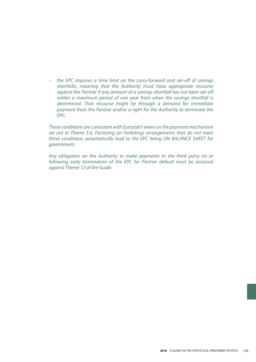- the EPC imposes a time limit on the carry-forward and set-off of savings *shortfalls, meaning that the Authority must have appropriate recourse against the Partner if any amount of a savings shortfall has not been set-off within a maximum period of one year from when the savings shortfall is determined. That recourse might be through a demand for immediate payment from the Partner and/or a right for the Authority to terminate the EPC;*

*These conditions are consistent with Eurostat's views on the payment mechanism set out in Theme 5.6. Factoring (or forfeiting) arrangements that do not meet these conditions automatically lead to the EPC being ON BALANCE SHEET for government.*

*Any obligation on the Authority to make payments to the third party on or following early termination of the EPC for Partner default must be assessed against Theme 12 of the Guide.*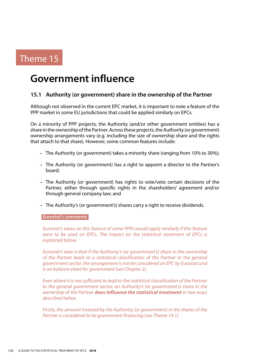

## **Government influence**

## **15.1 Authority (or government) share in the ownership of the Partner**

Although not observed in the current EPC market, it is important to note a feature of the PPP market in some EU jurisdictions that could be applied similarly on EPCs.

On a minority of PPP projects, the Authority (and/or other government entities) has a share in the ownership of the Partner. Across these projects, the Authority (or government) ownership arrangements vary (e.g. including the size of ownership share and the rights that attach to that share). However, some common features include:

- $-$  The Authority (or government) takes a minority share (ranging from 10% to 30%);
- The Authority (or government) has a right to appoint a director to the Partner's board;
- The Authority (or government) has rights to vote/veto certain decisions of the Partner, either through specific rights in the shareholders' agreement and/or through general company law; and
- The Authority's (or government's) shares carry a right to receive dividends.

*Eurostat's comments*

*Eurostat's views on this feature of some PPPs would apply similarly if this feature were to be used on EPCs. The impact on the statistical treatment of EPCs is explained below.*

*Eurostat's view is that if the Authority's (or government's) share in the ownership of the Partner leads to a statistical classification of the Partner to the general government sector, the arrangement is not be considered an EPC by Eurostat and is on balance sheet for government (see Chapter 2).*

*Even where it is not sufficient to lead to the statistical classification of the Partner to the general government sector, an Authority's (or government's) share in the ownership of the Partner does influence the statistical treatment in two ways described below.*

*Firstly, the amount invested by the Authority (or government) in the shares of the Partner is considered to be government financing (see Theme 14.1).*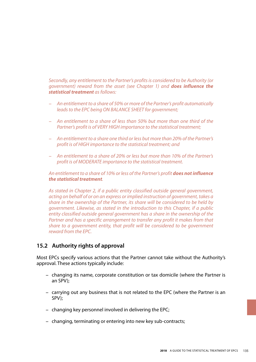*Secondly, any entitlement to the Partner's profits is considered to be Authority (or government) reward from the asset (see Chapter 1) and does influence the statistical treatment as follows:*

- - *An entitlement to a share of 50% or more of the Partner's profit automatically leads to the EPC being ON BALANCE SHEET for government;*
- An entitlement to a share of less than 50% but more than one third of the *Partner's profit is of VERY HIGH importance to the statistical treatment;*
- - *An entitlement to a share one third or less but more than 20% of the Partner's profit is of HIGH importance to the statistical treatment; and*
- - *An entitlement to a share of 20% or less but more than 10% of the Partner's profit is of MODERATE importance to the statistical treatment.*

*An entitlement to a share of 10% or less of the Partner's profit does not influence the statistical treatment.*

*As stated in Chapter 2, if a public entity classified outside general government, acting on behalf of or on an express or implied instruction of government, takes a share in the ownership of the Partner, its share will be considered to be held by government. Likewise, as stated in the introduction to this Chapter, if a public entity classified outside general government has a share in the ownership of the Partner and has a specific arrangement to transfer any profit it makes from that share to a government entity, that profit will be considered to be government reward from the EPC.*

## **15.2 Authority rights of approval**

Most EPCs specify various actions that the Partner cannot take without the Authority's approval. These actions typically include:

- changing its name, corporate constitution or tax domicile (where the Partner is an SPV);
- carrying out any business that is not related to the EPC (where the Partner is an SPV);
- $-$  changing key personnel involved in delivering the EPC;
- changing, terminating or entering into new key sub-contracts;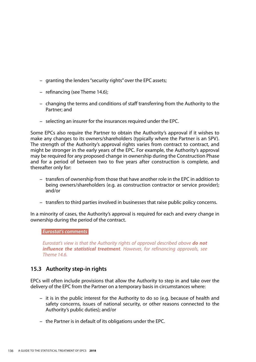- granting the lenders "security rights" over the EPC assets;
- $-$  refinancing (see Theme 14.6);
- changing the terms and conditions of staff transferring from the Authority to the Partner; and
- selecting an insurer for the insurances required under the EPC.

Some EPCs also require the Partner to obtain the Authority's approval if it wishes to make any changes to its owners/shareholders (typically where the Partner is an SPV). The strength of the Authority's approval rights varies from contract to contract, and might be stronger in the early years of the EPC. For example, the Authority's approval may be required for any proposed change in ownership during the Construction Phase and for a period of between two to five years after construction is complete, and thereafter only for:

- transfers of ownership from those that have another role in the EPC in addition to being owners/shareholders (e.g. as construction contractor or service provider); and/or
- transfers to third parties involved in businesses that raise public policy concerns.

In a minority of cases, the Authority's approval is required for each and every change in ownership during the period of the contract.

#### *Eurostat's comments*

*Eurostat's view is that the Authority rights of approval described above do not influence the statistical treatment. However, for refinancing approvals, see Theme 14.6.*

## **15.3 Authority step-in rights**

EPCs will often include provisions that allow the Authority to step in and take over the delivery of the EPC from the Partner on a temporary basis in circumstances where:

- $-$  it is in the public interest for the Authority to do so (e.g. because of health and safety concerns, issues of national security, or other reasons connected to the Authority's public duties); and/or
- the Partner is in default of its obligations under the EPC.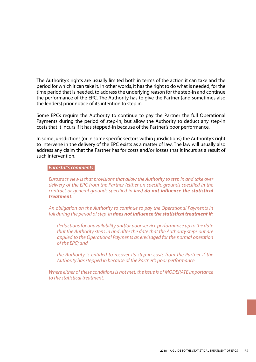The Authority's rights are usually limited both in terms of the action it can take and the period for which it can take it. In other words, it has the right to do what is needed, for the time period that is needed, to address the underlying reason for the step-in and continue the performance of the EPC. The Authority has to give the Partner (and sometimes also the lenders) prior notice of its intention to step in.

Some EPCs require the Authority to continue to pay the Partner the full Operational Payments during the period of step-in, but allow the Authority to deduct any step-in costs that it incurs if it has stepped-in because of the Partner's poor performance.

In some jurisdictions (or in some specific sectors within jurisdictions) the Authority's right to intervene in the delivery of the EPC exists as a matter of law. The law will usually also address any claim that the Partner has for costs and/or losses that it incurs as a result of such intervention.

#### *Eurostat's comments*

*Eurostat's view is that provisions that allow the Authority to step in and take over delivery of the EPC from the Partner (either on specific grounds specified in the contract or general grounds specified in law) do not influence the statistical treatment.*

*An obligation on the Authority to continue to pay the Operational Payments in full during the period of step-in does not influence the statistical treatment if:*

- - *deductions for unavailability and/or poor service performance up to the date that the Authority steps in and after the date that the Authority steps out are applied to the Operational Payments as envisaged for the normal operation of the EPC; and*
- the Authority is entitled to recover its step-in costs from the Partner if the *Authority has stepped in because of the Partner's poor performance.*

*Where either of these conditions is not met, the issue is of MODERATE importance to the statistical treatment.*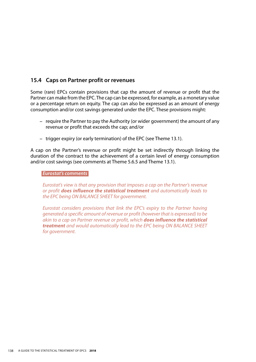## **15.4 Caps on Partner profit or revenues**

Some (rare) EPCs contain provisions that cap the amount of revenue or profit that the Partner can make from the EPC. The cap can be expressed, for example, as a monetary value or a percentage return on equity. The cap can also be expressed as an amount of energy consumption and/or cost savings generated under the EPC. These provisions might:

- $-$  require the Partner to pay the Authority (or wider government) the amount of any revenue or profit that exceeds the cap; and/or
- trigger expiry (or early termination) of the EPC (see Theme 13.1).

A cap on the Partner's revenue or profit might be set indirectly through linking the duration of the contract to the achievement of a certain level of energy consumption and/or cost savings (see comments at Theme 5.6.5 and Theme 13.1).

*Eurostat's comments*

*Eurostat's view is that any provision that imposes a cap on the Partner's revenue or profit does influence the statistical treatment and automatically leads to the EPC being ON BALANCE SHEET for government.*

*Eurostat considers provisions that link the EPC's expiry to the Partner having generated a specific amount of revenue or profit (however that is expressed) to be akin to a cap on Partner revenue or profit, which does influence the statistical treatment and would automatically lead to the EPC being ON BALANCE SHEET for government.*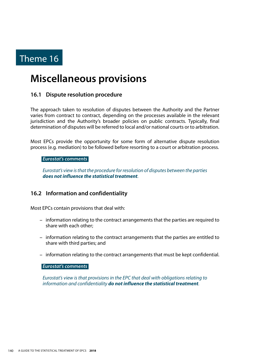

# **Miscellaneous provisions**

## **16.1 Dispute resolution procedure**

The approach taken to resolution of disputes between the Authority and the Partner varies from contract to contract, depending on the processes available in the relevant jurisdiction and the Authority's broader policies on public contracts. Typically, final determination of disputes will be referred to local and/or national courts or to arbitration.

Most EPCs provide the opportunity for some form of alternative dispute resolution process (e.g. mediation) to be followed before resorting to a court or arbitration process.

#### *Eurostat's comments*

*Eurostat's view is that the procedure for resolution of disputes between the parties does not influence the statistical treatment.*

## **16.2 Information and confidentiality**

Most EPCs contain provisions that deal with:

- information relating to the contract arrangements that the parties are required to share with each other;
- information relating to the contract arrangements that the parties are entitled to share with third parties; and
- information relating to the contract arrangements that must be kept confidential.

*Eurostat's comments*

*Eurostat's view is that provisions in the EPC that deal with obligations relating to information and confidentiality do not influence the statistical treatment.*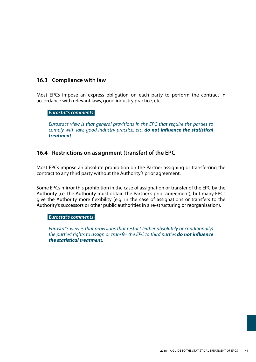## **16.3 Compliance with law**

Most EPCs impose an express obligation on each party to perform the contract in accordance with relevant laws, good industry practice, etc.

#### *Eurostat's comments*

*Eurostat's view is that general provisions in the EPC that require the parties to comply with law, good industry practice, etc. do not influence the statistical treatment.*

## **16.4 Restrictions on assignment (transfer) of the EPC**

Most EPCs impose an absolute prohibition on the Partner assigning or transferring the contract to any third party without the Authority's prior agreement.

Some EPCs mirror this prohibition in the case of assignation or transfer of the EPC by the Authority (i.e. the Authority must obtain the Partner's prior agreement), but many EPCs give the Authority more flexibility (e.g. in the case of assignations or transfers to the Authority's successors or other public authorities in a re-structuring or reorganisation).

#### *Eurostat's comments*

*Eurostat's view is that provisions that restrict (either absolutely or conditionally) the parties' rights to assign or transfer the EPC to third parties do not influence the statistical treatment.*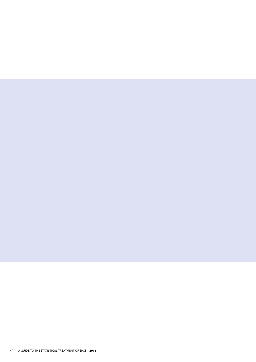A GUIDE TO THE STATISTICAL TREATMENT OF EPCS **2018**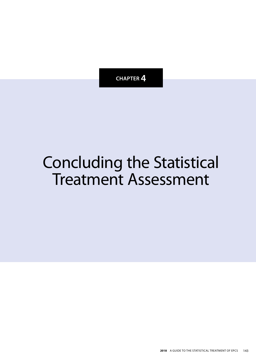# **CHAPTER 4**

# Concluding the Statistical Treatment Assessment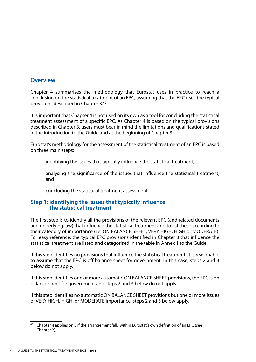## **Overview**

Chapter 4 summarises the methodology that Eurostat uses in practice to reach a conclusion on the statistical treatment of an EPC, assuming that the EPC uses the typical provisions described in Chapter 3.**<sup>40</sup>**

It is important that Chapter 4 is not used on its own as a tool for concluding the statistical treatment assessment of a specific EPC. As Chapter 4 is based on the typical provisions described in Chapter 3, users must bear in mind the limitations and qualifications stated in the introduction to the Guide and at the beginning of Chapter 3.

Eurostat's methodology for the assessment of the statistical treatment of an EPC is based on three main steps:

- identifying the issues that typically influence the statistical treatment;
- analysing the significance of the issues that influence the statistical treatment; and
- concluding the statistical treatment assessment.

#### **Step 1: identifying the issues that typically influence the statistical treatment**

The first step is to identify all the provisions of the relevant EPC (and related documents and underlying law) that influence the statistical treatment and to list these according to their category of importance (i.e. ON BALANCE SHEET, VERY HIGH, HIGH or MODERATE). For easy reference, the typical EPC provisions identified in Chapter 3 that influence the statistical treatment are listed and categorised in the table in Annex 1 to the Guide.

If this step identifies no provisions that influence the statistical treatment, it is reasonable to assume that the EPC is off balance sheet for government. In this case, steps 2 and 3 below do not apply.

If this step identifies one or more automatic ON BALANCE SHEET provisions, the EPC is on balance sheet for government and steps 2 and 3 below do not apply.

If this step identifies no automatic ON BALANCE SHEET provisions but one or more issues of VERY HIGH, HIGH, or MODERATE importance, steps 2 and 3 below apply.

<sup>&</sup>lt;sup>40</sup> Chapter 4 applies only if the arrangement falls within Eurostat's own definition of an EPC (see Chapter 2).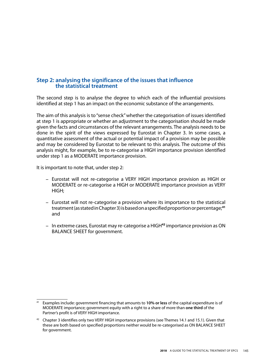## **Step 2: analysing the significance of the issues that influence the statistical treatment**

The second step is to analyse the degree to which each of the influential provisions identified at step 1 has an impact on the economic substance of the arrangements.

The aim of this analysis is to "sense check" whether the categorisation of issues identified at step 1 is appropriate or whether an adjustment to the categorisation should be made given the facts and circumstances of the relevant arrangements. The analysis needs to be done in the spirit of the views expressed by Eurostat in Chapter 3. In some cases, a quantitative assessment of the actual or potential impact of a provision may be possible and may be considered by Eurostat to be relevant to this analysis. The outcome of this analysis might, for example, be to re-categorise a HIGH importance provision identified under step 1 as a MODERATE importance provision.

It is important to note that, under step 2:

- Eurostat will not re-categorise a VERY HIGH importance provision as HIGH or MODERATE or re-categorise a HIGH or MODERATE importance provision as VERY HIGH;
- Eurostat will not re-categorise a provision where its importance to the statistical treatment (as stated in Chapter 3) is based on a specified proportion or percentage;**<sup>41</sup>** and
- In extreme cases, Eurostat may re-categorise a HIGH<sup>42</sup> importance provision as ON BALANCE SHEET for government.

<sup>41</sup> Examples include: government financing that amounts to **10% or less** of the capital expenditure is of MODERATE importance; government equity with a right to a share of more than **one third** of the Partner's profit is of VERY HIGH importance.

<sup>42</sup> Chapter 3 identifies only two VERY HIGH importance provisions (see Themes 14.1 and 15.1). Given that these are both based on specified proportions neither would be re-categorised as ON BALANCE SHEET for government.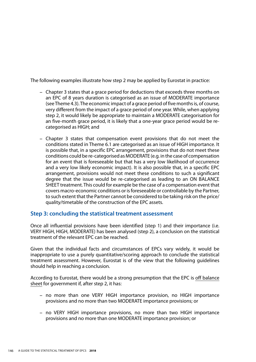The following examples illustrate how step 2 may be applied by Eurostat in practice:

- Chapter 3 states that a grace period for deductions that exceeds three months on an EPC of 8 years duration is categorised as an issue of MODERATE importance (see Theme 4.3). The economic impact of a grace period of five months is, of course, very different from the impact of a grace period of one year. While, when applying step 2, it would likely be appropriate to maintain a MODERATE categorisation for an five-month grace period, it is likely that a one-year grace period would be recategorised as HIGH; and
- Chapter 3 states that compensation event provisions that do not meet the conditions stated in Theme 6.1 are categorised as an issue of HIGH importance. It is possible that, in a specific EPC arrangement, provisions that do not meet these conditions could be re-categorised as MODERATE (e.g. in the case of compensation for an event that is foreseeable but that has a very low likelihood of occurrence and a very low likely economic impact). It is also possible that, in a specific EPC arrangement, provisions would not meet these conditions to such a significant degree that the issue would be re-categorised as leading to an ON BALANCE SHEET treatment. This could for example be the case of a compensation event that covers macro-economic conditions or is foreseeable or controllable by the Partner, to such extent that the Partner cannot be considered to be taking risk on the price/ quality/timetable of the construction of the EPC assets.

### **Step 3: concluding the statistical treatment assessment**

Once all influential provisions have been identified (step 1) and their importance (i.e. VERY HIGH, HIGH, MODERATE) has been analysed (step 2), a conclusion on the statistical treatment of the relevant EPC can be reached.

Given that the individual facts and circumstances of EPCs vary widely, it would be inappropriate to use a purely quantitative/scoring approach to conclude the statistical treatment assessment. However, Eurostat is of the view that the following guidelines should help in reaching a conclusion.

According to Eurostat, there would be a strong presumption that the EPC is off balance sheet for government if, after step 2, it has:

- no more than one VERY HIGH importance provision, no HIGH importance provisions and no more than two MODERATE importance provisions; or
- no VERY HIGH importance provisions, no more than two HIGH importance provisions and no more than one MODERATE importance provision; or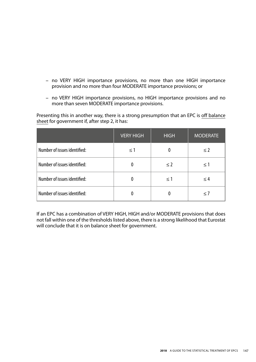- no VERY HIGH importance provisions, no more than one HIGH importance provision and no more than four MODERATE importance provisions; or
- no VERY HIGH importance provisions, no HIGH importance provisions and no more than seven MODERATE importance provisions.

Presenting this in another way, there is a strong presumption that an EPC is off balance sheet for government if, after step 2, it has:

|                              | <b>VERY HIGH</b> | <b>HIGH</b> | <b>MODERATE</b> |
|------------------------------|------------------|-------------|-----------------|
| Number of issues identified: | $\leq$ 1         | 0           | $\leq$ 2        |
| Number of issues identified: |                  | $\leq$ 2    | $\leq$ 1        |
| Number of issues identified: |                  | $\leq$ 1    | $\leq 4$        |
| Number of issues identified: |                  | 0           | < 7             |

If an EPC has a combination of VERY HIGH, HIGH and/or MODERATE provisions that does not fall within one of the thresholds listed above, there is a strong likelihood that Eurostat will conclude that it is on balance sheet for government.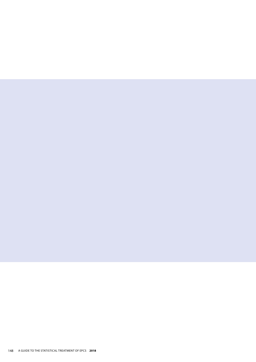A GUIDE TO THE STATISTICAL TREATMENT OF EPCS **2018**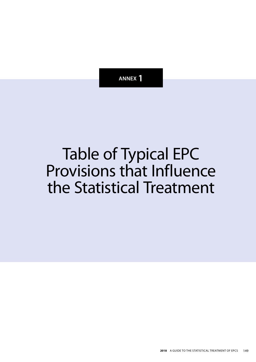**ANNEX 1**

# Table of Typical EPC Provisions that Influence the Statistical Treatment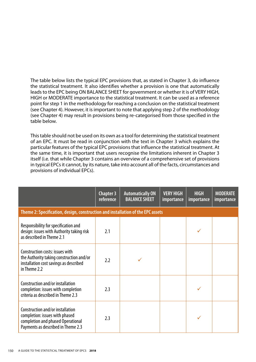The table below lists the typical EPC provisions that, as stated in Chapter 3, do influence the statistical treatment. It also identifies whether a provision is one that automatically leads to the EPC being ON BALANCE SHEET for government or whether it is of VERY HIGH, HIGH or MODERATE importance to the statistical treatment. It can be used as a reference point for step 1 in the methodology for reaching a conclusion on the statistical treatment (see Chapter 4). However, it is important to note that applying step 2 of the methodology (see Chapter 4) may result in provisions being re-categorised from those specified in the table below.

This table should not be used on its own as a tool for determining the statistical treatment of an EPC. It must be read in conjunction with the text in Chapter 3 which explains the particular features of the typical EPC provisions that influence the statistical treatment. At the same time, it is important that users recognise the limitations inherent in Chapter 3 itself (i.e. that while Chapter 3 contains an overview of a comprehensive set of provisions in typical EPCs it cannot, by its nature, take into account all of the facts, circumstances and provisions of individual EPCs).

|                                                                                                                                               | <b>Chapter 3</b><br>reference | <b>Automatically ON</b><br><b>BALANCE SHEET</b> | <b>VERY HIGH</b><br><i>importance</i> | <b>HIGH</b><br><i>importance</i> | <b>MODERATE</b><br>importance |
|-----------------------------------------------------------------------------------------------------------------------------------------------|-------------------------------|-------------------------------------------------|---------------------------------------|----------------------------------|-------------------------------|
| Theme 2: Specification, design, construction and installation of the EPC assets                                                               |                               |                                                 |                                       |                                  |                               |
| Responsibility for specification and<br>design: issues with Authority taking risk<br>as described in Theme 2.1                                | 2.1                           |                                                 |                                       |                                  |                               |
| Construction costs: issues with<br>the Authority taking construction and/or<br>installation cost savings as described<br>in Theme 2.2         | 2.2                           |                                                 |                                       |                                  |                               |
| Construction and/or installation<br>completion: issues with completion<br>criteria as described in Theme 2.3                                  | 2.3                           |                                                 |                                       |                                  |                               |
| Construction and/or installation<br>completion: issues with phased<br>completion and phased Operational<br>Payments as described in Theme 2.3 | 2.3                           |                                                 |                                       |                                  |                               |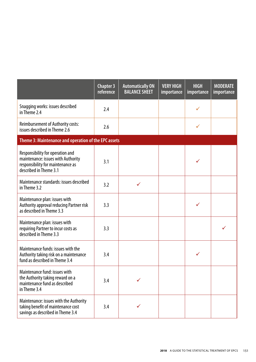|                                                                                                                                       | <b>Chapter 3</b><br>reference | <b>Automatically ON</b><br><b>BALANCE SHEET</b> | <b>VERY HIGH</b><br>importance | <b>HIGH</b><br>importance | <b>MODERATE</b><br>importance |
|---------------------------------------------------------------------------------------------------------------------------------------|-------------------------------|-------------------------------------------------|--------------------------------|---------------------------|-------------------------------|
| Snagging works: issues described<br>in Theme 2.4                                                                                      | 2.4                           |                                                 |                                |                           |                               |
| <b>Reimbursement of Authority costs:</b><br>issues described in Theme 2.6                                                             | 2.6                           |                                                 |                                | ✓                         |                               |
| Theme 3: Maintenance and operation of the EPC assets                                                                                  |                               |                                                 |                                |                           |                               |
| Responsibility for operation and<br>maintenance: issues with Authority<br>responsibility for maintenance as<br>described in Theme 3.1 | 3.1                           |                                                 |                                |                           |                               |
| Maintenance standards: issues described<br>in Theme 3.2                                                                               | 3.2                           |                                                 |                                |                           |                               |
| Maintenance plan: issues with<br>Authority approval reducing Partner risk<br>as described in Theme 3.3                                | 3.3                           |                                                 |                                | ✓                         |                               |
| Maintenance plan: issues with<br>requiring Partner to incur costs as<br>described in Theme 3.3                                        | 3.3                           |                                                 |                                |                           |                               |
| Maintenance funds: issues with the<br>Authority taking risk on a maintenance<br>fund as described in Theme 3.4                        | 3.4                           |                                                 |                                |                           |                               |
| Maintenance fund: issues with<br>the Authority taking reward on a<br>maintenance fund as described<br>in Theme 3.4                    | 3.4                           |                                                 |                                |                           |                               |
| Maintenance: issues with the Authority<br>taking benefit of maintenance cost<br>savings as described in Theme 3.4                     | 3.4                           |                                                 |                                |                           |                               |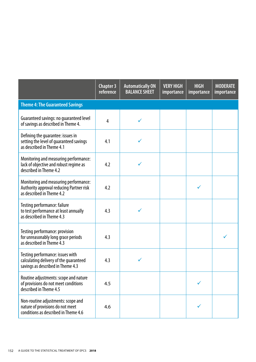|                                                                                                                 | <b>Chapter 3</b><br>reference | <b>Automatically ON</b><br><b>BALANCE SHEET</b> | <b>VERY HIGH</b><br>importance | <b>HIGH</b><br><i>importance</i> | <b>MODERATE</b><br>importance |
|-----------------------------------------------------------------------------------------------------------------|-------------------------------|-------------------------------------------------|--------------------------------|----------------------------------|-------------------------------|
| <b>Theme 4: The Guaranteed Savings</b>                                                                          |                               |                                                 |                                |                                  |                               |
| Guaranteed savings: no guaranteed level<br>of savings as described in Theme 4.                                  | $\overline{4}$                |                                                 |                                |                                  |                               |
| Defining the guarantee: issues in<br>setting the level of guaranteed savings<br>as described in Theme 4.1       | 4.1                           |                                                 |                                |                                  |                               |
| Monitoring and measuring performance:<br>lack of objective and robust regime as<br>described in Theme 4.2       | 4.2                           |                                                 |                                |                                  |                               |
| Monitoring and measuring performance:<br>Authority approval reducing Partner risk<br>as described in Theme 4.2  | 4.2                           |                                                 |                                |                                  |                               |
| Testing performance: failure<br>to test performance at least annually<br>as described in Theme 4.3              | 4.3                           |                                                 |                                |                                  |                               |
| Testing performance: provision<br>for unreasonably long grace periods<br>as described in Theme 4.3              | 4.3                           |                                                 |                                |                                  |                               |
| Testing performance: issues with<br>calculating delivery of the guaranteed<br>savings as described in Theme 4.3 | 4.3                           |                                                 |                                |                                  |                               |
| Routine adjustments: scope and nature<br>of provisions do not meet conditions<br>described in Theme 4.5         | 4.5                           |                                                 |                                |                                  |                               |
| Non-routine adjustments: scope and<br>nature of provisions do not meet<br>conditions as described in Theme 4.6  | 4.6                           |                                                 |                                |                                  |                               |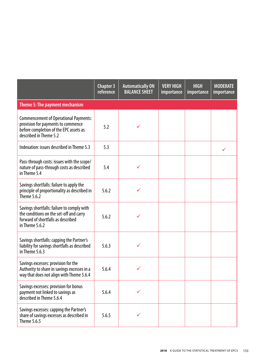|                                                                                                                                                        | <b>Chapter 3</b><br>reference | <b>Automatically ON</b><br><b>BALANCE SHEET</b> | <b>VERY HIGH</b><br>importance | <b>HIGH</b><br>importance | <b>MODERATE</b><br>importance |
|--------------------------------------------------------------------------------------------------------------------------------------------------------|-------------------------------|-------------------------------------------------|--------------------------------|---------------------------|-------------------------------|
| Theme 5: The payment mechanism                                                                                                                         |                               |                                                 |                                |                           |                               |
| <b>Commencement of Operational Payments:</b><br>provision for payments to commence<br>before completion of the EPC assets as<br>described in Theme 5.2 | 5.2                           |                                                 |                                |                           |                               |
| Indexation: issues described in Theme 5.3                                                                                                              | 5.3                           |                                                 |                                |                           |                               |
| Pass-through costs: issues with the scope/<br>nature of pass-through costs as described<br>in Theme 5.4                                                | 5.4                           |                                                 |                                |                           |                               |
| Savings shortfalls: failure to apply the<br>principle of proportionality as described in<br>Theme 5.6.2                                                | 5.6.2                         |                                                 |                                |                           |                               |
| Savings shortfalls: failure to comply with<br>the conditions on the set-off and carry<br>forward of shortfalls as described<br>in Theme 5.6.2          | 5.6.2                         |                                                 |                                |                           |                               |
| Savings shortfalls: capping the Partner's<br>liability for savings shortfalls as described<br>in Theme 5.6.3                                           | 5.6.3                         |                                                 |                                |                           |                               |
| Savings excesses: provision for the<br>Authority to share in savings excesses in a<br>way that does not align with Theme 5.6.4                         | 5.6.4                         |                                                 |                                |                           |                               |
| Savings excesses: provision for bonus<br>payment not linked to savings as<br>described in Theme 5.6.4                                                  | 5.6.4                         |                                                 |                                |                           |                               |
| Savings excesses: capping the Partner's<br>share of savings excesses as described in<br>Theme 5.6.5                                                    | 5.6.5                         |                                                 |                                |                           |                               |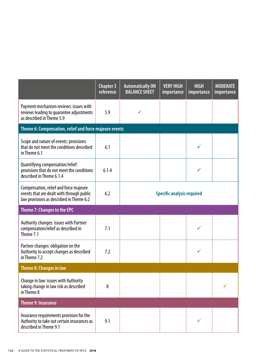|                                                                                                                                 | <b>Chapter 3</b><br>reference | <b>Automatically ON</b><br><b>BALANCE SHEET</b> | <b>VERY HIGH</b><br>importance | <b>HIGH</b><br>importance | <b>MODERATE</b><br>importance |
|---------------------------------------------------------------------------------------------------------------------------------|-------------------------------|-------------------------------------------------|--------------------------------|---------------------------|-------------------------------|
| Payment mechanism reviews: issues with<br>reviews leading to guarantee adjustments<br>as described in Theme 5.9                 | 5.9                           |                                                 |                                |                           |                               |
| Theme 6: Compensation, relief and force majeure events                                                                          |                               |                                                 |                                |                           |                               |
| Scope and nature of events: provisions<br>that do not meet the conditions described<br>in Theme 6.1                             | 6.1                           |                                                 |                                |                           |                               |
| Quantifying compensation/relief:<br>provisions that do not meet the conditions<br>described in Theme 6.1.4                      | 6.1.4                         |                                                 |                                |                           |                               |
| Compensation, relief and force majeure<br>events that are dealt with through public<br>law provisions as described in Theme 6.2 | 6.2                           | <b>Specific analysis required</b>               |                                |                           |                               |
| Theme 7: Changes to the EPC                                                                                                     |                               |                                                 |                                |                           |                               |
| Authority changes: issues with Partner<br>compensation/relief as described in<br>Theme 7.1                                      | 7.1                           |                                                 |                                |                           |                               |
| Partner changes: obligation on the<br>Authority to accept changes as described<br>in Theme 7.2                                  | 7.2                           |                                                 |                                |                           |                               |
| <b>Theme 8: Changes in law</b>                                                                                                  |                               |                                                 |                                |                           |                               |
| Change in law: issues with Authority<br>taking change in law risk as described<br>in Theme 8                                    | 8                             |                                                 |                                |                           |                               |
| <b>Theme 9: Insurance</b>                                                                                                       |                               |                                                 |                                |                           |                               |
| Insurance requirements provision for the<br>Authority to take out certain insurances as<br>described in Theme 9.1               | 9.1                           |                                                 |                                |                           |                               |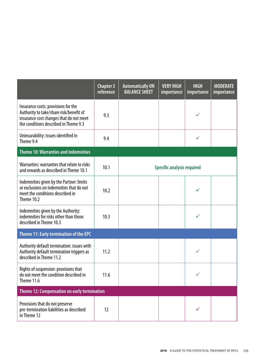|                                                                                                                                                                    | <b>Chapter 3</b><br>reference | <b>Automatically ON</b><br><b>BALANCE SHEET</b> | <b>VERY HIGH</b><br>importance | <b>HIGH</b><br>importance | <b>MODERATE</b><br>importance |
|--------------------------------------------------------------------------------------------------------------------------------------------------------------------|-------------------------------|-------------------------------------------------|--------------------------------|---------------------------|-------------------------------|
| Insurance costs: provisions for the<br>Authority to take/share risk/benefit of<br>insurance cost changes that do not meet<br>the conditions described in Theme 9.3 | 9.3                           |                                                 |                                | ✓                         |                               |
| Uninsurability: issues identified in<br>Theme 9.4                                                                                                                  | 9.4                           |                                                 |                                | $\checkmark$              |                               |
| <b>Theme 10: Warranties and indemnities</b>                                                                                                                        |                               |                                                 |                                |                           |                               |
| Warranties: warranties that relate to risks<br>and rewards as described in Theme 10.1                                                                              | 10.1                          | <b>Specific analysis required</b>               |                                |                           |                               |
| Indemnities given by the Partner: limits<br>or exclusions on indemnities that do not<br>meet the conditions described in<br>Theme 10.2                             | 10.2                          |                                                 |                                | ✓                         |                               |
| Indemnities given by the Authority:<br>indemnities for risks other than those<br>described in Theme 10.3                                                           | 10.3                          |                                                 |                                | ✓                         |                               |
| Theme 11: Early termination of the EPC                                                                                                                             |                               |                                                 |                                |                           |                               |
| Authority default termination: issues with<br>Authority default termination triggers as<br>described in Theme 11.2                                                 | 11.2                          |                                                 |                                | ✓                         |                               |
| Rights of suspension: provisions that<br>do not meet the condition described in<br>Theme 11.6                                                                      | 11.6                          |                                                 |                                |                           |                               |
| Theme 12: Compensation on early termination                                                                                                                        |                               |                                                 |                                |                           |                               |
| Provisions that do not preserve<br>pre-termination liabilities as described<br>in Theme 12                                                                         | 12                            |                                                 |                                |                           |                               |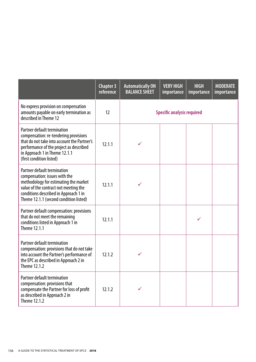|                                                                                                                                                                                                                                   | <b>Chapter 3</b><br>reference | <b>Automatically ON</b><br><b>BALANCE SHEET</b> | <b>VERY HIGH</b><br>importance    | <b>HIGH</b><br>importance | <b>MODERATE</b><br>importance |
|-----------------------------------------------------------------------------------------------------------------------------------------------------------------------------------------------------------------------------------|-------------------------------|-------------------------------------------------|-----------------------------------|---------------------------|-------------------------------|
| No express provision on compensation<br>amounts payable on early termination as<br>described in Theme 12                                                                                                                          | 12                            |                                                 | <b>Specific analysis required</b> |                           |                               |
| Partner default termination<br>compensation: re-tendering provisions<br>that do not take into account the Partner's<br>performance of the project as described<br>in Approach 1 in Theme 12.1.1<br>(first condition listed)       | 12.1.1                        |                                                 |                                   |                           |                               |
| Partner default termination<br>compensation: issues with the<br>methodology for estimating the market<br>value of the contract not meeting the<br>conditions described in Approach 1 in<br>Theme 12.1.1 (second condition listed) | 12.1.1                        | ✓                                               |                                   |                           |                               |
| Partner default compensation: provisions<br>that do not meet the remaining<br>conditions listed in Approach 1 in<br>Theme 12.1.1                                                                                                  | 12.1.1                        |                                                 |                                   |                           |                               |
| <b>Partner default termination</b><br>compensation: provisions that do not take<br>into account the Partner's performance of<br>the EPC as described in Approach 2 in<br>Theme 12.1.2                                             | 12.1.2                        |                                                 |                                   |                           |                               |
| <b>Partner default termination</b><br>compensation: provisions that<br>compensate the Partner for loss of profit<br>as described in Approach 2 in<br>Theme 12.1.2                                                                 | 12.1.2                        |                                                 |                                   |                           |                               |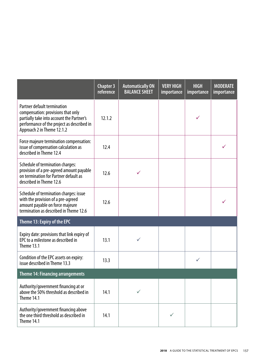|                                                                                                                                                                                            | <b>Chapter 3</b><br>reference | <b>Automatically ON</b><br><b>BALANCE SHEET</b> | <b>VERY HIGH</b><br>importance | <b>HIGH</b><br>importance | <b>MODERATE</b><br>importance |
|--------------------------------------------------------------------------------------------------------------------------------------------------------------------------------------------|-------------------------------|-------------------------------------------------|--------------------------------|---------------------------|-------------------------------|
| Partner default termination<br>compensation: provisions that only<br>partially take into account the Partner's<br>performance of the project as described in<br>Approach 2 in Theme 12.1.2 | 12.1.2                        |                                                 |                                | ✓                         |                               |
| Force majeure termination compensation:<br>issue of compensation calculation as<br>described in Theme 12.4                                                                                 | 12.4                          |                                                 |                                |                           |                               |
| Schedule of termination charges:<br>provision of a pre-agreed amount payable<br>on termination for Partner default as<br>described in Theme 12.6                                           | 12.6                          |                                                 |                                |                           |                               |
| Schedule of termination charges: issue<br>with the provision of a pre-agreed<br>amount payable on force majeure<br>termination as described in Theme 12.6                                  | 12.6                          |                                                 |                                |                           |                               |
| Theme 13: Expiry of the EPC                                                                                                                                                                |                               |                                                 |                                |                           |                               |
| Expiry date: provisions that link expiry of<br>EPC to a milestone as described in<br><b>Theme 13.1</b>                                                                                     | 13.1                          |                                                 |                                |                           |                               |
| Condition of the EPC assets on expiry:<br>issue described in Theme 13.3                                                                                                                    | 13.3                          |                                                 |                                |                           |                               |
| <b>Theme 14: Financing arrangements</b>                                                                                                                                                    |                               |                                                 |                                |                           |                               |
| Authority/government financing at or<br>above the 50% threshold as described in<br>Theme 14.1                                                                                              | 14.1                          |                                                 |                                |                           |                               |
| Authority/government financing above<br>the one third threshold as described in<br>Theme 14.1                                                                                              | 14.1                          |                                                 | ✓                              |                           |                               |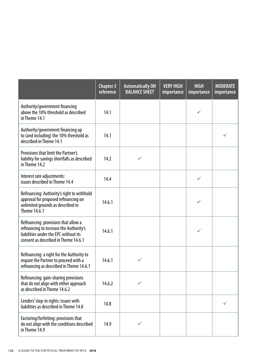|                                                                                                                                                                  | <b>Chapter 3</b><br>reference | <b>Automatically ON</b><br><b>BALANCE SHEET</b> | <b>VERY HIGH</b><br>importance | <b>HIGH</b><br>importance | <b>MODERATE</b><br>importance |
|------------------------------------------------------------------------------------------------------------------------------------------------------------------|-------------------------------|-------------------------------------------------|--------------------------------|---------------------------|-------------------------------|
| Authority/government financing<br>above the 10% threshold as described<br>in Theme 14.1                                                                          | 14.1                          |                                                 |                                | ✓                         |                               |
| Authority/government financing up<br>to (and including) the 10% threshold as<br>described in Theme 14.1                                                          | 14.1                          |                                                 |                                |                           |                               |
| <b>Provisions that limit the Partner's</b><br>liability for savings shortfalls as described<br>in Theme 14.2                                                     | 14.2                          |                                                 |                                |                           |                               |
| Interest rate adjustments:<br>issues described in Theme 14.4                                                                                                     | 14.4                          |                                                 |                                | ✓                         |                               |
| Refinancing: Authority's right to withhold<br>approval for proposed refinancing on<br>unlimited grounds as described in<br>Theme 14.6.1                          | 14.6.1                        |                                                 |                                |                           |                               |
| Refinancing: provisions that allow a<br>refinancing to increase the Authority's<br>liabilities under the EPC without its<br>consent as described in Theme 14.6.1 | 14.6.1                        |                                                 |                                |                           |                               |
| Refinancing: a right for the Authority to<br>require the Partner to proceed with a<br>refinancing as described in Theme 14.6.1                                   | 14.6.1                        |                                                 |                                |                           |                               |
| Refinancing: gain-sharing provisions<br>that do not align with either approach<br>as described in Theme 14.6.2                                                   | 14.6.2                        |                                                 |                                |                           |                               |
| Lenders' step-in rights: issues with<br>liabilities as described in Theme 14.8                                                                                   | 14.8                          |                                                 |                                |                           |                               |
| Factoring/forfeiting: provisions that<br>do not align with the conditions described<br>in Theme 14.9                                                             | 14.9                          |                                                 |                                |                           |                               |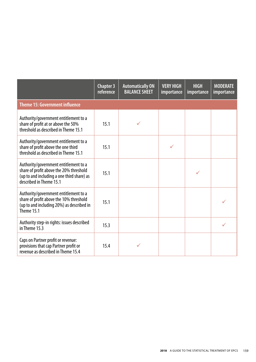|                                                                                                                                                           | <b>Chapter 3</b><br>reference | <b>Automatically ON</b><br><b>BALANCE SHEET</b> | <b>VERY HIGH</b><br>importance | <b>HIGH</b><br>importance | <b>MODERATE</b><br>importance |
|-----------------------------------------------------------------------------------------------------------------------------------------------------------|-------------------------------|-------------------------------------------------|--------------------------------|---------------------------|-------------------------------|
| <b>Theme 15: Government influence</b>                                                                                                                     |                               |                                                 |                                |                           |                               |
| Authority/government entitlement to a<br>share of profit at or above the 50%<br>threshold as described in Theme 15.1                                      | 15.1                          | ✓                                               |                                |                           |                               |
| Authority/government entitlement to a<br>share of profit above the one third<br>threshold as described in Theme 15.1                                      | 15.1                          |                                                 | $\checkmark$                   |                           |                               |
| Authority/government entitlement to a<br>share of profit above the 20% threshold<br>(up to and including a one third share) as<br>described in Theme 15.1 | 15.1                          |                                                 |                                | ✓                         |                               |
| Authority/government entitlement to a<br>share of profit above the 10% threshold<br>(up to and including 20%) as described in<br>Theme 15.1               | 15.1                          |                                                 |                                |                           |                               |
| Authority step-in rights: issues described<br>in Theme 15.3                                                                                               | 15.3                          |                                                 |                                |                           |                               |
| Caps on Partner profit or revenue:<br>provisions that cap Partner profit or<br>revenue as described in Theme 15.4                                         | 15.4                          |                                                 |                                |                           |                               |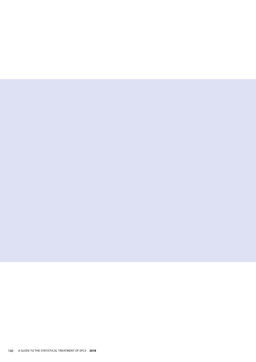A GUIDE TO THE STATISTICAL TREATMENT OF EPCS **2018**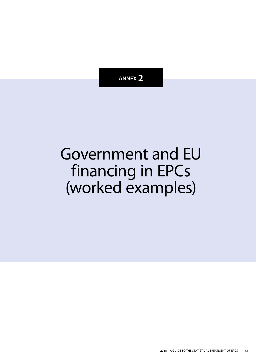**ANNEX 2**

# Government and EU financing in EPCs (worked examples)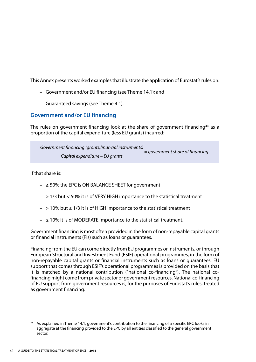This Annex presents worked examples that illustrate the application of Eurostat's rules on:

- Government and/or EU financing (see Theme 14.1); and
- Guaranteed savings (see Theme 4.1).

# **Government and/or EU financing**

The rules on government financing look at the share of government financing**<sup>43</sup>** as a proportion of the capital expenditure (less EU grants) incurred:

*Government financing (grants,financial instruments) = government share of financing Capital expenditure – EU grants* 

If that share is:

- $\geq$  50% the EPC is ON BALANCE SHEET for government
- $-$  > 1/3 but < 50% it is of VERY HIGH importance to the statistical treatment
- $-$  > 10% but  $\leq$  1/3 it is of HIGH importance to the statistical treatment
- $\leq$  10% it is of MODERATE importance to the statistical treatment.

Government financing is most often provided in the form of non-repayable capital grants or financial instruments (FIs) such as loans or guarantees.

Financing from the EU can come directly from EU programmes or instruments, or through European Structural and Investment Fund (ESIF) operational programmes, in the form of non-repayable capital grants or financial instruments such as loans or guarantees. EU support that comes through ESIF's operational programmes is provided on the basis that it is matched by a national contribution ("national co-financing"). The national cofinancing might come from private sector or government resources. National co-financing of EU support from government resources is, for the purposes of Eurostat's rules, treated as government financing.

<sup>43</sup> As explained in Theme 14.1, government's contribution to the financing of a specific EPC looks in aggregate at the financing provided to the EPC by all entities classified to the general government sector.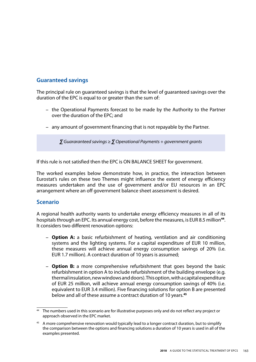# **Guaranteed savings**

The principal rule on guaranteed savings is that the level of guaranteed savings over the duration of the EPC is equal to or greater than the sum of:

- the Operational Payments forecast to be made by the Authority to the Partner over the duration of the EPC; and
- any amount of government financing that is not repayable by the Partner.

*∑Guararanteed savings ≥ ∑Operational Payments + government grants*

If this rule is not satisfied then the EPC is ON BALANCE SHEET for government.

The worked examples below demonstrate how, in practice, the interaction between Eurostat's rules on these two Themes might influence the extent of energy efficiency measures undertaken and the use of government and/or EU resources in an EPC arrangement where an off government balance sheet assessment is desired.

### **Scenario**

A regional health authority wants to undertake energy efficiency measures in all of its hospitals through an EPC. Its annual energy cost, before the measures, is EUR 8.5 million**<sup>44</sup>**. It considers two different renovation options:

- **Option A:** a basic refurbishment of heating, ventilation and air conditioning systems and the lighting systems. For a capital expenditure of EUR 10 million, these measures will achieve annual energy consumption savings of 20% (i.e. EUR 1.7 million). A contract duration of 10 years is assumed;
- **Option B:** a more comprehensive refurbishment that goes beyond the basic refurbishment in option A to include refurbishment of the building envelope (e.g. thermal insulation, new windows and doors). This option, with a capital expenditure of EUR 25 million, will achieve annual energy consumption savings of 40% (i.e. equivalent to EUR 3.4 million). Five financing solutions for option B are presented below and all of these assume a contract duration of 10 years.**<sup>45</sup>**

<sup>44</sup> The numbers used in this scenario are for illustrative purposes only and do not reflect any project or approach observed in the EPC market.

<sup>&</sup>lt;sup>45</sup> A more comprehensive renovation would typically lead to a longer contract duration, but to simplify the comparison between the options and financing solutions a duration of 10 years is used in all of the examples presented.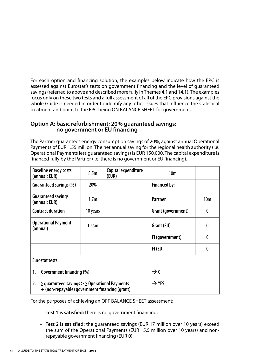For each option and financing solution, the examples below indicate how the EPC is assessed against Eurostat's tests on government financing and the level of guaranteed savings (referred to above and described more fully in Themes 4.1 and 14.1). The examples focus only on these two tests and a full assessment of all of the EPC provisions against the whole Guide is needed in order to identify any other issues that influence the statistical treatment and point to the EPC being ON BALANCE SHEET for government.

#### **Option A: basic refurbishment; 20% guaranteed savings; no government or EU financing**

The Partner guarantees energy consumption savings of 20%, against annual Operational Payments of EUR 1.55 million. The net annual saving for the regional health authority (i.e. Operational Payments less guaranteed savings) is EUR 150,000. The capital expenditure is financed fully by the Partner (i.e. there is no government or EU financing).

| <b>Baseline energy costs</b><br>(annual; EUR)                                                                          | 8.5 <sub>m</sub>  | Capital expenditure<br>(EUR) | 10 <sub>m</sub>     |                  |
|------------------------------------------------------------------------------------------------------------------------|-------------------|------------------------------|---------------------|------------------|
| Guaranteed savings (%)                                                                                                 | 20%               |                              | <b>Financed by:</b> |                  |
| <b>Guaranteed savings</b><br>(annual; EUR)                                                                             | 1.7 <sub>m</sub>  |                              | <b>Partner</b>      | 10 <sub>m</sub>  |
| <b>Contract duration</b>                                                                                               | 10 years          |                              | Grant (government)  | $\mathbf{0}$     |
| <b>Operational Payment</b><br>(annual)                                                                                 | 1.55m             |                              | Grant (EU)          | $\boldsymbol{0}$ |
|                                                                                                                        |                   |                              | FI (government)     | $\boldsymbol{0}$ |
|                                                                                                                        |                   |                              | $FI$ (EU)           | $\mathbf{0}$     |
| <b>Eurostat tests:</b>                                                                                                 |                   |                              |                     |                  |
| <b>Government financing (%)</b><br>1.                                                                                  | $\rightarrow 0$   |                              |                     |                  |
| 2.<br>$\Sigma$ guaranteed savings $\geq \Sigma$ Operational Payments<br>+ (non-repayable) government financing (grant) | $\rightarrow$ YES |                              |                     |                  |

For the purposes of achieving an OFF BALANCE SHEET assessment:

- **Test 1 is satisfied:** there is no government financing;
- **Test 2 is satisfied:** the guaranteed savings (EUR 17 million over 10 years) exceed the sum of the Operational Payments (EUR 15.5 million over 10 years) and nonrepayable government financing (EUR 0).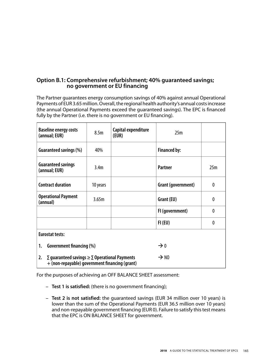## **Option B.1: Comprehensive refurbishment; 40% guaranteed savings; no government or EU financing**

The Partner guarantees energy consumption savings of 40% against annual Operational Payments of EUR 3.65 million. Overall, the regional health authority's annual costs increase (the annual Operational Payments exceed the guaranteed savings). The EPC is financed fully by the Partner (i.e. there is no government or EU financing).

| <b>Baseline energy costs</b><br>(annual; EUR)                                                                          | 8.5 <sub>m</sub> | Capital expenditure<br>(EUR) | 25m                 |                  |  |
|------------------------------------------------------------------------------------------------------------------------|------------------|------------------------------|---------------------|------------------|--|
| Guaranteed savings (%)                                                                                                 | 40%              |                              | <b>Financed by:</b> |                  |  |
| <b>Guaranteed savings</b><br>(annual; EUR)                                                                             | 3.4 <sub>m</sub> |                              | <b>Partner</b>      | 25m              |  |
| <b>Contract duration</b>                                                                                               | 10 years         |                              | Grant (government)  | $\boldsymbol{0}$ |  |
| <b>Operational Payment</b><br>(annual)                                                                                 | 3.65m            |                              | Grant (EU)          | $\boldsymbol{0}$ |  |
|                                                                                                                        |                  |                              | FI (government)     | 0                |  |
|                                                                                                                        |                  |                              | $FI$ (EU)           | $\boldsymbol{0}$ |  |
| <b>Eurostat tests:</b>                                                                                                 |                  |                              |                     |                  |  |
| Government financing (%)<br>1.                                                                                         |                  | $\rightarrow 0$              |                     |                  |  |
| $\Sigma$ guaranteed savings $\geq \Sigma$ Operational Payments<br>2.<br>+ (non-repayable) government financing (grant) |                  |                              | $\rightarrow$ NO    |                  |  |

For the purposes of achieving an OFF BALANCE SHEET assessment:

- **Test 1 is satisfied:** (there is no government financing);
- **Test 2 is not satisfied:** the guaranteed savings (EUR 34 million over 10 years) is lower than the sum of the Operational Payments (EUR 36.5 million over 10 years) and non-repayable government financing (EUR 0). Failure to satisfy this test means that the EPC is ON BALANCE SHEET for government.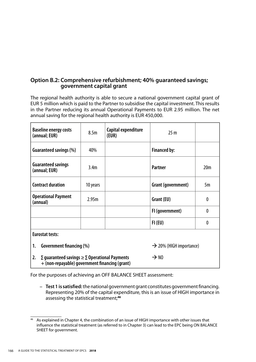## **Option B.2: Comprehensive refurbishment; 40% guaranteed savings; government capital grant**

The regional health authority is able to secure a national government capital grant of EUR 5 million which is paid to the Partner to subsidise the capital investment. This results in the Partner reducing its annual Operational Payments to EUR 2.95 million. The net annual saving for the regional health authority is EUR 450,000.

| <b>Baseline energy costs</b><br>(annual; EUR)                                                                          | 8.5 <sub>m</sub> | Capital expenditure<br>(EUR)        | 25 <sub>m</sub>     |                 |  |
|------------------------------------------------------------------------------------------------------------------------|------------------|-------------------------------------|---------------------|-----------------|--|
| Guaranteed savings (%)                                                                                                 | 40%              |                                     | <b>Financed by:</b> |                 |  |
| <b>Guaranteed savings</b><br>(annual; EUR)                                                                             | 3.4 <sub>m</sub> |                                     | <b>Partner</b>      | 20 <sub>m</sub> |  |
| <b>Contract duration</b>                                                                                               | 10 years         |                                     | Grant (government)  | 5m              |  |
| <b>Operational Payment</b><br>(annual)                                                                                 | 2.95m            |                                     | Grant (EU)          | $\mathbf{0}$    |  |
|                                                                                                                        |                  |                                     | FI (government)     | $\mathbf{0}$    |  |
|                                                                                                                        |                  |                                     | $FI$ (EU)           | 0               |  |
| <b>Eurostat tests:</b>                                                                                                 |                  |                                     |                     |                 |  |
| Government financing (%)<br>1.                                                                                         |                  | $\rightarrow$ 20% (HIGH importance) |                     |                 |  |
| $\Sigma$ guaranteed savings $\geq \Sigma$ Operational Payments<br>2.<br>+ (non-repayable) government financing (grant) |                  |                                     | $\rightarrow$ NO    |                 |  |

For the purposes of achieving an OFF BALANCE SHEET assessment:

- **Test 1 is satisfied:** the national government grant constitutes government financing. Representing 20% of the capital expenditure, this is an issue of HIGH importance in assessing the statistical treatment;**<sup>46</sup>**

<sup>&</sup>lt;sup>46</sup> As explained in Chapter 4, the combination of an issue of HIGH importance with other issues that influence the statistical treatment (as referred to in Chapter 3) can lead to the EPC being ON BALANCE SHEET for government.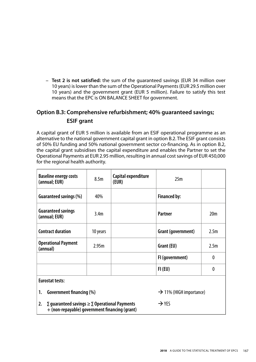- **Test 2 is not satisfied:** the sum of the guaranteed savings (EUR 34 million over 10 years) is lower than the sum of the Operational Payments (EUR 29.5 million over 10 years) and the government grant (EUR 5 million). Failure to satisfy this test means that the EPC is ON BALANCE SHEET for government.

# **Option B.3: Comprehensive refurbishment; 40% guaranteed savings; ESIF grant**

A capital grant of EUR 5 million is available from an ESIF operational programme as an alternative to the national government capital grant in option B.2. The ESIF grant consists of 50% EU funding and 50% national government sector co-financing. As in option B.2, the capital grant subsidises the capital expenditure and enables the Partner to set the Operational Payments at EUR 2.95 million, resulting in annual cost savings of EUR 450,000 for the regional health authority.

| <b>Baseline energy costs</b><br>(annual; EUR)                                                                          | 8.5 <sub>m</sub> | Capital expenditure<br>(EUR)        | 25m                 |                  |  |
|------------------------------------------------------------------------------------------------------------------------|------------------|-------------------------------------|---------------------|------------------|--|
| Guaranteed savings (%)                                                                                                 | 40%              |                                     | <b>Financed by:</b> |                  |  |
| <b>Guaranteed savings</b><br>(annual; EUR)                                                                             | 3.4 <sub>m</sub> |                                     | <b>Partner</b>      | 20 <sub>m</sub>  |  |
| <b>Contract duration</b>                                                                                               | 10 years         |                                     | Grant (government)  | 2.5 <sub>m</sub> |  |
| <b>Operational Payment</b><br>(annual)                                                                                 | 2.95m            |                                     | Grant (EU)          | 2.5 <sub>m</sub> |  |
|                                                                                                                        |                  |                                     | FI (government)     | $\theta$         |  |
|                                                                                                                        |                  |                                     | $FI$ (EU)           | $\theta$         |  |
| <b>Eurostat tests:</b>                                                                                                 |                  |                                     |                     |                  |  |
| <b>Government financing (%)</b><br>1.                                                                                  |                  | $\rightarrow$ 11% (HIGH importance) |                     |                  |  |
| $\Sigma$ guaranteed savings $\geq \Sigma$ Operational Payments<br>2.<br>+ (non-repayable) government financing (grant) |                  |                                     | $\rightarrow$ YES   |                  |  |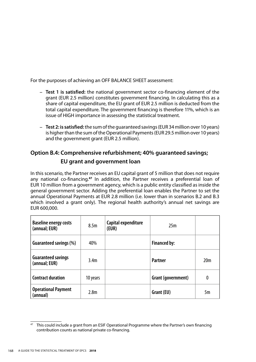For the purposes of achieving an OFF BALANCE SHEET assessment:

- **Test 1 is satisfied:** the national government sector co-financing element of the grant (EUR 2.5 million) constitutes government financing. In calculating this as a share of capital expenditure, the EU grant of EUR 2.5 million is deducted from the total capital expenditure. The government financing is therefore 11%, which is an issue of HIGH importance in assessing the statistical treatment.
- **Test 2: is satisfied:** the sum of the guaranteed savings (EUR 34 million over 10 years) is higher than the sum of the Operational Payments (EUR 29.5 million over 10 years) and the government grant (EUR 2.5 million).

# **Option B.4: Comprehensive refurbishment; 40% guaranteed savings; EU grant and government loan**

In this scenario, the Partner receives an EU capital grant of 5 million that does not require any national co-financing.**<sup>47</sup>** In addition, the Partner receives a preferential loan of EUR 10 million from a government agency, which is a public entity classified as inside the general government sector. Adding the preferential loan enables the Partner to set the annual Operational Payments at EUR 2.8 million (i.e. lower than in scenarios B.2 and B.3 which involved a grant only). The regional health authority's annual net savings are EUR 600,000.

| <b>Baseline energy costs</b><br>(annual; EUR) | 8.5 <sub>m</sub> | Capital expenditure<br>(EUR) | 25m                 |                  |
|-----------------------------------------------|------------------|------------------------------|---------------------|------------------|
| Guaranteed savings (%)                        | 40%              |                              | <b>Financed by:</b> |                  |
| <b>Guaranteed savings</b><br>(annual; EUR)    | 3.4 <sub>m</sub> |                              | <b>Partner</b>      | 20 <sub>m</sub>  |
| <b>Contract duration</b>                      | 10 years         |                              | Grant (government)  | $\boldsymbol{0}$ |
| <b>Operational Payment</b><br>(annual)        | 2.8 <sub>m</sub> |                              | Grant (EU)          | 5m               |

<sup>&</sup>lt;sup>47</sup> This could include a grant from an ESIF Operational Programme where the Partner's own financing contribution counts as national private co-financing.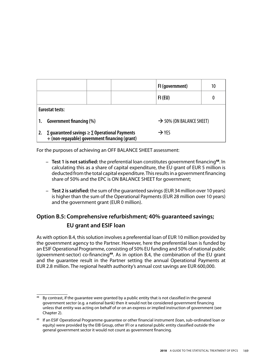|                                                                                                                        |  |  |                                      | FI (government) | 10 |
|------------------------------------------------------------------------------------------------------------------------|--|--|--------------------------------------|-----------------|----|
|                                                                                                                        |  |  |                                      | FI (EU)         | 0  |
| <b>Eurostat tests:</b>                                                                                                 |  |  |                                      |                 |    |
| Government financing (%)                                                                                               |  |  | $\rightarrow$ 50% (ON BALANCE SHEET) |                 |    |
| $\Sigma$ guaranteed savings $\geq \Sigma$ Operational Payments<br>2.<br>+ (non-repayable) government financing (grant) |  |  | $\rightarrow$ YES                    |                 |    |

For the purposes of achieving an OFF BALANCE SHEET assessment:

- **Test 1 is not satisfied:** the preferential loan constitutes government financing<sup>48</sup>. In calculating this as a share of capital expenditure, the EU grant of EUR 5 million is deducted from the total capital expenditure. This results in a government financing share of 50% and the EPC is ON BALANCE SHEET for government;
- - **Test 2 is satisfied:** the sum of the guaranteed savings (EUR 34 million over 10 years) is higher than the sum of the Operational Payments (EUR 28 million over 10 years) and the government grant (EUR 0 million).

# **Option B.5: Comprehensive refurbishment; 40% guaranteed savings; EU grant and ESIF loan**

As with option B.4, this solution involves a preferential loan of EUR 10 million provided by the government agency to the Partner. However, here the preferential loan is funded by an ESIF Operational Programme, consisting of 50% EU funding and 50% of national public (government-sector) co-financing**<sup>49</sup>**. As in option B.4, the combination of the EU grant and the guarantee result in the Partner setting the annual Operational Payments at EUR 2.8 million. The regional health authority's annual cost savings are EUR 600,000.

By contrast, if the guarantee were granted by a public entity that is not classified in the general government sector (e.g. a national bank) then it would not be considered government financing unless that entity was acting on behalf of or on an express or implied instruction of government (see Chapter 2).

<sup>49</sup> If an ESIF Operational Programme guarantee or other financial instrument (loan, sub-ordinated loan or equity) were provided by the EIB Group, other IFI or a national public entity classified outside the general government sector it would not count as government financing.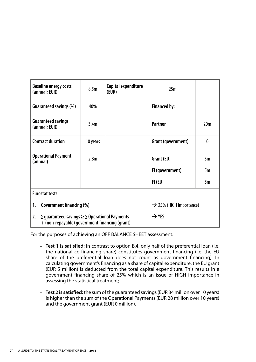| <b>Baseline energy costs</b><br>(annual; EUR)                                                                          | 8.5 <sub>m</sub> | Capital expenditure<br>(EUR) | 25m                                 |                 |  |
|------------------------------------------------------------------------------------------------------------------------|------------------|------------------------------|-------------------------------------|-----------------|--|
| Guaranteed savings (%)                                                                                                 | 40%              |                              | <b>Financed by:</b>                 |                 |  |
| <b>Guaranteed savings</b><br>(annual; EUR)                                                                             | 3.4 <sub>m</sub> |                              | <b>Partner</b>                      | 20 <sub>m</sub> |  |
| <b>Contract duration</b>                                                                                               | 10 years         |                              | Grant (government)                  | $\mathbf{0}$    |  |
| <b>Operational Payment</b><br>(annual)                                                                                 | 2.8 <sub>m</sub> |                              | Grant (EU)                          | 5m              |  |
|                                                                                                                        |                  |                              | FI (government)                     | 5m              |  |
|                                                                                                                        |                  |                              | $FI$ (EU)                           | 5m              |  |
| <b>Eurostat tests:</b>                                                                                                 |                  |                              |                                     |                 |  |
| Government financing (%)<br>1.                                                                                         |                  |                              | $\rightarrow$ 25% (HIGH importance) |                 |  |
| $\Sigma$ guaranteed savings $\geq \Sigma$ Operational Payments<br>2.<br>+ (non-repayable) government financing (grant) |                  |                              | $\rightarrow$ YES                   |                 |  |

For the purposes of achieving an OFF BALANCE SHEET assessment:

- **Test 1 is satisfied:** in contrast to option B.4, only half of the preferential loan (i.e. the national co-financing share) constitutes government financing (i.e. the EU share of the preferential loan does not count as government financing). In calculating government's financing as a share of capital expenditure, the EU grant (EUR 5 million) is deducted from the total capital expenditure. This results in a government financing share of 25% which is an issue of HIGH importance in assessing the statistical treatment;
- **Test 2 is satisfied:** the sum of the guaranteed savings (EUR 34 million over 10 years) is higher than the sum of the Operational Payments (EUR 28 million over 10 years) and the government grant (EUR 0 million).